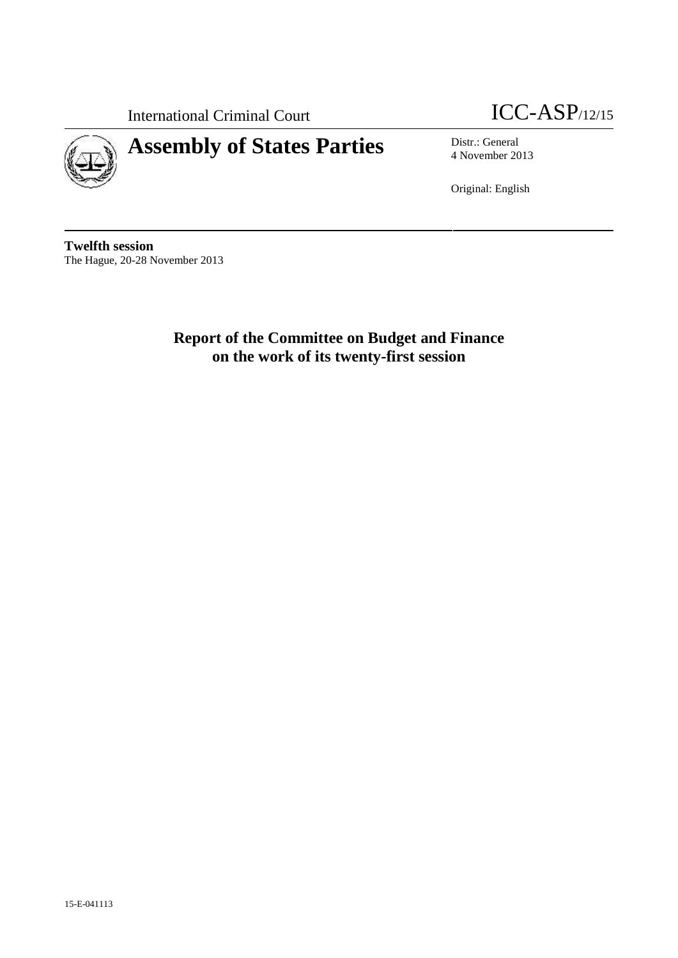



# **Assembly of States Parties** Distr.: General

4 November 2013

Original: English

**Twelfth session** The Hague, 20-28 November 2013

> **Report of the Committee on Budget and Finance on the work of its twenty-first session**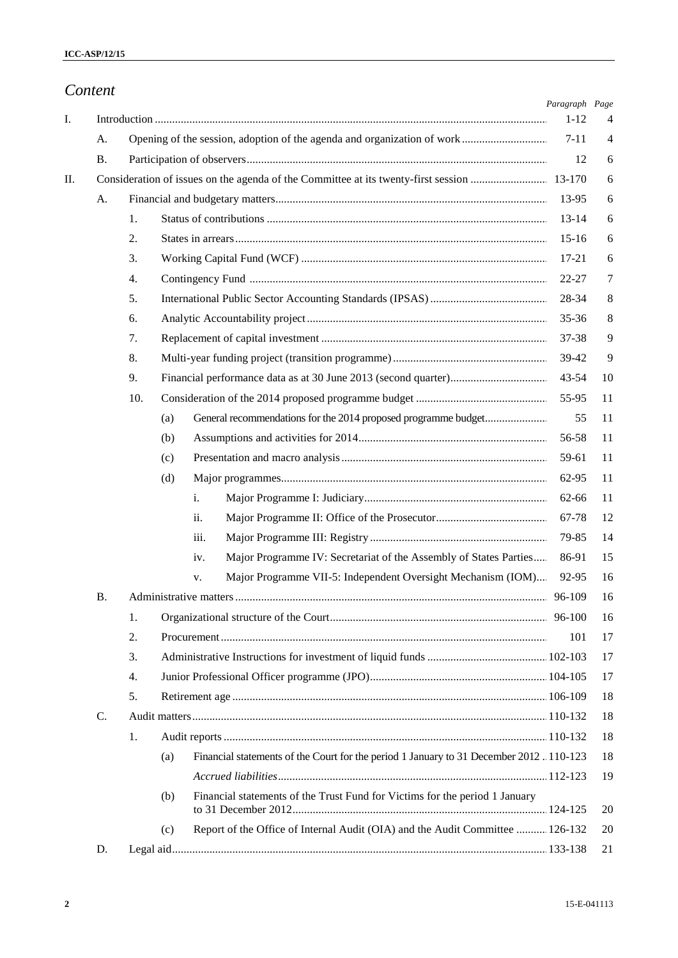|                |     |                                                                                               | Paragraph Page |                |
|----------------|-----|-----------------------------------------------------------------------------------------------|----------------|----------------|
|                |     |                                                                                               | $1 - 12$       | 4              |
| A.             |     |                                                                                               | $7 - 11$       | $\overline{4}$ |
| Β.             |     |                                                                                               | 12             | 6              |
|                |     |                                                                                               |                | 6              |
| A.             |     |                                                                                               | 13-95          | 6              |
|                | 1.  |                                                                                               | $13 - 14$      | 6              |
|                | 2.  |                                                                                               | $15-16$        | 6              |
|                | 3.  |                                                                                               | 17-21          | 6              |
|                | 4.  |                                                                                               | 22-27          | 7              |
|                | 5.  |                                                                                               | 28-34          | 8              |
|                | 6.  |                                                                                               | 35-36          | 8              |
|                | 7.  |                                                                                               | 37-38          | 9              |
|                | 8.  |                                                                                               | 39-42          | 9              |
|                | 9.  |                                                                                               | $43 - 54$      | 10             |
|                | 10. |                                                                                               | 55-95          | 11             |
|                |     | (a)                                                                                           | 55             | 11             |
|                |     | (b)                                                                                           | 56-58          | 11             |
|                |     | (c)                                                                                           | 59-61          | 11             |
|                |     | (d)                                                                                           | 62-95          | 11             |
|                |     | i.                                                                                            | 62-66          | 11             |
|                |     | ii.                                                                                           | 67-78          | 12             |
|                |     | iii.                                                                                          | 79-85          | 14             |
|                |     | Major Programme IV: Secretariat of the Assembly of States Parties<br>iv.                      | 86-91          | 15             |
|                |     | Major Programme VII-5: Independent Oversight Mechanism (IOM)<br>v.                            | 92-95          | 16             |
| В.             |     |                                                                                               |                | 16             |
|                | 1.  |                                                                                               |                | 16             |
|                | 2.  |                                                                                               | 101            | 17             |
|                | 3.  |                                                                                               |                | 17             |
|                | 4.  |                                                                                               |                | 17             |
|                | 5.  |                                                                                               |                | 18             |
| $\mathbf{C}$ . |     |                                                                                               |                | 18             |
|                | 1.  |                                                                                               |                | 18             |
|                |     | Financial statements of the Court for the period 1 January to 31 December 2012 110-123<br>(a) |                | 18             |
|                |     |                                                                                               |                | 19             |
|                |     | Financial statements of the Trust Fund for Victims for the period 1 January<br>(b)            |                | 20             |
|                |     | Report of the Office of Internal Audit (OIA) and the Audit Committee  126-132<br>(c)          |                | 20             |
| D.             |     |                                                                                               |                | 21             |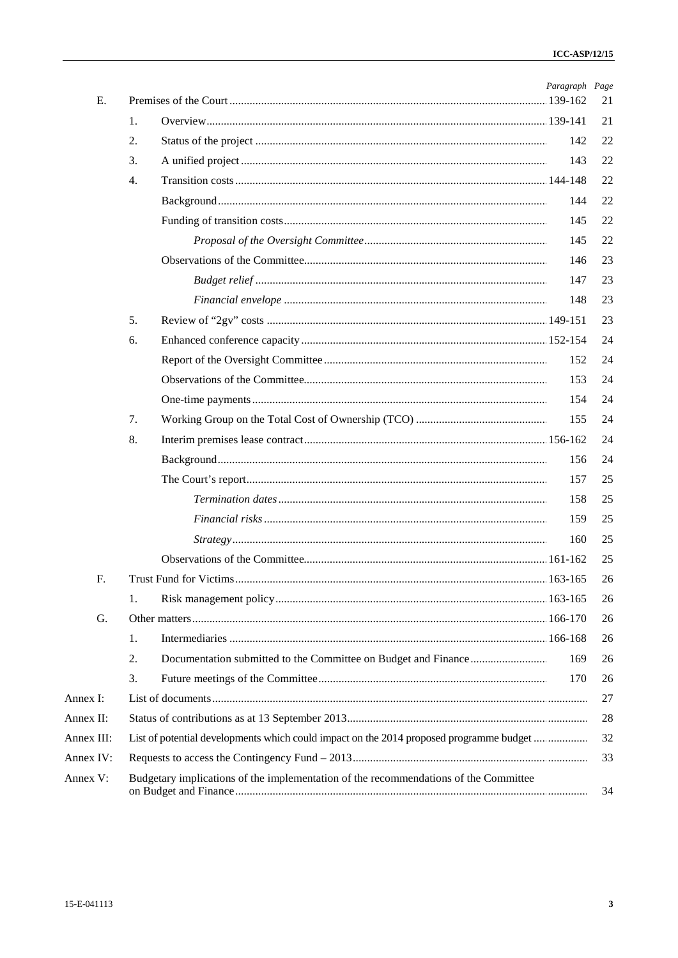|            |                  |                                                                                         | Paragraph Page |    |
|------------|------------------|-----------------------------------------------------------------------------------------|----------------|----|
| E.         |                  |                                                                                         |                | 21 |
|            | 1.               |                                                                                         |                | 21 |
|            | 2.               |                                                                                         | 142            | 22 |
|            | 3.               |                                                                                         | 143            | 22 |
|            | $\overline{4}$ . |                                                                                         |                | 22 |
|            |                  |                                                                                         | 144            | 22 |
|            |                  |                                                                                         | 145            | 22 |
|            |                  |                                                                                         | 145            | 22 |
|            |                  |                                                                                         | 146            | 23 |
|            |                  |                                                                                         | 147            | 23 |
|            |                  |                                                                                         | 148            | 23 |
|            | 5.               |                                                                                         |                | 23 |
|            | 6.               |                                                                                         |                | 24 |
|            |                  |                                                                                         | 152            | 24 |
|            |                  |                                                                                         | 153            | 24 |
|            |                  |                                                                                         | 154            | 24 |
|            | 7.               |                                                                                         | 155            | 24 |
|            | 8.               |                                                                                         |                | 24 |
|            |                  |                                                                                         | 156            | 24 |
|            |                  |                                                                                         | 157            | 25 |
|            |                  |                                                                                         | 158            | 25 |
|            |                  |                                                                                         | 159            | 25 |
|            |                  |                                                                                         | 160            | 25 |
|            |                  |                                                                                         |                | 25 |
| F.         |                  |                                                                                         |                | 26 |
|            | 1.               |                                                                                         |                | 26 |
|            |                  |                                                                                         |                |    |
| G.         |                  |                                                                                         |                | 26 |
|            | 1.               |                                                                                         |                | 26 |
|            | 2.               |                                                                                         | 169            | 26 |
|            | 3.               |                                                                                         | 170            | 26 |
| Annex I:   |                  |                                                                                         |                | 27 |
| Annex II:  |                  |                                                                                         |                | 28 |
| Annex III: |                  | List of potential developments which could impact on the 2014 proposed programme budget |                | 32 |
| Annex IV:  |                  |                                                                                         |                | 33 |
| Annex V:   |                  | Budgetary implications of the implementation of the recommendations of the Committee    |                | 34 |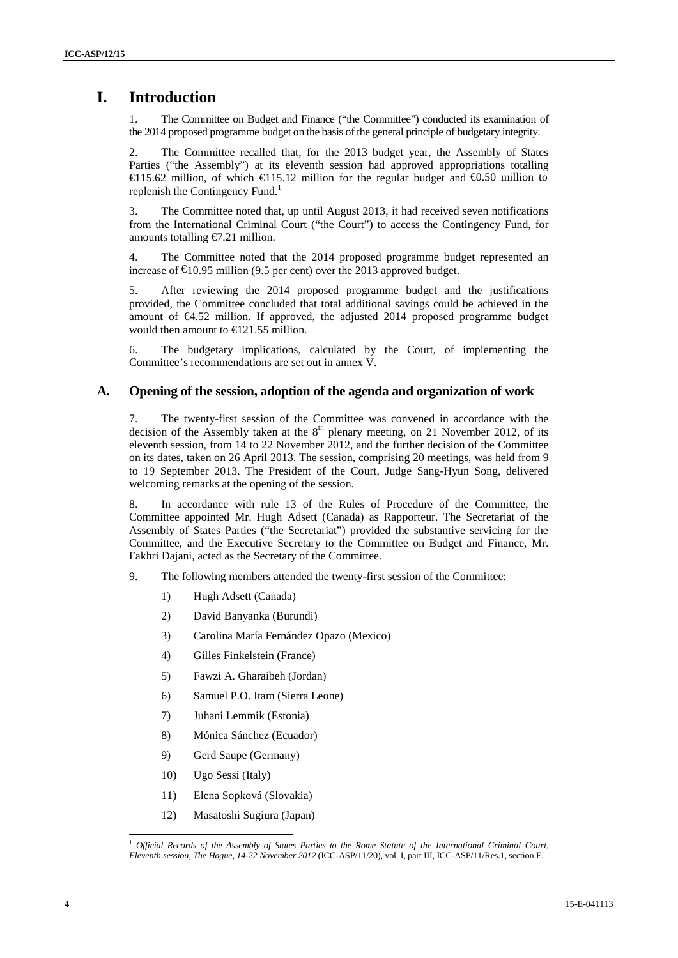# **I. Introduction**

1. The Committee on Budget and Finance ("the Committee") conducted its examination of the 2014 proposed programme budget on the basis of the general principle of budgetary integrity.

2. The Committee recalled that, for the 2013 budget year, the Assembly of States Parties ("the Assembly") at its eleventh session had approved appropriations totalling €115.62 million, of which €115.12 million for the regular budget and €0.50 million to replenish the Contingency Fund.<sup>1</sup>

3. The Committee noted that, up until August 2013, it had received seven notifications from the International Criminal Court ("the Court") to access the Contingency Fund, for amounts totalling €7.21 million.

4. The Committee noted that the 2014 proposed programme budget represented an increase of  $\epsilon$ 10.95 million (9.5 per cent) over the 2013 approved budget.

5. After reviewing the 2014 proposed programme budget and the justifications provided, the Committee concluded that total additional savings could be achieved in the amount of €4.52 million. If approved, the adjusted 2014 proposed programme budget would then amount to €121.55 million.

6. The budgetary implications, calculated by the Court, of implementing the Committee's recommendations are set out in annex V.

### **A. Opening of the session, adoption of the agenda and organization of work**

7. The twenty-first session of the Committee was convened in accordance with the decision of the Assembly taken at the  $8<sup>th</sup>$  plenary meeting, on 21 November 2012, of its eleventh session, from 14 to 22 November 2012, and the further decision of the Committee on its dates, taken on 26 April 2013. The session, comprising 20 meetings, was held from 9 to 19 September 2013. The President of the Court, Judge Sang-Hyun Song, delivered welcoming remarks at the opening of the session.

8. In accordance with rule 13 of the Rules of Procedure of the Committee, the Committee appointed Mr. Hugh Adsett (Canada) as Rapporteur. The Secretariat of the Assembly of States Parties ("the Secretariat") provided the substantive servicing for the Committee, and the Executive Secretary to the Committee on Budget and Finance, Mr. Fakhri Dajani, acted as the Secretary of the Committee.

- 9. The following members attended the twenty-first session of the Committee:
	- 1) Hugh Adsett (Canada)
	- 2) David Banyanka (Burundi)
	- 3) Carolina María Fernández Opazo (Mexico)
	- 4) Gilles Finkelstein (France)
	- 5) Fawzi A. Gharaibeh (Jordan)
	- 6) Samuel P.O. Itam (Sierra Leone)
	- 7) Juhani Lemmik (Estonia)
	- 8) Mónica Sánchez (Ecuador)
	- 9) Gerd Saupe (Germany)
	- 10) Ugo Sessi (Italy)
	- 11) Elena Sopková (Slovakia)
	- 12) Masatoshi Sugiura (Japan)

<sup>1</sup> *Official Records of the Assembly of States Parties to the Rome Statute of the International Criminal Court, Eleventh session, The Hague, 14-22 November 2012* (ICC-ASP/11/20), vol. I, part III, ICC-ASP/11/Res.1, section E.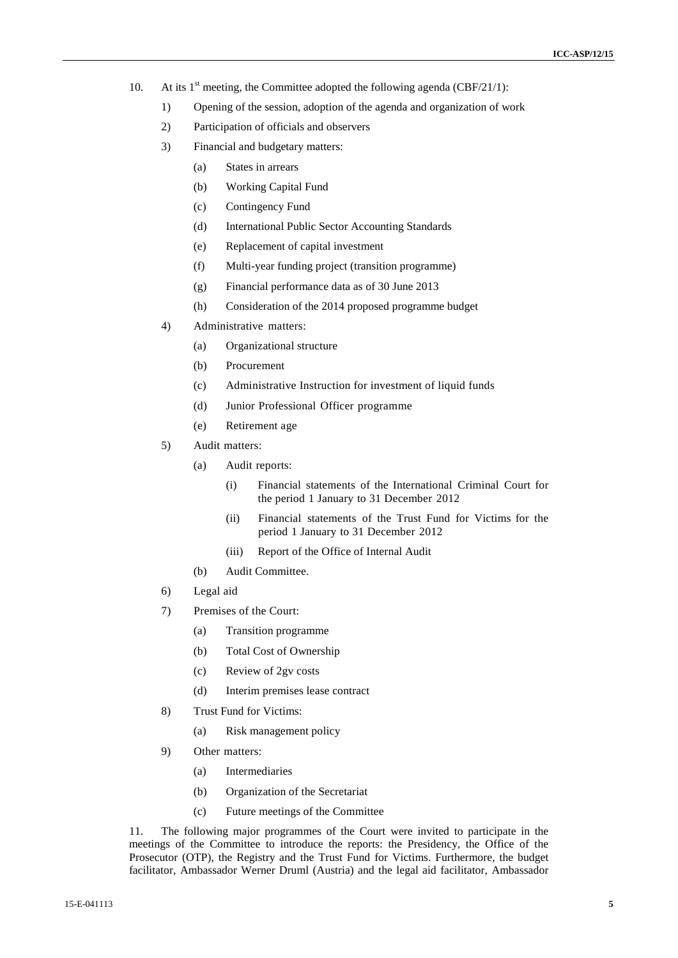- 10. At its  $1<sup>st</sup>$  meeting, the Committee adopted the following agenda (CBF/21/1):
	- 1) Opening of the session, adoption of the agenda and organization of work
	- 2) Participation of officials and observers
	- 3) Financial and budgetary matters:
		- (a) States in arrears
		- (b) Working Capital Fund
		- (c) Contingency Fund
		- (d) International Public Sector Accounting Standards
		- (e) Replacement of capital investment
		- (f) Multi-year funding project (transition programme)
		- (g) Financial performance data as of 30 June 2013
		- (h) Consideration of the 2014 proposed programme budget
	- 4) Administrative matters:
		- (a) Organizational structure
		- (b) Procurement
		- (c) Administrative Instruction for investment of liquid funds
		- (d) Junior Professional Officer programme
		- (e) Retirement age
	- 5) Audit matters:
		- (a) Audit reports:
			- (i) Financial statements of the International Criminal Court for the period 1 January to 31 December 2012
			- (ii) Financial statements of the Trust Fund for Victims for the period 1 January to 31 December 2012
			- (iii) Report of the Office of Internal Audit
		- (b) Audit Committee.
	- 6) Legal aid
	- 7) Premises of the Court:
		- (a) Transition programme
		- (b) Total Cost of Ownership
		- (c) Review of 2gv costs
		- (d) Interim premises lease contract
	- 8) Trust Fund for Victims:
		- (a) Risk management policy
	- 9) Other matters:
		- (a) Intermediaries
		- (b) Organization of the Secretariat
		- (c) Future meetings of the Committee

11. The following major programmes of the Court were invited to participate in the meetings of the Committee to introduce the reports: the Presidency, the Office of the Prosecutor (OTP), the Registry and the Trust Fund for Victims. Furthermore, the budget facilitator, Ambassador Werner Druml (Austria) and the legal aid facilitator, Ambassador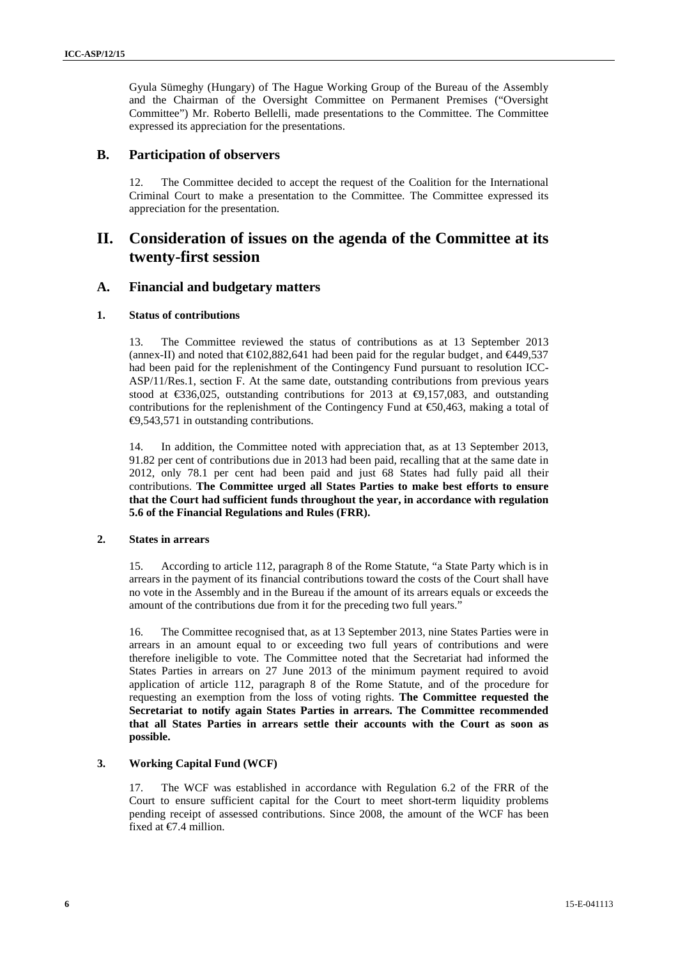Gyula Sümeghy (Hungary) of The Hague Working Group of the Bureau of the Assembly and the Chairman of the Oversight Committee on Permanent Premises ("Oversight Committee") Mr. Roberto Bellelli, made presentations to the Committee. The Committee expressed its appreciation for the presentations.

### **B. Participation of observers**

12. The Committee decided to accept the request of the Coalition for the International Criminal Court to make a presentation to the Committee. The Committee expressed its appreciation for the presentation.

# **II. Consideration of issues on the agenda of the Committee at its twenty-first session**

### **A. Financial and budgetary matters**

### **1. Status of contributions**

13. The Committee reviewed the status of contributions as at 13 September 2013 (annex-II) and noted that  $\text{E}102,882,641$  had been paid for the regular budget, and  $\text{E}449,537$ had been paid for the replenishment of the Contingency Fund pursuant to resolution ICC- ASP/11/Res.1, section F. At the same date, outstanding contributions from previous years stood at  $\text{\textsterling}36,025$ , outstanding contributions for 2013 at  $\text{\textsterling}9,157,083$ , and outstanding contributions for the replenishment of the Contingency Fund at  $\epsilon$ 50,463, making a total of €9,543,571 in outstanding contributions.

14. In addition, the Committee noted with appreciation that, as at 13 September 2013, 91.82 per cent of contributions due in 2013 had been paid, recalling that at the same date in 2012, only 78.1 per cent had been paid and just 68 States had fully paid all their contributions. **The Committee urged all States Parties to make best efforts to ensure that the Court had sufficient funds throughout the year, in accordance with regulation 5.6 of the Financial Regulations and Rules (FRR).**

### **2. States in arrears**

15. According to article 112, paragraph 8 of the Rome Statute, "a State Party which is in arrears in the payment of its financial contributions toward the costs of the Court shall have no vote in the Assembly and in the Bureau if the amount of its arrears equals or exceeds the amount of the contributions due from it for the preceding two full years."

16. The Committee recognised that, as at 13 September 2013, nine States Parties were in arrears in an amount equal to or exceeding two full years of contributions and were therefore ineligible to vote. The Committee noted that the Secretariat had informed the States Parties in arrears on 27 June 2013 of the minimum payment required to avoid application of article 112, paragraph 8 of the Rome Statute, and of the procedure for requesting an exemption from the loss of voting rights. **The Committee requested the Secretariat to notify again States Parties in arrears. The Committee recommended that all States Parties in arrears settle their accounts with the Court as soon as possible.**

### **3. Working Capital Fund (WCF)**

17. The WCF was established in accordance with Regulation 6.2 of the FRR of the Court to ensure sufficient capital for the Court to meet short-term liquidity problems pending receipt of assessed contributions. Since 2008, the amount of the WCF has been fixed at  $\epsilon$ 7.4 million.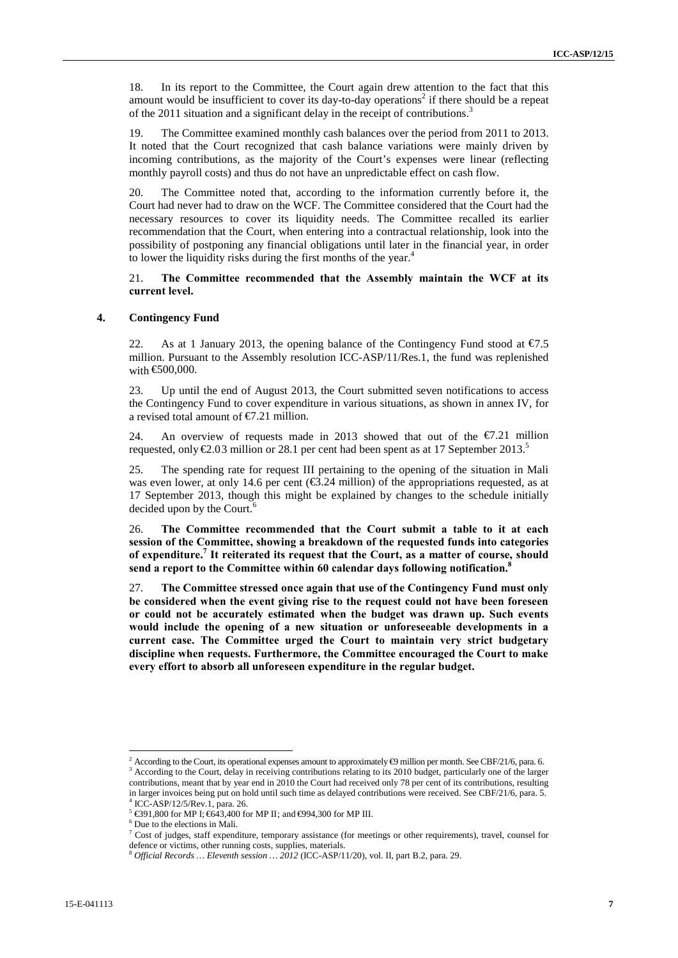18. In its report to the Committee, the Court again drew attention to the fact that this amount would be insufficient to cover its day-to-day operations<sup>2</sup> if there should be a repeat of the 2011 situation and a significant delay in the receipt of contributions.<sup>3</sup>

19. The Committee examined monthly cash balances over the period from 2011 to 2013. It noted that the Court recognized that cash balance variations were mainly driven by incoming contributions, as the majority of the Court's expenses were linear (reflecting monthly payroll costs) and thus do not have an unpredictable effect on cash flow.

20. The Committee noted that, according to the information currently before it, the Court had never had to draw on the WCF. The Committee considered that the Court had the necessary resources to cover its liquidity needs. The Committee recalled its earlier recommendation that the Court, when entering into a contractual relationship, look into the possibility of postponing any financial obligations until later in the financial year, in order to lower the liquidity risks during the first months of the year.<sup>4</sup>

21. **The Committee recommended that the Assembly maintain the WCF at its current level.**

### **4. Contingency Fund**

22. As at 1 January 2013, the opening balance of the Contingency Fund stood at  $\epsilon$ 7.5 million. Pursuant to the Assembly resolution ICC-ASP/11/Res.1, the fund was replenished with €500,000.

23. Up until the end of August 2013, the Court submitted seven notifications to access the Contingency Fund to cover expenditure in various situations, as shown in annex IV, for a revised total amount of  $\epsilon$ 7.21 million.

24. An overview of requests made in 2013 showed that out of the  $\epsilon/221$  million requested, only  $\epsilon 2.03$  million or 28.1 per cent had been spent as at 17 September 2013.<sup>5</sup>

25. The spending rate for request III pertaining to the opening of the situation in Mali was even lower, at only 14.6 per cent ( $\epsilon$ 3.24 million) of the appropriations requested, as at 17 September 2013, though this might be explained by changes to the schedule initially decided upon by the Court.<sup>6</sup>

26. **The Committee recommended that the Court submit a table to it at each session of the Committee, showing a breakdown of the requested funds into categories of expenditure.<sup>7</sup> It reiterated its request that the Court, as a matter of course, should send a report to the Committee within 60 calendar days following notification.<sup>8</sup>**

27. **The Committee stressed once again that use of the Contingency Fund must only be considered when the event giving rise to the request could not have been foreseen or could not be accurately estimated when the budget was drawn up. Such events would include the opening of a new situation or unforeseeable developments in a current case. The Committee urged the Court to maintain very strict budgetary discipline when requests. Furthermore, the Committee encouraged the Court to make every effort to absorb all unforeseen expenditure in the regular budget.**

<sup>&</sup>lt;sup>2</sup> According to the Court, its operational expenses amount to approximately  $\Theta$  million per month. See CBF/21/6, para. 6. <sup>3</sup> According to the Court, delay in receiving contributions relating to its 2010 budget, particularly one of the larger contributions, meant that by year end in 2010 the Court had received only 78 per cent of its contributions, resulting in larger invoices being put on hold until such time as delayed contributions were received. See CBF/21/6, para. 5.

 $^5$   $\text{6391,800}$  for MP I;  $\text{643,400}$  for MP II; and  $\text{6994,300}$  for MP III.  $^6$  Due to the elections in Mali.

<sup>7</sup> Cost of judges, staff expenditure, temporary assistance (for meetings or other requirements), travel, counsel for defence or victims, other running costs, supplies, materials.

<sup>8</sup> *Official Records … Eleventh session … 2012* (ICC-ASP/11/20), vol. II, part B.2, para. 29.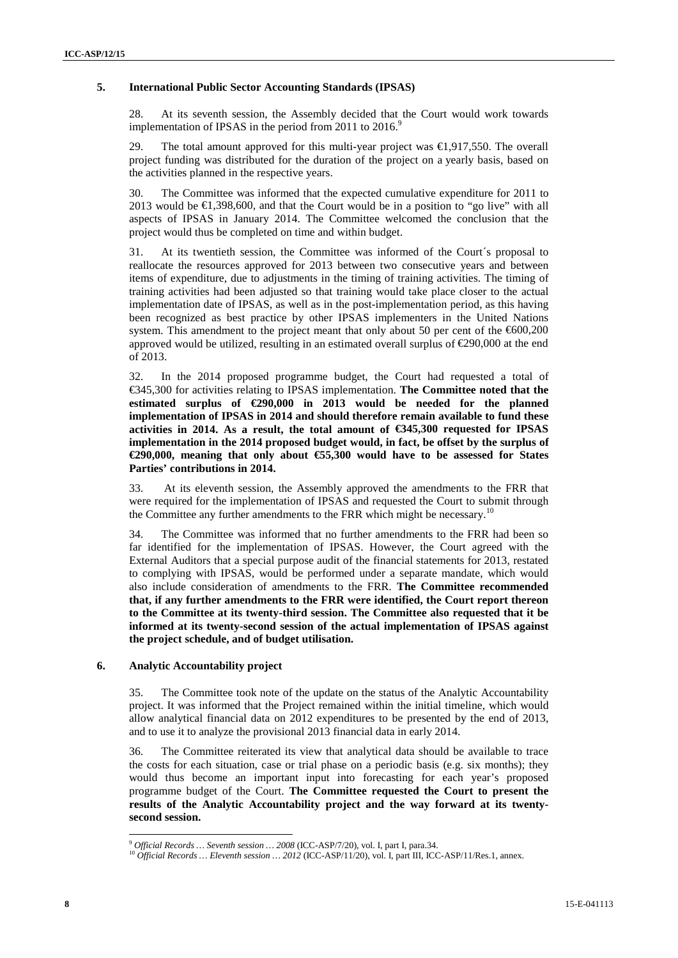### **5. International Public Sector Accounting Standards (IPSAS)**

28. At its seventh session, the Assembly decided that the Court would work towards implementation of IPSAS in the period from 2011 to 2016.<sup>9</sup>

29. The total amount approved for this multi-year project was €1,917,550. The overall project funding was distributed for the duration of the project on a yearly basis, based on the activities planned in the respective years.

30. The Committee was informed that the expected cumulative expenditure for 2011 to 2013 would be  $\bigoplus$ , 398, 600, and that the Court would be in a position to "go live" with all aspects of IPSAS in January 2014. The Committee welcomed the conclusion that the project would thus be completed on time and within budget.

31. At its twentieth session, the Committee was informed of the Court´s proposal to reallocate the resources approved for 2013 between two consecutive years and between items of expenditure, due to adjustments in the timing of training activities. The timing of training activities had been adjusted so that training would take place closer to the actual implementation date of IPSAS, as well as in the post-implementation period, as this having been recognized as best practice by other IPSAS implementers in the United Nations system. This amendment to the project meant that only about 50 per cent of the €600,200 approved would be utilized, resulting in an estimated overall surplus of  $\epsilon$ 290,000 at the end of 2013.

32. In the 2014 proposed programme budget, the Court had requested a total of €345,300 for activities relating to IPSAS implementation. **The Committee noted that the estimated surplus of €290,000 in 2013 would be needed for the planned implementation of IPSAS in 2014 and should therefore remain available to fund these activities in 2014. As a result, the total amount of €345,300 requested for IPSAS implementation in the 2014 proposed budget would, in fact, be offset by the surplus of €290,000, meaning that only about €55,300 would have to be assessed for States Parties' contributions in 2014.**

33. At its eleventh session, the Assembly approved the amendments to the FRR that were required for the implementation of IPSAS and requested the Court to submit through the Committee any further amendments to the FRR which might be necessary.<sup>10</sup>

34. The Committee was informed that no further amendments to the FRR had been so far identified for the implementation of IPSAS. However, the Court agreed with the External Auditors that a special purpose audit of the financial statements for 2013, restated to complying with IPSAS, would be performed under a separate mandate, which would also include consideration of amendments to the FRR. **The Committee recommended that, if any further amendments to the FRR were identified, the Court report thereon to the Committee at its twenty-third session. The Committee also requested that it be informed at its twenty-second session of the actual implementation of IPSAS against the project schedule, and of budget utilisation.**

### **6. Analytic Accountability project**

35. The Committee took note of the update on the status of the Analytic Accountability project. It was informed that the Project remained within the initial timeline, which would allow analytical financial data on 2012 expenditures to be presented by the end of 2013, and to use it to analyze the provisional 2013 financial data in early 2014.

36. The Committee reiterated its view that analytical data should be available to trace the costs for each situation, case or trial phase on a periodic basis (e.g. six months); they would thus become an important input into forecasting for each year's proposed programme budget of the Court. **The Committee requested the Court to present the results of the Analytic Accountability project and the way forward at its twenty second session.**

 $^9$  Official Records ... Seventh session ... 2008 (ICC-ASP/7/20), vol. I, part I, para.34.<br><sup>10</sup> Official Records ... Eleventh session ... 2012 (ICC-ASP/11/20), vol. I, part III, ICC-ASP/11/Res.1, annex.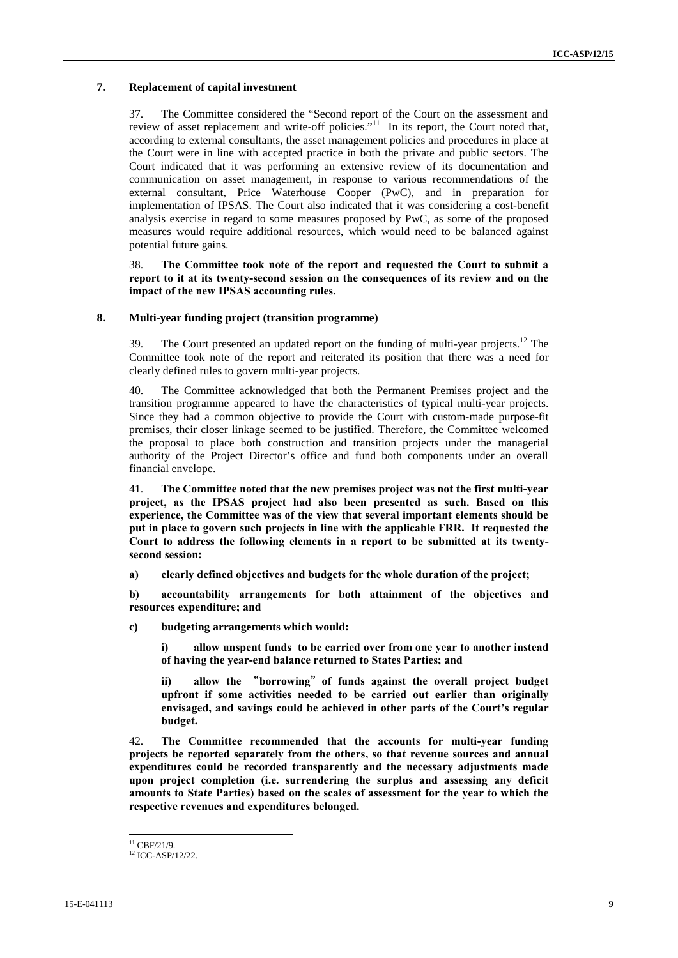### **7. Replacement of capital investment**

37. The Committee considered the "Second report of the Court on the assessment and review of asset replacement and write-off policies."<sup>11</sup> In its report, the Court noted that, according to external consultants, the asset management policies and procedures in place at the Court were in line with accepted practice in both the private and public sectors. The Court indicated that it was performing an extensive review of its documentation and communication on asset management, in response to various recommendations of the external consultant, Price Waterhouse Cooper (PwC), and in preparation for implementation of IPSAS. The Court also indicated that it was considering a cost-benefit analysis exercise in regard to some measures proposed by PwC, as some of the proposed measures would require additional resources, which would need to be balanced against potential future gains.

38. **The Committee took note of the report and requested the Court to submit a report to it at its twenty-second session on the consequences of its review and on the impact of the new IPSAS accounting rules.**

### **8. Multi-year funding project (transition programme)**

39. The Court presented an updated report on the funding of multi-year projects.<sup>12</sup> The Committee took note of the report and reiterated its position that there was a need for clearly defined rules to govern multi-year projects.

40. The Committee acknowledged that both the Permanent Premises project and the transition programme appeared to have the characteristics of typical multi-year projects. Since they had a common objective to provide the Court with custom-made purpose-fit premises, their closer linkage seemed to be justified. Therefore, the Committee welcomed the proposal to place both construction and transition projects under the managerial authority of the Project Director's office and fund both components under an overall financial envelope.

41. **The Committee noted that the new premises project was not the first multi-year project, as the IPSAS project had also been presented as such. Based on this experience, the Committee was of the view that several important elements should be put in place to govern such projects in line with the applicable FRR. It requested the Court to address the following elements in a report to be submitted at its twenty second session:**

**a) clearly defined objectives and budgets for the whole duration of the project;**

**b) accountability arrangements for both attainment of the objectives and resources expenditure; and**

**c) budgeting arrangements which would:**

**i) allow unspent funds to be carried over from one year to another instead of having the year-end balance returned to States Parties; and**

**ii) allow the "borrowing"of funds against the overall project budget upfront if some activities needed to be carried out earlier than originally envisaged, and savings could be achieved in other parts of the Court's regular budget.**

42. **The Committee recommended that the accounts for multi-year funding projects be reported separately from the others, so that revenue sources and annual expenditures could be recorded transparently and the necessary adjustments made upon project completion (i.e. surrendering the surplus and assessing any deficit amounts to State Parties) based on the scales of assessment for the year to which the respective revenues and expenditures belonged.**

 $11$  CBF/21/9.

<sup>&</sup>lt;sup>12</sup> ICC-ASP/12/22.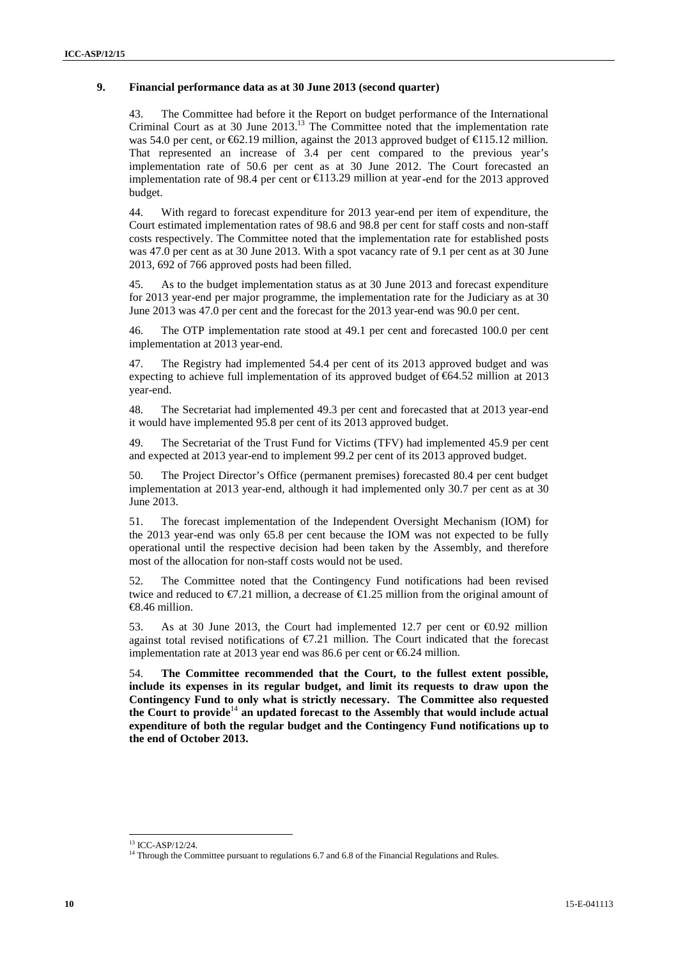### **9. Financial performance data as at 30 June 2013 (second quarter)**

43. The Committee had before it the Report on budget performance of the International Criminal Court as at 30 June 2013.<sup>13</sup> The Committee noted that the implementation rate was 54.0 per cent, or  $62.19$  million, against the 2013 approved budget of  $\epsilon$  15.12 million. That represented an increase of 3.4 per cent compared to the previous year's implementation rate of 50.6 per cent as at 30 June 2012. The Court forecasted an implementation rate of 98.4 per cent or  $\in$  13.29 million at year-end for the 2013 approved budget.

44. With regard to forecast expenditure for 2013 year-end per item of expenditure, the Court estimated implementation rates of 98.6 and 98.8 per cent for staff costs and non-staff costs respectively. The Committee noted that the implementation rate for established posts was 47.0 per cent as at 30 June 2013. With a spot vacancy rate of 9.1 per cent as at 30 June 2013, 692 of 766 approved posts had been filled.

45. As to the budget implementation status as at 30 June 2013 and forecast expenditure for 2013 year-end per major programme, the implementation rate for the Judiciary as at 30 June 2013 was 47.0 per cent and the forecast for the 2013 year-end was 90.0 per cent.

46. The OTP implementation rate stood at 49.1 per cent and forecasted 100.0 per cent implementation at 2013 year-end.

47. The Registry had implemented 54.4 per cent of its 2013 approved budget and was expecting to achieve full implementation of its approved budget of  $64.52$  million at 2013 year-end.

48. The Secretariat had implemented 49.3 per cent and forecasted that at 2013 year-end it would have implemented 95.8 per cent of its 2013 approved budget.

49. The Secretariat of the Trust Fund for Victims (TFV) had implemented 45.9 per cent and expected at 2013 year-end to implement 99.2 per cent of its 2013 approved budget.

50. The Project Director's Office (permanent premises) forecasted 80.4 per cent budget implementation at 2013 year-end, although it had implemented only 30.7 per cent as at 30 June 2013.

51. The forecast implementation of the Independent Oversight Mechanism (IOM) for the 2013 year-end was only 65.8 per cent because the IOM was not expected to be fully operational until the respective decision had been taken by the Assembly, and therefore most of the allocation for non-staff costs would not be used.

52. The Committee noted that the Contingency Fund notifications had been revised twice and reduced to  $\epsilon/21$  million, a decrease of  $\epsilon/25$  million from the original amount of €8.46 million.

53. As at 30 June 2013, the Court had implemented 12.7 per cent or  $\epsilon 0.92$  million against total revised notifications of  $E.21$  million. The Court indicated that the forecast implementation rate at 2013 year end was 86.6 per cent or €6.24 million.

54. **The Committee recommended that the Court, to the fullest extent possible, include its expenses in its regular budget, and limit its requests to draw upon the Contingency Fund to only what is strictly necessary. The Committee also requested the Court to provide**<sup>14</sup> **an updated forecast to the Assembly that would include actual expenditure of both the regular budget and the Contingency Fund notifications up to the end of October 2013.**

<sup>13</sup> ICC-ASP/12/24.

<sup>&</sup>lt;sup>14</sup> Through the Committee pursuant to regulations 6.7 and 6.8 of the Financial Regulations and Rules.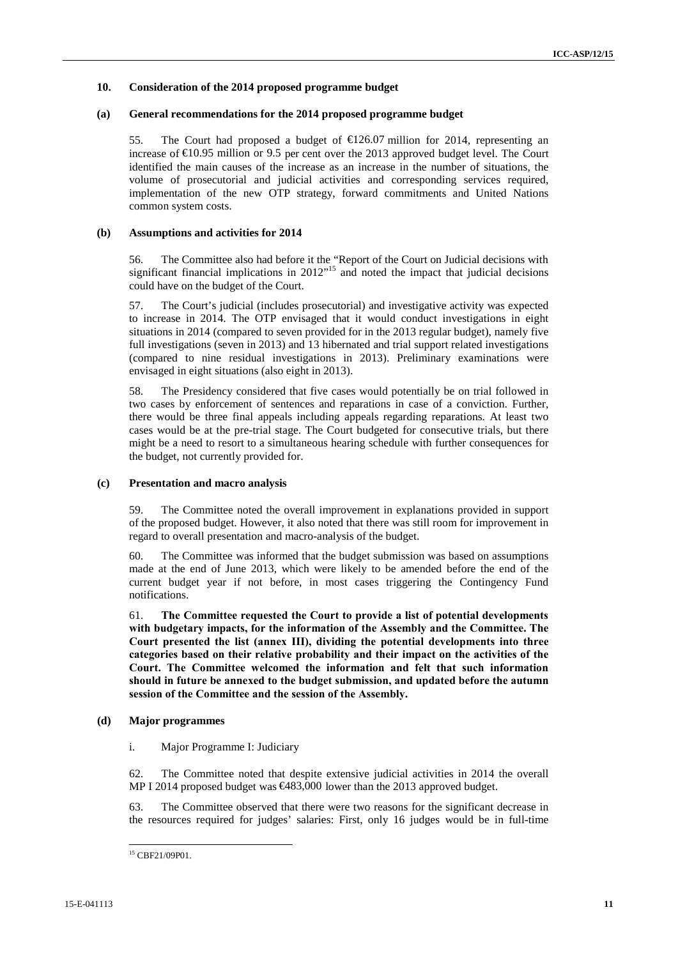### **10. Consideration of the 2014 proposed programme budget**

### **(a) General recommendations for the 2014 proposed programme budget**

55. The Court had proposed a budget of  $E$ 126.07 million for 2014, representing an increase of €10.95 million or 9.5 per cent over the 2013 approved budget level. The Court identified the main causes of the increase as an increase in the number of situations, the volume of prosecutorial and judicial activities and corresponding services required, implementation of the new OTP strategy, forward commitments and United Nations common system costs.

### **(b) Assumptions and activities for 2014**

56. The Committee also had before it the "Report of the Court on Judicial decisions with significant financial implications in 2012<sup>" 15</sup> and noted the impact that judicial decisions could have on the budget of the Court.

57. The Court's judicial (includes prosecutorial) and investigative activity was expected to increase in 2014. The OTP envisaged that it would conduct investigations in eight situations in 2014 (compared to seven provided for in the 2013 regular budget), namely five full investigations (seven in 2013) and 13 hibernated and trial support related investigations (compared to nine residual investigations in 2013). Preliminary examinations were envisaged in eight situations (also eight in 2013).

58. The Presidency considered that five cases would potentially be on trial followed in two cases by enforcement of sentences and reparations in case of a conviction. Further, there would be three final appeals including appeals regarding reparations. At least two cases would be at the pre-trial stage. The Court budgeted for consecutive trials, but there might be a need to resort to a simultaneous hearing schedule with further consequences for the budget, not currently provided for.

### **(c) Presentation and macro analysis**

59. The Committee noted the overall improvement in explanations provided in support of the proposed budget. However, it also noted that there was still room for improvement in regard to overall presentation and macro-analysis of the budget.

60. The Committee was informed that the budget submission was based on assumptions made at the end of June 2013, which were likely to be amended before the end of the current budget year if not before, in most cases triggering the Contingency Fund notifications.

61. **The Committee requested the Court to provide a list of potential developments with budgetary impacts, for the information of the Assembly and the Committee. The Court presented the list (annex III), dividing the potential developments into three categories based on their relative probability and their impact on the activities of the Court. The Committee welcomed the information and felt that such information should in future be annexed to the budget submission, and updated before the autumn session of the Committee and the session of the Assembly.**

### **(d) Major programmes**

i. Major Programme I: Judiciary

62. The Committee noted that despite extensive judicial activities in 2014 the overall MP I 2014 proposed budget was €483,000 lower than the 2013 approved budget.

63. The Committee observed that there were two reasons for the significant decrease in the resources required for judges' salaries: First, only 16 judges would be in full-time

<sup>15</sup> CBF21/09P01.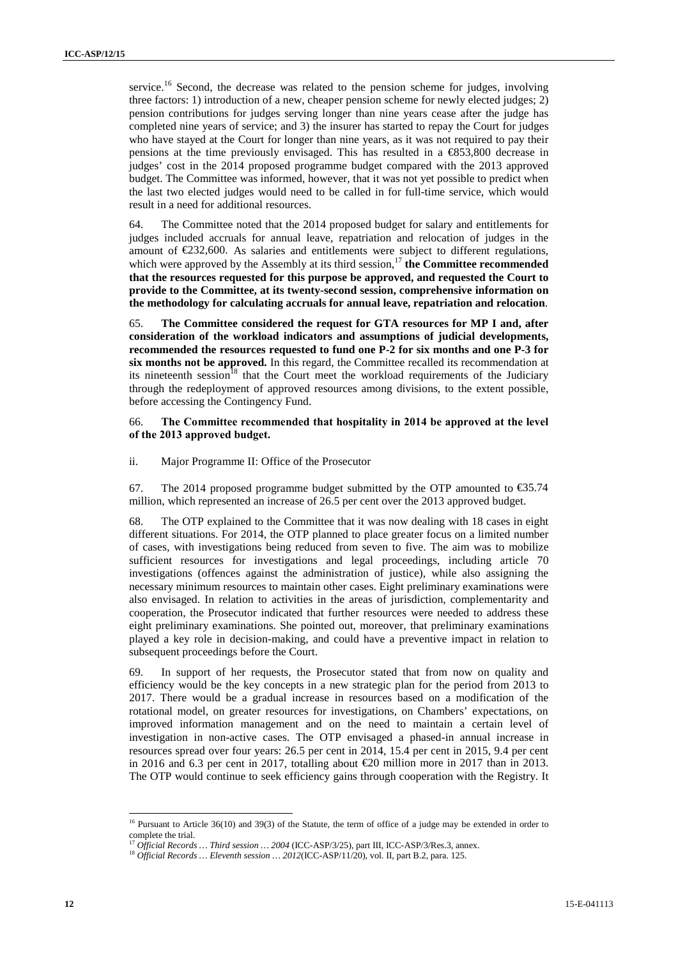service.<sup>16</sup> Second, the decrease was related to the pension scheme for judges, involving three factors: 1) introduction of a new, cheaper pension scheme for newly elected judges; 2) pension contributions for judges serving longer than nine years cease after the judge has completed nine years of service; and 3) the insurer has started to repay the Court for judges who have stayed at the Court for longer than nine years, as it was not required to pay their pensions at the time previously envisaged. This has resulted in a €853,800 decrease in judges' cost in the 2014 proposed programme budget compared with the 2013 approved budget. The Committee was informed, however, that it was not yet possible to predict when the last two elected judges would need to be called in for full-time service, which would result in a need for additional resources.

64. The Committee noted that the 2014 proposed budget for salary and entitlements for judges included accruals for annual leave, repatriation and relocation of judges in the amount of  $\epsilon$ 232,600. As salaries and entitlements were subject to different regulations, which were approved by the Assembly at its third session,<sup>17</sup> the Committee recommended **that the resources requested for this purpose be approved, and requested the Court to provide to the Committee, at its twenty-second session, comprehensive information on the methodology for calculating accruals for annual leave, repatriation and relocation**.

65. **The Committee considered the request for GTA resources for MP I and, after consideration of the workload indicators and assumptions of judicial developments, recommended the resources requested to fund one P-2 for six months and one P-3 for six months not be approved.** In this regard, the Committee recalled its recommendation at its nineteenth session<sup>18</sup> that the Court meet the workload requirements of the Judiciary through the redeployment of approved resources among divisions, to the extent possible, before accessing the Contingency Fund.

66. **The Committee recommended that hospitality in 2014 be approved at the level of the 2013 approved budget.**

ii. Major Programme II: Office of the Prosecutor

67. The 2014 proposed programme budget submitted by the OTP amounted to  $\text{\textsterling}35.74$ million, which represented an increase of 26.5 per cent over the 2013 approved budget.

68. The OTP explained to the Committee that it was now dealing with 18 cases in eight different situations. For 2014, the OTP planned to place greater focus on a limited number of cases, with investigations being reduced from seven to five. The aim was to mobilize sufficient resources for investigations and legal proceedings, including article 70 investigations (offences against the administration of justice), while also assigning the necessary minimum resources to maintain other cases. Eight preliminary examinations were also envisaged. In relation to activities in the areas of jurisdiction, complementarity and cooperation, the Prosecutor indicated that further resources were needed to address these eight preliminary examinations. She pointed out, moreover, that preliminary examinations played a key role in decision-making, and could have a preventive impact in relation to subsequent proceedings before the Court.

69. In support of her requests, the Prosecutor stated that from now on quality and efficiency would be the key concepts in a new strategic plan for the period from 2013 to 2017. There would be a gradual increase in resources based on a modification of the rotational model, on greater resources for investigations, on Chambers' expectations, on improved information management and on the need to maintain a certain level of investigation in non-active cases. The OTP envisaged a phased-in annual increase in resources spread over four years: 26.5 per cent in 2014, 15.4 per cent in 2015, 9.4 per cent in 2016 and 6.3 per cent in 2017, totalling about €20 million more in 2017 than in 2013. The OTP would continue to seek efficiency gains through cooperation with the Registry. It

<sup>&</sup>lt;sup>16</sup> Pursuant to Article 36(10) and 39(3) of the Statute, the term of office of a judge may be extended in order to complete the trial.<br><sup>17</sup> Official Records ... Third session ... 2004 (ICC-ASP/3/25), part III, ICC-ASP/3/Res.3, annex.<br><sup>18</sup> Official Records ... Eleventh session ... 2012(ICC-ASP/11/20), vol. II, part B.2, para. 125.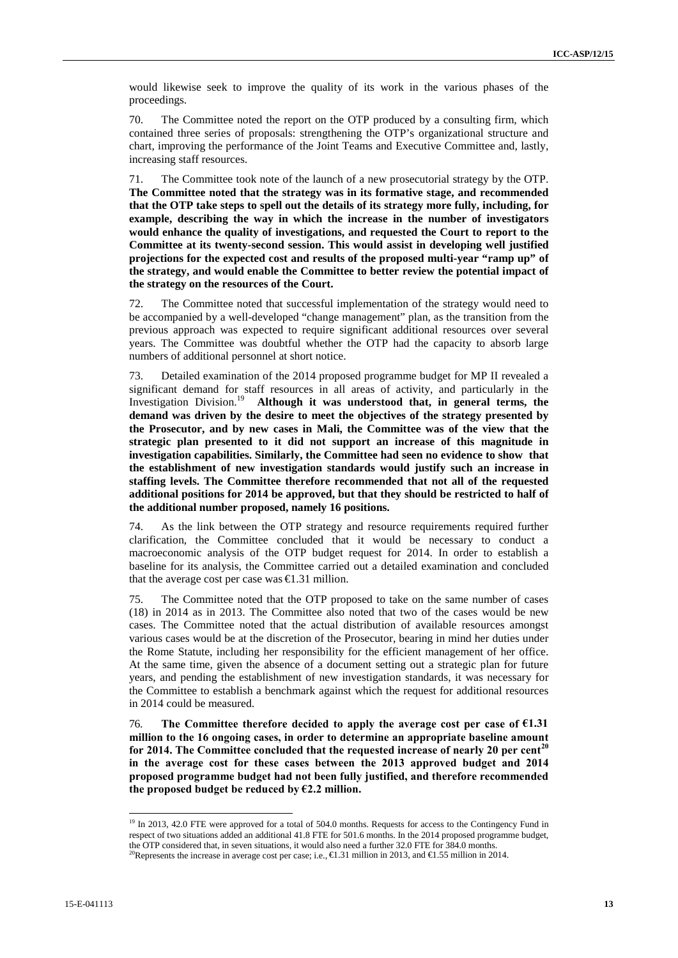would likewise seek to improve the quality of its work in the various phases of the proceedings.

70. The Committee noted the report on the OTP produced by a consulting firm, which contained three series of proposals: strengthening the OTP's organizational structure and chart, improving the performance of the Joint Teams and Executive Committee and, lastly, increasing staff resources.

71. The Committee took note of the launch of a new prosecutorial strategy by the OTP. **The Committee noted that the strategy was in its formative stage, and recommended that the OTP take steps to spell out the details of its strategy more fully, including, for example, describing the way in which the increase in the number of investigators would enhance the quality of investigations, and requested the Court to report to the Committee at its twenty-second session. This would assist in developing well justified projections for the expected cost and results of the proposed multi-year "ramp up" of the strategy, and would enable the Committee to better review the potential impact of the strategy on the resources of the Court.**

72. The Committee noted that successful implementation of the strategy would need to be accompanied by a well-developed "change management" plan, as the transition from the previous approach was expected to require significant additional resources over several years. The Committee was doubtful whether the OTP had the capacity to absorb large numbers of additional personnel at short notice.

73. Detailed examination of the 2014 proposed programme budget for MP II revealed a significant demand for staff resources in all areas of activity, and particularly in the Investigation Division.<sup>19</sup> **Although it was understood that, in general terms, the demand was driven by the desire to meet the objectives of the strategy presented by the Prosecutor, and by new cases in Mali, the Committee was of the view that the strategic plan presented to it did not support an increase of this magnitude in investigation capabilities. Similarly, the Committee had seen no evidence to show that the establishment of new investigation standards would justify such an increase in staffing levels. The Committee therefore recommended that not all of the requested additional positions for 2014 be approved, but that they should be restricted to half of the additional number proposed, namely 16 positions.**

74. As the link between the OTP strategy and resource requirements required further clarification, the Committee concluded that it would be necessary to conduct a macroeconomic analysis of the OTP budget request for 2014. In order to establish a baseline for its analysis, the Committee carried out a detailed examination and concluded that the average cost per case was  $\epsilon 1.31$  million.

75. The Committee noted that the OTP proposed to take on the same number of cases (18) in 2014 as in 2013. The Committee also noted that two of the cases would be new cases. The Committee noted that the actual distribution of available resources amongst various cases would be at the discretion of the Prosecutor, bearing in mind her duties under the Rome Statute, including her responsibility for the efficient management of her office. At the same time, given the absence of a document setting out a strategic plan for future years, and pending the establishment of new investigation standards, it was necessary for the Committee to establish a benchmark against which the request for additional resources in 2014 could be measured.

76. **The Committee therefore decided to apply the average cost per case of €1.31 million to the 16 ongoing cases, in order to determine an appropriate baseline amount for 2014. The Committee concluded that the requested increase of nearly 20 per cent<sup>20</sup> in the average cost for these cases between the 2013 approved budget and 2014 proposed programme budget had not been fully justified, and therefore recommended the proposed budget be reduced by €2.2 million.**

<sup>&</sup>lt;sup>19</sup> In 2013, 42.0 FTE were approved for a total of 504.0 months. Requests for access to the Contingency Fund in respect of two situations added an additional 41.8 FTE for 501.6 months. In the 2014 proposed programme budget, the OTP considered that, in seven situations, it would also need a further 32.0 FTE for 384.0 months.

<sup>&</sup>lt;sup>20</sup>Represents the increase in average cost per case; i.e.,  $\in$  31 million in 2013, and  $\in$  55 million in 2014.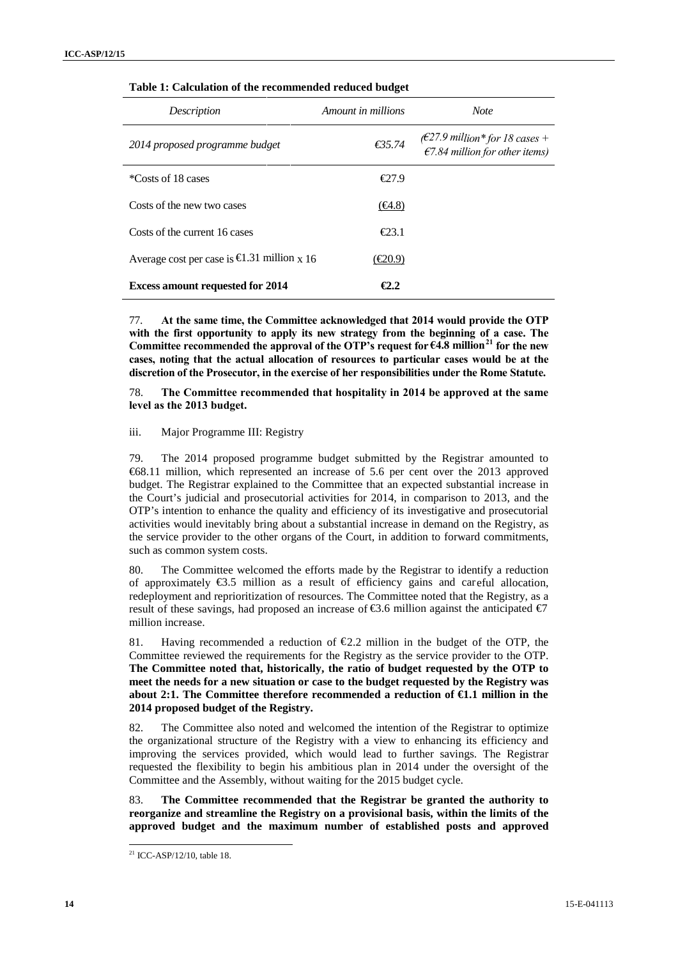| russie re culturation of the recommended reduced suaget |                    |                                                                                       |
|---------------------------------------------------------|--------------------|---------------------------------------------------------------------------------------|
| Description                                             | Amount in millions | <b>Note</b>                                                                           |
| 2014 proposed programme budget                          | €35.74             | ( $\epsilon$ 27.9 million* for 18 cases +<br>$\epsilon$ 7.84 million for other items) |
| *Costs of 18 cases                                      | $E$ 7.9            |                                                                                       |
| Costs of the new two cases                              | $(\epsilon 4.8)$   |                                                                                       |
| Costs of the current 16 cases                           | $\epsilon$ 23.1    |                                                                                       |
| Average cost per case is $\bigoplus$ 31 million x 16    | (€20.9)            |                                                                                       |
| <b>Excess amount requested for 2014</b>                 | $\epsilon$ 2.2     |                                                                                       |

| Table 1: Calculation of the recommended reduced budget |  |
|--------------------------------------------------------|--|
|--------------------------------------------------------|--|

77. **At the same time, the Committee acknowledged that 2014 would provide the OTP with the first opportunity to apply its new strategy from the beginning of a case. The Committee recommended the approval of the OTP's request for €4.8 million<sup>21</sup> for the new cases, noting that the actual allocation of resources to particular cases would be at the discretion of the Prosecutor, in the exercise of her responsibilities under the Rome Statute.**

78. **The Committee recommended that hospitality in 2014 be approved at the same level as the 2013 budget.**

### iii. Major Programme III: Registry

79. The 2014 proposed programme budget submitted by the Registrar amounted to €68.11 million, which represented an increase of 5.6 per cent over the 2013 approved budget. The Registrar explained to the Committee that an expected substantial increase in the Court's judicial and prosecutorial activities for 2014, in comparison to 2013, and the OTP's intention to enhance the quality and efficiency of its investigative and prosecutorial activities would inevitably bring about a substantial increase in demand on the Registry, as the service provider to the other organs of the Court, in addition to forward commitments, such as common system costs.

80. The Committee welcomed the efforts made by the Registrar to identify a reduction of approximately  $\epsilon$ 3.5 million as a result of efficiency gains and careful allocation, redeployment and reprioritization of resources. The Committee noted that the Registry, as a result of these savings, had proposed an increase of  $\epsilon$ 3.6 million against the anticipated  $\epsilon$ 7 million increase.

81. Having recommended a reduction of  $\epsilon_{2,2}$  million in the budget of the OTP, the Committee reviewed the requirements for the Registry as the service provider to the OTP. **The Committee noted that, historically, the ratio of budget requested by the OTP to meet the needs for a new situation or case to the budget requested by the Registry was about 2:1. The Committee therefore recommended a reduction of €1.1 million in the 2014 proposed budget of the Registry.**

82. The Committee also noted and welcomed the intention of the Registrar to optimize the organizational structure of the Registry with a view to enhancing its efficiency and improving the services provided, which would lead to further savings. The Registrar requested the flexibility to begin his ambitious plan in 2014 under the oversight of the Committee and the Assembly, without waiting for the 2015 budget cycle.

83. **The Committee recommended that the Registrar be granted the authority to reorganize and streamline the Registry on a provisional basis, within the limits of the approved budget and the maximum number of established posts and approved**

<sup>&</sup>lt;sup>21</sup> ICC-ASP/12/10, table 18.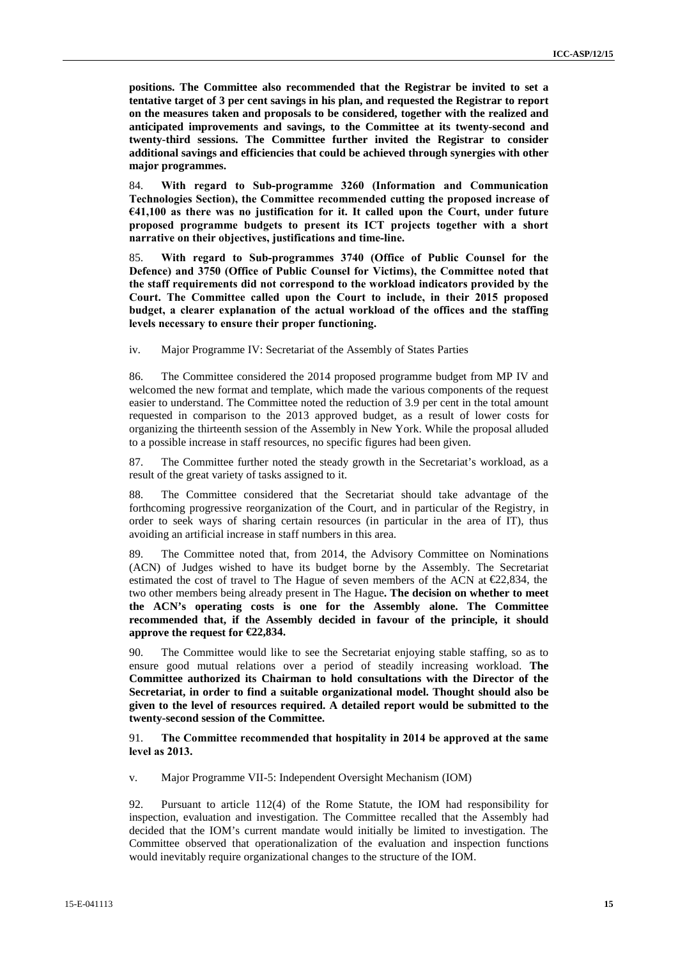**positions. The Committee also recommended that the Registrar be invited to set a tentative target of 3 per cent savings in his plan, and requested the Registrar to report on the measures taken and proposals to be considered, together with the realized and anticipated improvements and savings, to the Committee at its twenty-second and twenty-third sessions. The Committee further invited the Registrar to consider additional savings and efficiencies that could be achieved through synergies with other major programmes.**

84. **With regard to Sub-programme 3260 (Information and Communication Technologies Section), the Committee recommended cutting the proposed increase of €41,100 as there was no justification for it. It called upon the Court, under future proposed programme budgets to present its ICT projects together with a short narrative on their objectives, justifications and time-line.**

85. **With regard to Sub-programmes 3740 (Office of Public Counsel for the Defence) and 3750 (Office of Public Counsel for Victims), the Committee noted that the staff requirements did not correspond to the workload indicators provided by the Court. The Committee called upon the Court to include, in their 2015 proposed budget, a clearer explanation of the actual workload of the offices and the staffing levels necessary to ensure their proper functioning.**

iv. Major Programme IV: Secretariat of the Assembly of States Parties

86. The Committee considered the 2014 proposed programme budget from MP IV and welcomed the new format and template, which made the various components of the request easier to understand. The Committee noted the reduction of 3.9 per cent in the total amount requested in comparison to the 2013 approved budget, as a result of lower costs for organizing the thirteenth session of the Assembly in New York. While the proposal alluded to a possible increase in staff resources, no specific figures had been given.

87. The Committee further noted the steady growth in the Secretariat's workload, as a result of the great variety of tasks assigned to it.

88. The Committee considered that the Secretariat should take advantage of the forthcoming progressive reorganization of the Court, and in particular of the Registry, in order to seek ways of sharing certain resources (in particular in the area of IT), thus avoiding an artificial increase in staff numbers in this area.

89. The Committee noted that, from 2014, the Advisory Committee on Nominations (ACN) of Judges wished to have its budget borne by the Assembly. The Secretariat estimated the cost of travel to The Hague of seven members of the ACN at  $E2,834$ , the two other members being already present in The Hague**. The decision on whether to meet the ACN's operating costs is one for the Assembly alone. The Committee recommended that, if the Assembly decided in favour of the principle, it should approve the request for €22,834.**

90. The Committee would like to see the Secretariat enjoying stable staffing, so as to ensure good mutual relations over a period of steadily increasing workload. **The Committee authorized its Chairman to hold consultations with the Director of the Secretariat, in order to find a suitable organizational model. Thought should also be given to the level of resources required. A detailed report would be submitted to the twenty-second session of the Committee.**

91. **The Committee recommended that hospitality in 2014 be approved at the same level as 2013.**

v. Major Programme VII-5: Independent Oversight Mechanism (IOM)

92. Pursuant to article 112(4) of the Rome Statute, the IOM had responsibility for inspection, evaluation and investigation. The Committee recalled that the Assembly had decided that the IOM's current mandate would initially be limited to investigation. The Committee observed that operationalization of the evaluation and inspection functions would inevitably require organizational changes to the structure of the IOM.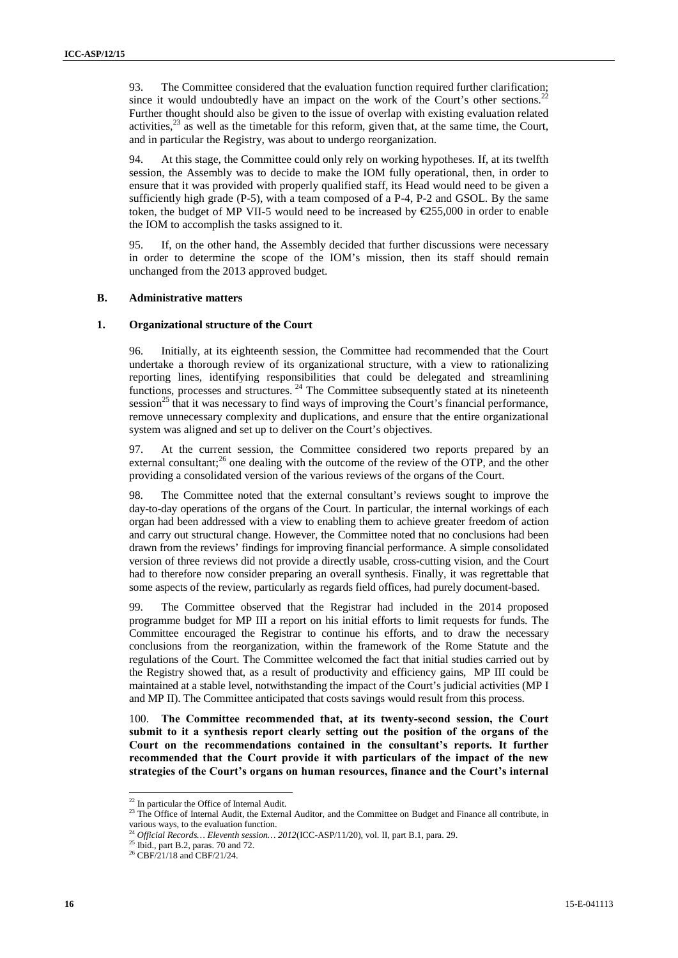93. The Committee considered that the evaluation function required further clarification; since it would undoubtedly have an impact on the work of the Court's other sections.<sup>22</sup> Further thought should also be given to the issue of overlap with existing evaluation related activities, $^{23}$  as well as the timetable for this reform, given that, at the same time, the Court, and in particular the Registry, was about to undergo reorganization.

94. At this stage, the Committee could only rely on working hypotheses. If, at its twelfth session, the Assembly was to decide to make the IOM fully operational, then, in order to ensure that it was provided with properly qualified staff, its Head would need to be given a sufficiently high grade (P-5), with a team composed of a P-4, P-2 and GSOL. By the same token, the budget of MP VII-5 would need to be increased by €255,000 in order to enable the IOM to accomplish the tasks assigned to it.

95. If, on the other hand, the Assembly decided that further discussions were necessary in order to determine the scope of the IOM's mission, then its staff should remain unchanged from the 2013 approved budget.

### **B. Administrative matters**

#### **1. Organizational structure of the Court**

96. Initially, at its eighteenth session, the Committee had recommended that the Court undertake a thorough review of its organizational structure, with a view to rationalizing reporting lines, identifying responsibilities that could be delegated and streamlining functions, processes and structures.<sup>24</sup> The Committee subsequently stated at its nineteenth session<sup>25</sup> that it was necessary to find ways of improving the Court's financial performance, remove unnecessary complexity and duplications, and ensure that the entire organizational system was aligned and set up to deliver on the Court's objectives.

97. At the current session, the Committee considered two reports prepared by an external consultant;<sup>26</sup> one dealing with the outcome of the review of the OTP, and the other providing a consolidated version of the various reviews of the organs of the Court.

98. The Committee noted that the external consultant's reviews sought to improve the day-to-day operations of the organs of the Court. In particular, the internal workings of each organ had been addressed with a view to enabling them to achieve greater freedom of action and carry out structural change. However, the Committee noted that no conclusions had been drawn from the reviews' findings for improving financial performance. A simple consolidated version of three reviews did not provide a directly usable, cross-cutting vision, and the Court had to therefore now consider preparing an overall synthesis. Finally, it was regrettable that some aspects of the review, particularly as regards field offices, had purely document-based.

99. The Committee observed that the Registrar had included in the 2014 proposed programme budget for MP III a report on his initial efforts to limit requests for funds. The Committee encouraged the Registrar to continue his efforts, and to draw the necessary conclusions from the reorganization, within the framework of the Rome Statute and the regulations of the Court. The Committee welcomed the fact that initial studies carried out by the Registry showed that, as a result of productivity and efficiency gains, MP III could be maintained at a stable level, notwithstanding the impact of the Court's judicial activities (MP I and MP II). The Committee anticipated that costs savings would result from this process.

100. **The Committee recommended that, at its twenty-second session, the Court submit to it a synthesis report clearly setting out the position of the organs of the Court on the recommendations contained in the consultant's reports. It further recommended that the Court provide it with particulars of the impact of the new strategies of the Court's organs on human resources, finance and the Court's internal**

 $^{22}$  In particular the Office of Internal Audit.<br> $^{23}$  The Office of Internal Audit, the External Auditor, and the Committee on Budget and Finance all contribute, in various ways, to the evaluation function.

 $^{24}$  *Official Records… Eleventh session…* 2012<br>(ICC-ASP/11/20), vol. II, part B.1, para. 29.  $^{25}$  Ibid., part B.2, paras. 70 and 72.

<sup>&</sup>lt;sup>26</sup> CBF/21/18 and CBF/21/24.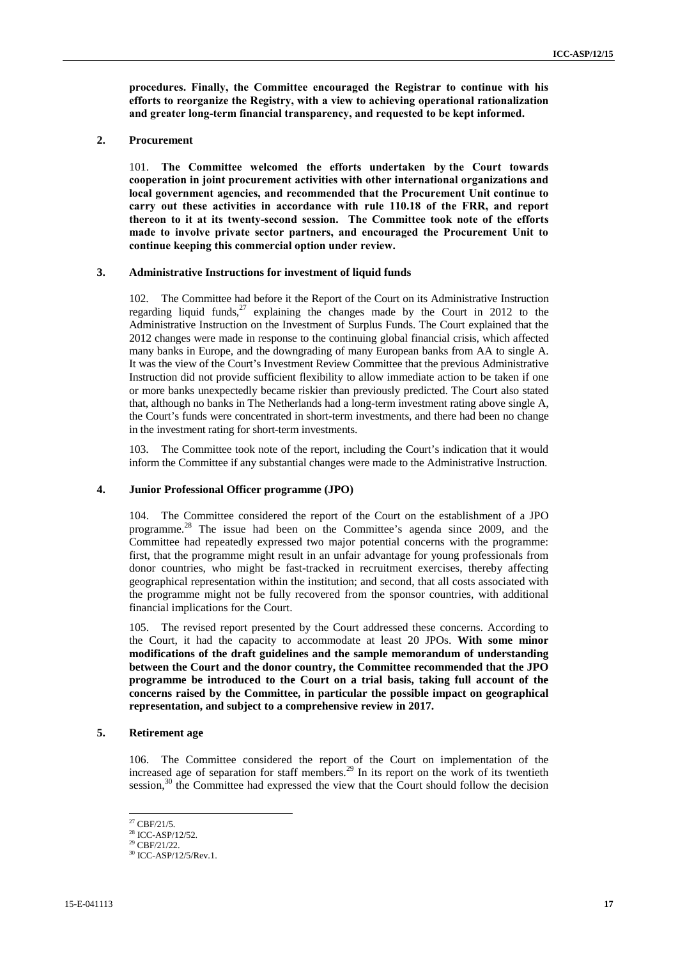**procedures. Finally, the Committee encouraged the Registrar to continue with his efforts to reorganize the Registry, with a view to achieving operational rationalization and greater long-term financial transparency, and requested to be kept informed.**

### **2. Procurement**

101. **The Committee welcomed the efforts undertaken by the Court towards cooperation in joint procurement activities with other international organizations and local government agencies, and recommended that the Procurement Unit continue to carry out these activities in accordance with rule 110.18 of the FRR, and report thereon to it at its twenty-second session. The Committee took note of the efforts made to involve private sector partners, and encouraged the Procurement Unit to continue keeping this commercial option under review.**

### **3. Administrative Instructions for investment of liquid funds**

102. The Committee had before it the Report of the Court on its Administrative Instruction regarding liquid funds,<sup>27</sup> explaining the changes made by the Court in 2012 to the Administrative Instruction on the Investment of Surplus Funds. The Court explained that the 2012 changes were made in response to the continuing global financial crisis, which affected many banks in Europe, and the downgrading of many European banks from AA to single A. It was the view of the Court's Investment Review Committee that the previous Administrative Instruction did not provide sufficient flexibility to allow immediate action to be taken if one or more banks unexpectedly became riskier than previously predicted. The Court also stated that, although no banks in The Netherlands had a long-term investment rating above single A, the Court's funds were concentrated in short-term investments, and there had been no change in the investment rating for short-term investments.

103. The Committee took note of the report, including the Court's indication that it would inform the Committee if any substantial changes were made to the Administrative Instruction.

#### **4. Junior Professional Officer programme (JPO)**

104. The Committee considered the report of the Court on the establishment of a JPO programme.<sup>28</sup> The issue had been on the Committee's agenda since 2009, and the Committee had repeatedly expressed two major potential concerns with the programme: first, that the programme might result in an unfair advantage for young professionals from donor countries, who might be fast-tracked in recruitment exercises, thereby affecting geographical representation within the institution; and second, that all costs associated with the programme might not be fully recovered from the sponsor countries, with additional financial implications for the Court.

105. The revised report presented by the Court addressed these concerns. According to the Court, it had the capacity to accommodate at least 20 JPOs. **With some minor modifications of the draft guidelines and the sample memorandum of understanding between the Court and the donor country, the Committee recommended that the JPO programme be introduced to the Court on a trial basis, taking full account of the concerns raised by the Committee, in particular the possible impact on geographical representation, and subject to a comprehensive review in 2017.**

### **5. Retirement age**

106. The Committee considered the report of the Court on implementation of the increased age of separation for staff members.<sup>29</sup> In its report on the work of its twentieth session,<sup>30</sup> the Committee had expressed the view that the Court should follow the decision

<sup>&</sup>lt;sup>27</sup> CBF/21/5.<br><sup>28</sup> ICC-ASP/12/52.

 $29$  CBF/21/22.

<sup>&</sup>lt;sup>30</sup> ICC-ASP/12/5/Rev.1.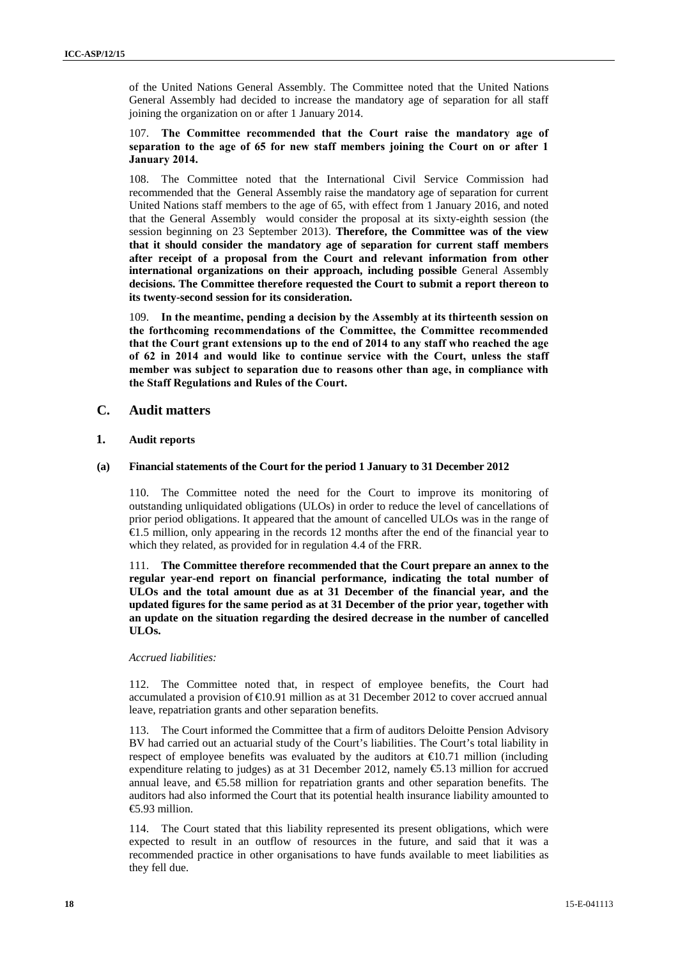of the United Nations General Assembly. The Committee noted that the United Nations General Assembly had decided to increase the mandatory age of separation for all staff joining the organization on or after 1 January 2014.

### 107. **The Committee recommended that the Court raise the mandatory age of separation to the age of 65 for new staff members joining the Court on or after 1 January 2014.**

108. The Committee noted that the International Civil Service Commission had recommended that the General Assembly raise the mandatory age of separation for current United Nations staff members to the age of 65, with effect from 1 January 2016, and noted that the General Assembly would consider the proposal at its sixty-eighth session (the session beginning on 23 September 2013). **Therefore, the Committee was of the view that it should consider the mandatory age of separation for current staff members after receipt of a proposal from the Court and relevant information from other international organizations on their approach, including possible** General Assembly **decisions. The Committee therefore requested the Court to submit a report thereon to its twenty-second session for its consideration.**

109. **In the meantime, pending a decision by the Assembly at its thirteenth session on the forthcoming recommendations of the Committee, the Committee recommended that the Court grant extensions up to the end of 2014 to any staff who reached the age of 62 in 2014 and would like to continue service with the Court, unless the staff member was subject to separation due to reasons other than age, in compliance with the Staff Regulations and Rules of the Court.**

### **C. Audit matters**

### **1. Audit reports**

### **(a) Financial statements of the Court for the period 1 January to 31 December 2012**

110. The Committee noted the need for the Court to improve its monitoring of outstanding unliquidated obligations (ULOs) in order to reduce the level of cancellations of prior period obligations. It appeared that the amount of cancelled ULOs was in the range of €1.5 million, only appearing in the records 12 months after the end of the financial year to which they related, as provided for in regulation 4.4 of the FRR.

111. **The Committee therefore recommended that the Court prepare an annex to the regular year-end report on financial performance, indicating the total number of ULOs and the total amount due as at 31 December of the financial year, and the updated figures for the same period as at 31 December of the prior year, together with an update on the situation regarding the desired decrease in the number of cancelled ULOs.**

### *Accrued liabilities:*

112. The Committee noted that, in respect of employee benefits, the Court had accumulated a provision of €10.91 million as at 31 December 2012 to cover accrued annual leave, repatriation grants and other separation benefits.

113. The Court informed the Committee that a firm of auditors Deloitte Pension Advisory BV had carried out an actuarial study of the Court's liabilities. The Court's total liability in respect of employee benefits was evaluated by the auditors at  $\epsilon 0.71$  million (including expenditure relating to judges) as at 31 December 2012, namely  $\epsilon$ 5.13 million for accrued annual leave, and  $\epsilon$ 5.58 million for repatriation grants and other separation benefits. The auditors had also informed the Court that its potential health insurance liability amounted to €5.93 million.

114. The Court stated that this liability represented its present obligations, which were expected to result in an outflow of resources in the future, and said that it was a recommended practice in other organisations to have funds available to meet liabilities as they fell due.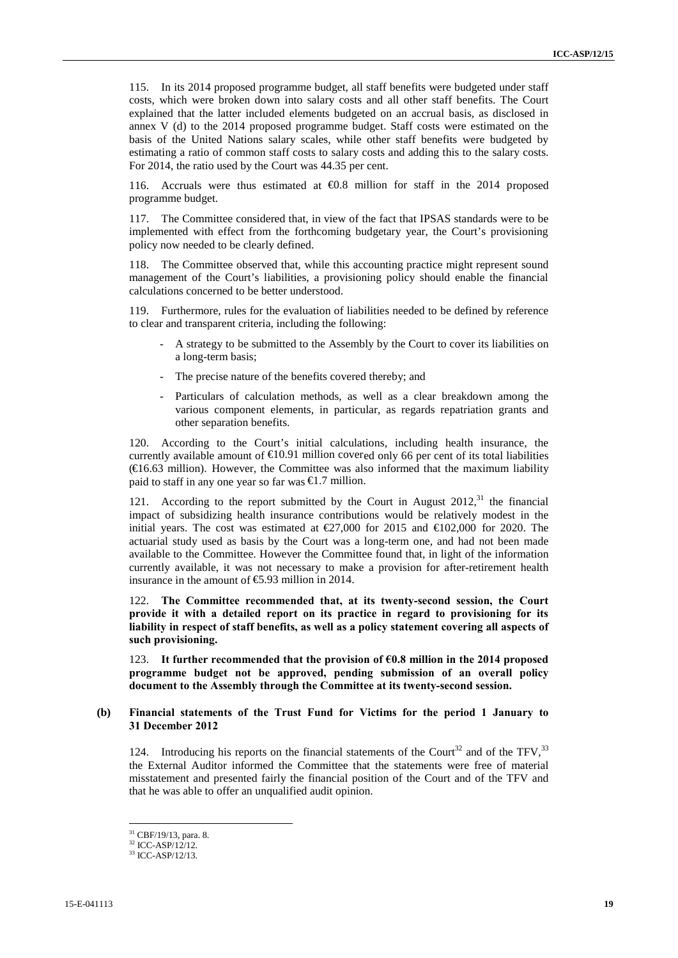115. In its 2014 proposed programme budget, all staff benefits were budgeted under staff costs, which were broken down into salary costs and all other staff benefits. The Court explained that the latter included elements budgeted on an accrual basis, as disclosed in annex V (d) to the 2014 proposed programme budget. Staff costs were estimated on the basis of the United Nations salary scales, while other staff benefits were budgeted by estimating a ratio of common staff costs to salary costs and adding this to the salary costs. For 2014, the ratio used by the Court was 44.35 per cent.

116. Accruals were thus estimated at  $\bigoplus$ .8 million for staff in the 2014 proposed programme budget.

117. The Committee considered that, in view of the fact that IPSAS standards were to be implemented with effect from the forthcoming budgetary year, the Court's provisioning policy now needed to be clearly defined.

118. The Committee observed that, while this accounting practice might represent sound management of the Court's liabilities, a provisioning policy should enable the financial calculations concerned to be better understood.

119. Furthermore, rules for the evaluation of liabilities needed to be defined by reference to clear and transparent criteria, including the following:

- A strategy to be submitted to the Assembly by the Court to cover its liabilities on a long-term basis;
- The precise nature of the benefits covered thereby; and
- Particulars of calculation methods, as well as a clear breakdown among the various component elements, in particular, as regards repatriation grants and other separation benefits.

120. According to the Court's initial calculations, including health insurance, the currently available amount of  $E$ 10.91 million covered only 66 per cent of its total liabilities  $(€16.63$  million). However, the Committee was also informed that the maximum liability paid to staff in any one year so far was  $\epsilon$ 1.7 million.

121. According to the report submitted by the Court in August  $2012$ ,<sup>31</sup>, the financial impact of subsidizing health insurance contributions would be relatively modest in the initial years. The cost was estimated at  $\text{\textsterling}27,000$  for 2015 and  $\text{\textsterling}102,000$  for 2020. The actuarial study used as basis by the Court was a long-term one, and had not been made available to the Committee. However the Committee found that, in light of the information currently available, it was not necessary to make a provision for after-retirement health insurance in the amount of  $\epsilon$ 5.93 million in 2014.

122. **The Committee recommended that, at its twenty-second session, the Court provide it with a detailed report on its practice in regard to provisioning for its liability in respect of staff benefits, as well as a policy statement covering all aspects of such provisioning.**

123. **It further recommended that the provision of €0.8 million in the 2014 proposed programme budget not be approved, pending submission of an overall policy document to the Assembly through the Committee at its twenty-second session.**

### **(b) Financial statements of the Trust Fund for Victims for the period 1 January to 31 December 2012**

124. Introducing his reports on the financial statements of the Court<sup>32</sup> and of the TFV,  $33$ the External Auditor informed the Committee that the statements were free of material misstatement and presented fairly the financial position of the Court and of the TFV and that he was able to offer an unqualified audit opinion.

 $31$  CBF/19/13, para. 8.<br> $32$  ICC-ASP/12/12.

<sup>33</sup> ICC-ASP/12/13.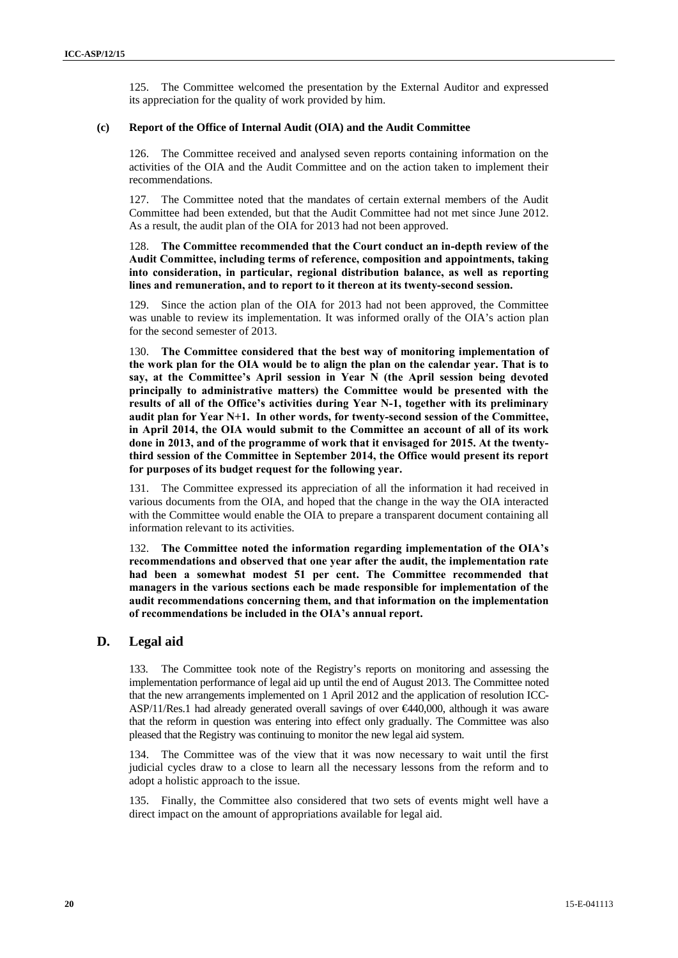125. The Committee welcomed the presentation by the External Auditor and expressed its appreciation for the quality of work provided by him.

### **(c) Report of the Office of Internal Audit (OIA) and the Audit Committee**

126. The Committee received and analysed seven reports containing information on the activities of the OIA and the Audit Committee and on the action taken to implement their recommendations.

127. The Committee noted that the mandates of certain external members of the Audit Committee had been extended, but that the Audit Committee had not met since June 2012. As a result, the audit plan of the OIA for 2013 had not been approved.

### 128. **The Committee recommended that the Court conduct an in-depth review of the Audit Committee, including terms of reference, composition and appointments, taking into consideration, in particular, regional distribution balance, as well as reporting lines and remuneration, and to report to it thereon at its twenty-second session.**

129. Since the action plan of the OIA for 2013 had not been approved, the Committee was unable to review its implementation. It was informed orally of the OIA's action plan for the second semester of 2013.

130. **The Committee considered that the best way of monitoring implementation of the work plan for the OIA would be to align the plan on the calendar year. That is to say, at the Committee's April session in Year N (the April session being devoted principally to administrative matters) the Committee would be presented with the results of all of the Office's activities during Year N-1, together with its preliminary audit plan for Year N+1. In other words, for twenty-second session of the Committee, in April 2014, the OIA would submit to the Committee an account of all of its work done in 2013, and of the programme of work that it envisaged for 2015. At the twentythird session of the Committee in September 2014, the Office would present its report for purposes of its budget request for the following year.**

131. The Committee expressed its appreciation of all the information it had received in various documents from the OIA, and hoped that the change in the way the OIA interacted with the Committee would enable the OIA to prepare a transparent document containing all information relevant to its activities.

132. **The Committee noted the information regarding implementation of the OIA's recommendations and observed that one year after the audit, the implementation rate had been a somewhat modest 51 per cent. The Committee recommended that managers in the various sections each be made responsible for implementation of the audit recommendations concerning them, and that information on the implementation of recommendations be included in the OIA's annual report.**

### **D. Legal aid**

133. The Committee took note of the Registry's reports on monitoring and assessing the implementation performance of legal aid up until the end of August 2013. The Committee noted that the new arrangements implemented on 1 April 2012 and the application of resolution ICC- ASP/11/Res.1 had already generated overall savings of over  $\epsilon$ 440,000, although it was aware that the reform in question was entering into effect only gradually. The Committee was also pleased that the Registry was continuing to monitor the new legal aid system.

134. The Committee was of the view that it was now necessary to wait until the first judicial cycles draw to a close to learn all the necessary lessons from the reform and to adopt a holistic approach to the issue.

135. Finally, the Committee also considered that two sets of events might well have a direct impact on the amount of appropriations available for legal aid.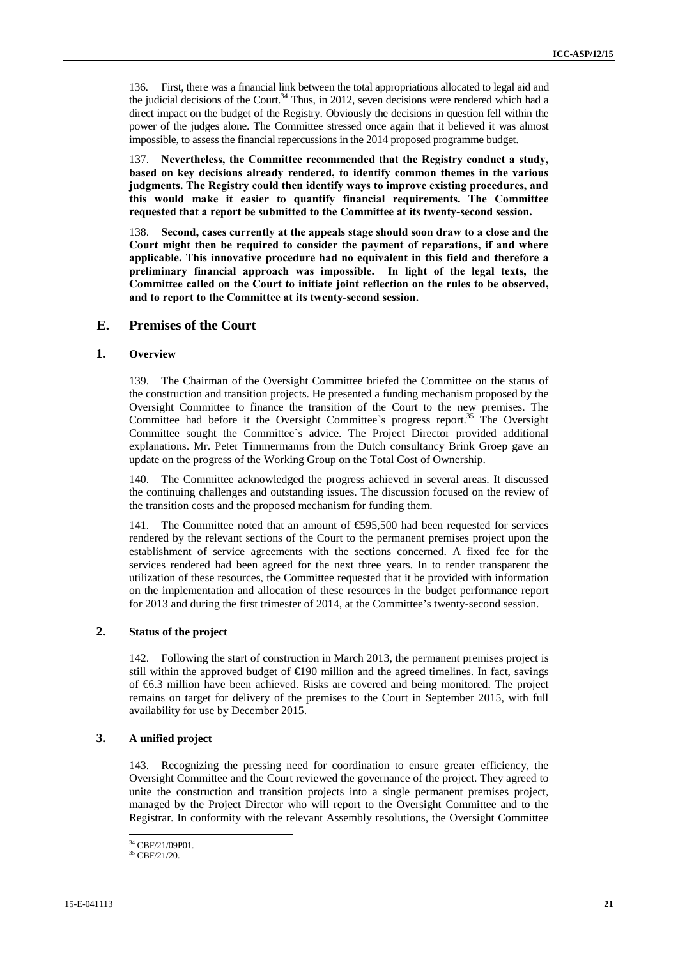136. First, there was a financial link between the total appropriations allocated to legal aid and the judicial decisions of the Court.<sup>34</sup> Thus, in 2012, seven decisions were rendered which had a direct impact on the budget of the Registry. Obviously the decisions in question fell within the power of the judges alone. The Committee stressed once again that it believed it was almost impossible, to assess the financial repercussions in the 2014 proposed programme budget.

137. **Nevertheless, the Committee recommended that the Registry conduct a study, based on key decisions already rendered, to identify common themes in the various judgments. The Registry could then identify ways to improve existing procedures, and this would make it easier to quantify financial requirements. The Committee requested that a report be submitted to the Committee at its twenty-second session.**

138. **Second, cases currently at the appeals stage should soon draw to a close and the Court might then be required to consider the payment of reparations, if and where applicable. This innovative procedure had no equivalent in this field and therefore a preliminary financial approach was impossible. In light of the legal texts, the Committee called on the Court to initiate joint reflection on the rules to be observed, and to report to the Committee at its twenty-second session.**

### **E. Premises of the Court**

### **1. Overview**

139. The Chairman of the Oversight Committee briefed the Committee on the status of the construction and transition projects. He presented a funding mechanism proposed by the Oversight Committee to finance the transition of the Court to the new premises. The Committee had before it the Oversight Committee's progress report.<sup>35</sup> The Oversight Committee sought the Committee`s advice. The Project Director provided additional explanations. Mr. Peter Timmermanns from the Dutch consultancy Brink Groep gave an update on the progress of the Working Group on the Total Cost of Ownership.

140. The Committee acknowledged the progress achieved in several areas. It discussed the continuing challenges and outstanding issues. The discussion focused on the review of the transition costs and the proposed mechanism for funding them.

141. The Committee noted that an amount of €595,500 had been requested for services rendered by the relevant sections of the Court to the permanent premises project upon the establishment of service agreements with the sections concerned. A fixed fee for the services rendered had been agreed for the next three years. In to render transparent the utilization of these resources, the Committee requested that it be provided with information on the implementation and allocation of these resources in the budget performance report for 2013 and during the first trimester of 2014, at the Committee's twenty-second session.

### **2. Status of the project**

142. Following the start of construction in March 2013, the permanent premises project is still within the approved budget of  $\bigoplus$ 90 million and the agreed timelines. In fact, savings of €6.3 million have been achieved. Risks are covered and being monitored. The project remains on target for delivery of the premises to the Court in September 2015, with full availability for use by December 2015.

### **3. A unified project**

143. Recognizing the pressing need for coordination to ensure greater efficiency, the Oversight Committee and the Court reviewed the governance of the project. They agreed to unite the construction and transition projects into a single permanent premises project, managed by the Project Director who will report to the Oversight Committee and to the Registrar. In conformity with the relevant Assembly resolutions, the Oversight Committee

<sup>34</sup> CBF/21/09P01.

<sup>35</sup> CBF/21/20.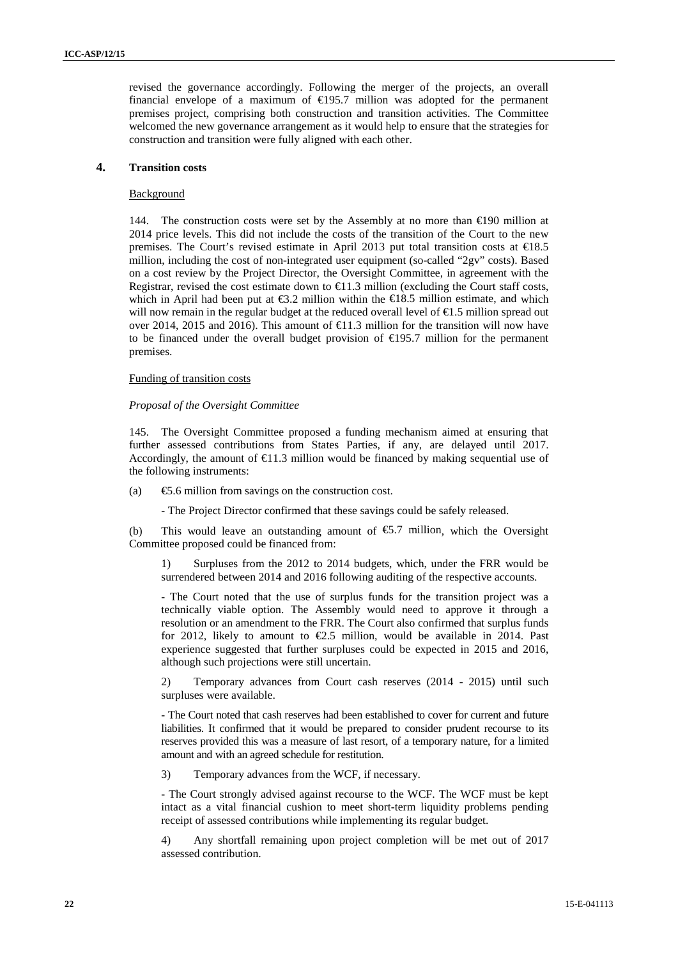revised the governance accordingly. Following the merger of the projects, an overall financial envelope of a maximum of  $\in$ 195.7 million was adopted for the permanent premises project, comprising both construction and transition activities. The Committee welcomed the new governance arrangement as it would help to ensure that the strategies for construction and transition were fully aligned with each other.

### **4. Transition costs**

#### Background

144. The construction costs were set by the Assembly at no more than  $\in$  90 million at 2014 price levels. This did not include the costs of the transition of the Court to the new premises. The Court's revised estimate in April 2013 put total transition costs at €18.5 million, including the cost of non-integrated user equipment (so-called "2gv" costs). Based on a cost review by the Project Director, the Oversight Committee, in agreement with the Registrar, revised the cost estimate down to  $\in$  1.3 million (excluding the Court staff costs, which in April had been put at  $\text{\textsterling}3.2$  million within the  $\text{\textsterling}18.5$  million estimate, and which will now remain in the regular budget at the reduced overall level of €1.5 million spread out over 2014, 2015 and 2016). This amount of €11.3 million for the transition will now have to be financed under the overall budget provision of  $\bigoplus$ 95.7 million for the permanent premises.

### Funding of transition costs

#### *Proposal of the Oversight Committee*

145. The Oversight Committee proposed a funding mechanism aimed at ensuring that further assessed contributions from States Parties, if any, are delayed until 2017. Accordingly, the amount of  $\epsilon$ 1.3 million would be financed by making sequential use of the following instruments:

(a)  $\qquad \qquad \text{6.6 million from savings on the construction cost.}$ 

- The Project Director confirmed that these savings could be safely released.

(b) This would leave an outstanding amount of  $65.7$  million, which the Oversight Committee proposed could be financed from:

1) Surpluses from the 2012 to 2014 budgets, which, under the FRR would be surrendered between 2014 and 2016 following auditing of the respective accounts.

- The Court noted that the use of surplus funds for the transition project was a technically viable option. The Assembly would need to approve it through a resolution or an amendment to the FRR. The Court also confirmed that surplus funds for 2012, likely to amount to  $\epsilon$ 2.5 million, would be available in 2014. Past experience suggested that further surpluses could be expected in 2015 and 2016, although such projections were still uncertain.

2) Temporary advances from Court cash reserves (2014 - 2015) until such surpluses were available.

- The Court noted that cash reserves had been established to cover for current and future liabilities. It confirmed that it would be prepared to consider prudent recourse to its reserves provided this was a measure of last resort, of a temporary nature, for a limited amount and with an agreed schedule for restitution.

3) Temporary advances from the WCF, if necessary.

- The Court strongly advised against recourse to the WCF. The WCF must be kept intact as a vital financial cushion to meet short-term liquidity problems pending receipt of assessed contributions while implementing its regular budget.

4) Any shortfall remaining upon project completion will be met out of 2017 assessed contribution.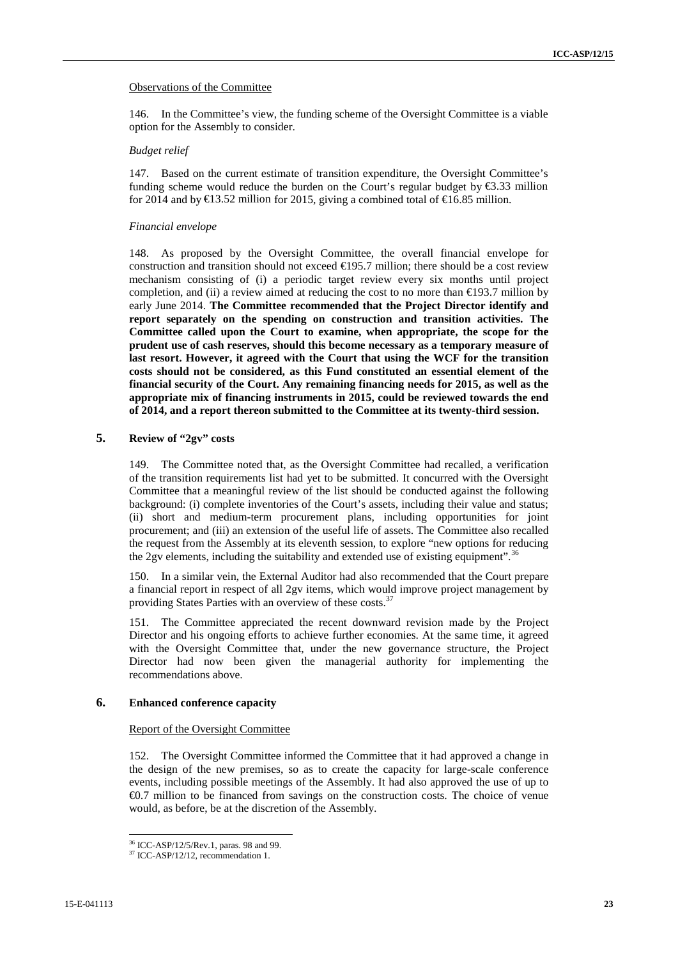### Observations of the Committee

146. In the Committee's view, the funding scheme of the Oversight Committee is a viable option for the Assembly to consider.

### *Budget relief*

147. Based on the current estimate of transition expenditure, the Oversight Committee's funding scheme would reduce the burden on the Court's regular budget by €3.33 million for 2014 and by  $\text{€13.52}$  million for 2015, giving a combined total of  $\text{€16.85}$  million.

### *Financial envelope*

148. As proposed by the Oversight Committee, the overall financial envelope for construction and transition should not exceed €195.7 million; there should be a cost review mechanism consisting of (i) a periodic target review every six months until project completion, and (ii) a review aimed at reducing the cost to no more than  $\bigoplus$ 93.7 million by early June 2014. **The Committee recommended that the Project Director identify and report separately on the spending on construction and transition activities. The Committee called upon the Court to examine, when appropriate, the scope for the prudent use of cash reserves, should this become necessary as a temporary measure of last resort. However, it agreed with the Court that using the WCF for the transition costs should not be considered, as this Fund constituted an essential element of the financial security of the Court. Any remaining financing needs for 2015, as well as the appropriate mix of financing instruments in 2015, could be reviewed towards the end of 2014, and a report thereon submitted to the Committee at its twenty-third session.**

### **5. Review of "2gv" costs**

149. The Committee noted that, as the Oversight Committee had recalled, a verification of the transition requirements list had yet to be submitted. It concurred with the Oversight Committee that a meaningful review of the list should be conducted against the following background: (i) complete inventories of the Court's assets, including their value and status; (ii) short and medium-term procurement plans, including opportunities for joint procurement; and (iii) an extension of the useful life of assets. The Committee also recalled the request from the Assembly at its eleventh session, to explore "new options for reducing the 2gv elements, including the suitability and extended use of existing equipment".<sup>36</sup>

150. In a similar vein, the External Auditor had also recommended that the Court prepare a financial report in respect of all 2gv items, which would improve project management by providing States Parties with an overview of these costs.<sup>37</sup>

151. The Committee appreciated the recent downward revision made by the Project Director and his ongoing efforts to achieve further economies. At the same time, it agreed with the Oversight Committee that, under the new governance structure, the Project Director had now been given the managerial authority for implementing the recommendations above.

### **6. Enhanced conference capacity**

### Report of the Oversight Committee

152. The Oversight Committee informed the Committee that it had approved a change in the design of the new premises, so as to create the capacity for large-scale conference events, including possible meetings of the Assembly. It had also approved the use of up to €0.7 million to be financed from savings on the construction costs. The choice of venue would, as before, be at the discretion of the Assembly.

<sup>36</sup> ICC-ASP/12/5/Rev.1, paras. 98 and 99.

 $37$  ICC-ASP/12/12, recommendation 1.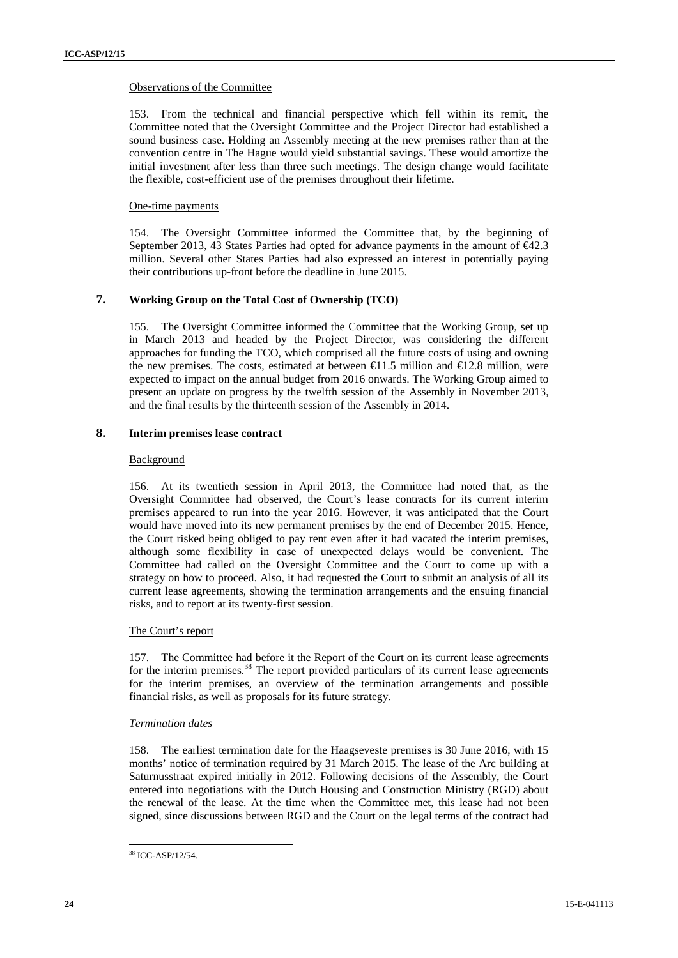### Observations of the Committee

153. From the technical and financial perspective which fell within its remit, the Committee noted that the Oversight Committee and the Project Director had established a sound business case. Holding an Assembly meeting at the new premises rather than at the convention centre in The Hague would yield substantial savings. These would amortize the initial investment after less than three such meetings. The design change would facilitate the flexible, cost-efficient use of the premises throughout their lifetime.

### One-time payments

154. The Oversight Committee informed the Committee that, by the beginning of September 2013, 43 States Parties had opted for advance payments in the amount of  $\epsilon 42.3$ million. Several other States Parties had also expressed an interest in potentially paying their contributions up-front before the deadline in June 2015.

### **7. Working Group on the Total Cost of Ownership (TCO)**

155. The Oversight Committee informed the Committee that the Working Group, set up in March 2013 and headed by the Project Director, was considering the different approaches for funding the TCO, which comprised all the future costs of using and owning the new premises. The costs, estimated at between  $\in$ 1.5 million and  $\in$ 12.8 million, were expected to impact on the annual budget from 2016 onwards. The Working Group aimed to present an update on progress by the twelfth session of the Assembly in November 2013, and the final results by the thirteenth session of the Assembly in 2014.

### **8. Interim premises lease contract**

### Background

156. At its twentieth session in April 2013, the Committee had noted that, as the Oversight Committee had observed, the Court's lease contracts for its current interim premises appeared to run into the year 2016. However, it was anticipated that the Court would have moved into its new permanent premises by the end of December 2015. Hence, the Court risked being obliged to pay rent even after it had vacated the interim premises, although some flexibility in case of unexpected delays would be convenient. The Committee had called on the Oversight Committee and the Court to come up with a strategy on how to proceed. Also, it had requested the Court to submit an analysis of all its current lease agreements, showing the termination arrangements and the ensuing financial risks, and to report at its twenty-first session.

### The Court's report

157. The Committee had before it the Report of the Court on its current lease agreements for the interim premises.<sup>38</sup> The report provided particulars of its current lease agreements for the interim premises, an overview of the termination arrangements and possible financial risks, as well as proposals for its future strategy.

### *Termination dates*

158. The earliest termination date for the Haagseveste premises is 30 June 2016, with 15 months' notice of termination required by 31 March 2015. The lease of the Arc building at Saturnusstraat expired initially in 2012. Following decisions of the Assembly, the Court entered into negotiations with the Dutch Housing and Construction Ministry (RGD) about the renewal of the lease. At the time when the Committee met, this lease had not been signed, since discussions between RGD and the Court on the legal terms of the contract had

<sup>38</sup> ICC-ASP/12/54.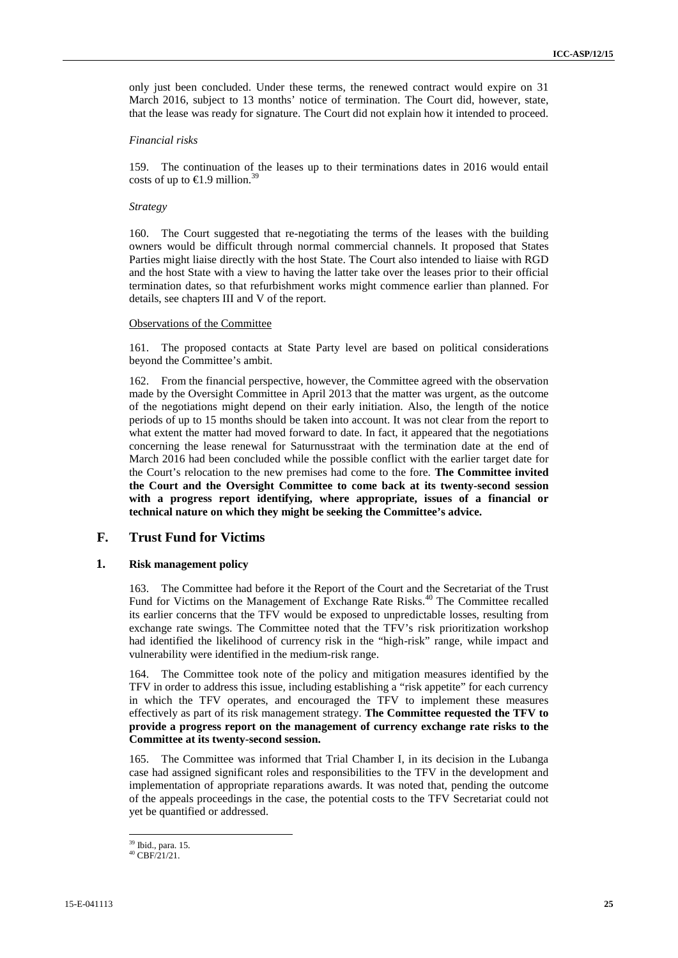only just been concluded. Under these terms, the renewed contract would expire on 31 March 2016, subject to 13 months' notice of termination. The Court did, however, state, that the lease was ready for signature. The Court did not explain how it intended to proceed.

#### *Financial risks*

159. The continuation of the leases up to their terminations dates in 2016 would entail costs of up to  $\in$ 1.9 million.<sup>39</sup>

### *Strategy*

160. The Court suggested that re-negotiating the terms of the leases with the building owners would be difficult through normal commercial channels. It proposed that States Parties might liaise directly with the host State. The Court also intended to liaise with RGD and the host State with a view to having the latter take over the leases prior to their official termination dates, so that refurbishment works might commence earlier than planned. For details, see chapters III and V of the report.

#### Observations of the Committee

161. The proposed contacts at State Party level are based on political considerations beyond the Committee's ambit.

162. From the financial perspective, however, the Committee agreed with the observation made by the Oversight Committee in April 2013 that the matter was urgent, as the outcome of the negotiations might depend on their early initiation. Also, the length of the notice periods of up to 15 months should be taken into account. It was not clear from the report to what extent the matter had moved forward to date. In fact, it appeared that the negotiations concerning the lease renewal for Saturnusstraat with the termination date at the end of March 2016 had been concluded while the possible conflict with the earlier target date for the Court's relocation to the new premises had come to the fore. **The Committee invited the Court and the Oversight Committee to come back at its twenty-second session with a progress report identifying, where appropriate, issues of a financial or technical nature on which they might be seeking the Committee's advice.**

### **F. Trust Fund for Victims**

### **1. Risk management policy**

163. The Committee had before it the Report of the Court and the Secretariat of the Trust Fund for Victims on the Management of Exchange Rate Risks.<sup>40</sup> The Committee recalled its earlier concerns that the TFV would be exposed to unpredictable losses, resulting from exchange rate swings. The Committee noted that the TFV's risk prioritization workshop had identified the likelihood of currency risk in the "high-risk" range, while impact and vulnerability were identified in the medium-risk range.

164. The Committee took note of the policy and mitigation measures identified by the TFV in order to address this issue, including establishing a "risk appetite" for each currency in which the TFV operates, and encouraged the TFV to implement these measures effectively as part of its risk management strategy. **The Committee requested the TFV to provide a progress report on the management of currency exchange rate risks to the Committee at its twenty-second session.**

165. The Committee was informed that Trial Chamber I, in its decision in the Lubanga case had assigned significant roles and responsibilities to the TFV in the development and implementation of appropriate reparations awards. It was noted that, pending the outcome of the appeals proceedings in the case, the potential costs to the TFV Secretariat could not yet be quantified or addressed.

<sup>39</sup> Ibid., para. 15.

<sup>40</sup> CBF/21/21.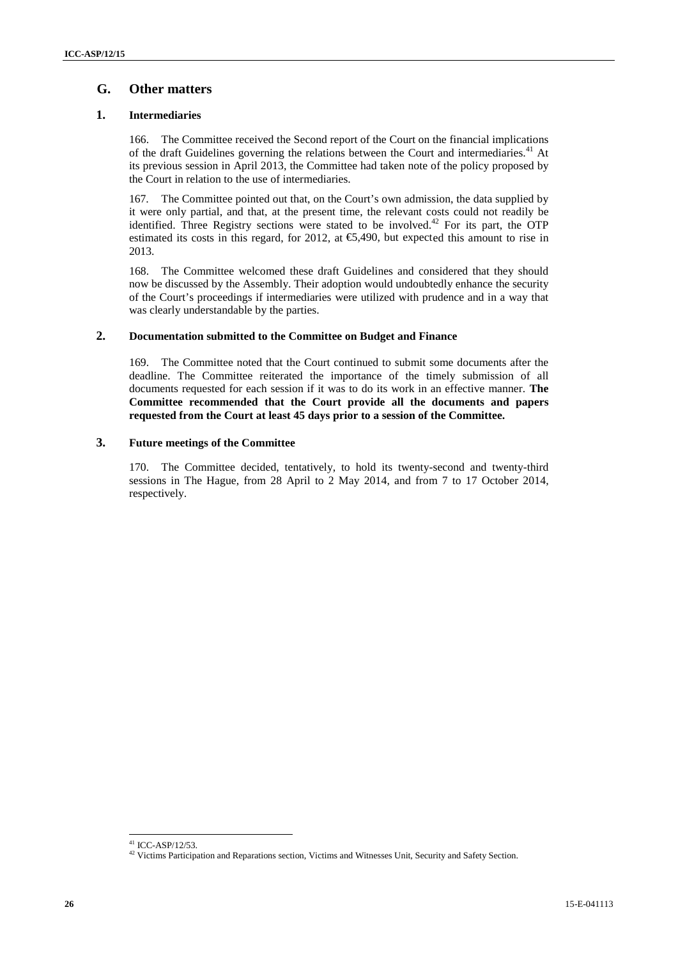## **G. Other matters**

### **1. Intermediaries**

166. The Committee received the Second report of the Court on the financial implications of the draft Guidelines governing the relations between the Court and intermediaries.<sup>41</sup> At its previous session in April 2013, the Committee had taken note of the policy proposed by the Court in relation to the use of intermediaries.

167. The Committee pointed out that, on the Court's own admission, the data supplied by it were only partial, and that, at the present time, the relevant costs could not readily be identified. Three Registry sections were stated to be involved.<sup>42</sup> For its part, the OTP estimated its costs in this regard, for 2012, at  $\epsilon$ 5,490, but expected this amount to rise in 2013.

168. The Committee welcomed these draft Guidelines and considered that they should now be discussed by the Assembly. Their adoption would undoubtedly enhance the security of the Court's proceedings if intermediaries were utilized with prudence and in a way that was clearly understandable by the parties.

### **2. Documentation submitted to the Committee on Budget and Finance**

169. The Committee noted that the Court continued to submit some documents after the deadline. The Committee reiterated the importance of the timely submission of all documents requested for each session if it was to do its work in an effective manner. **The Committee recommended that the Court provide all the documents and papers requested from the Court at least 45 days prior to a session of the Committee.**

### **3. Future meetings of the Committee**

170. The Committee decided, tentatively, to hold its twenty-second and twenty-third sessions in The Hague, from 28 April to 2 May 2014, and from 7 to 17 October 2014, respectively.

<sup>41</sup> ICC-ASP/12/53.

<sup>&</sup>lt;sup>42</sup> Victims Participation and Reparations section, Victims and Witnesses Unit, Security and Safety Section.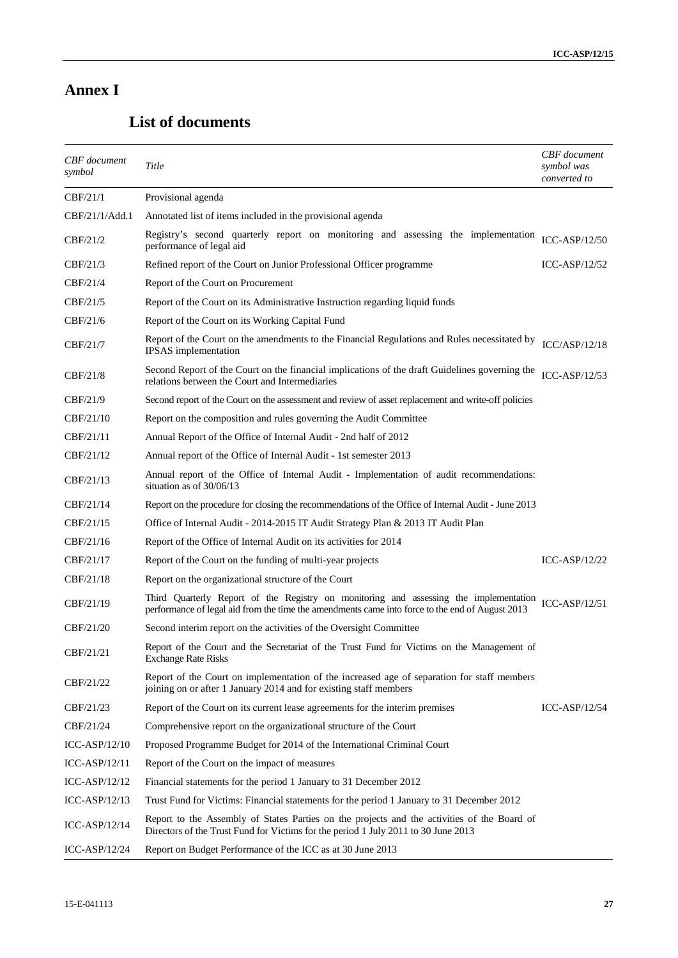# **Annex I**

# **List of documents**

| <b>CBF</b> document<br>symbol | Title                                                                                                                                                                                    | <b>CBF</b> document<br>symbol was<br>converted to |
|-------------------------------|------------------------------------------------------------------------------------------------------------------------------------------------------------------------------------------|---------------------------------------------------|
| CBF/21/1                      | Provisional agenda                                                                                                                                                                       |                                                   |
| CBF/21/1/Add.1                | Annotated list of items included in the provisional agenda                                                                                                                               |                                                   |
| CBF/21/2                      | Registry's second quarterly report on monitoring and assessing the implementation<br>performance of legal aid                                                                            | ICC-ASP/12/50                                     |
| CBF/21/3                      | Refined report of the Court on Junior Professional Officer programme                                                                                                                     | $ICC-ASP/12/52$                                   |
| CBF/21/4                      | Report of the Court on Procurement                                                                                                                                                       |                                                   |
| CBF/21/5                      | Report of the Court on its Administrative Instruction regarding liquid funds                                                                                                             |                                                   |
| CBF/21/6                      | Report of the Court on its Working Capital Fund                                                                                                                                          |                                                   |
| CBF/21/7                      | Report of the Court on the amendments to the Financial Regulations and Rules necessitated by<br>IPSAS implementation                                                                     | ICC/ASP/12/18                                     |
| CBF/21/8                      | Second Report of the Court on the financial implications of the draft Guidelines governing the<br>relations between the Court and Intermediaries                                         | ICC-ASP/12/53                                     |
| CBF/21/9                      | Second report of the Court on the assessment and review of asset replacement and write-off policies                                                                                      |                                                   |
| CBF/21/10                     | Report on the composition and rules governing the Audit Committee                                                                                                                        |                                                   |
| CBF/21/11                     | Annual Report of the Office of Internal Audit - 2nd half of 2012                                                                                                                         |                                                   |
| CBF/21/12                     | Annual report of the Office of Internal Audit - 1st semester 2013                                                                                                                        |                                                   |
| CBF/21/13                     | Annual report of the Office of Internal Audit - Implementation of audit recommendations:<br>situation as of 30/06/13                                                                     |                                                   |
| CBF/21/14                     | Report on the procedure for closing the recommendations of the Office of Internal Audit - June 2013                                                                                      |                                                   |
| CBF/21/15                     | Office of Internal Audit - 2014-2015 IT Audit Strategy Plan & 2013 IT Audit Plan                                                                                                         |                                                   |
| CBF/21/16                     | Report of the Office of Internal Audit on its activities for 2014                                                                                                                        |                                                   |
| CBF/21/17                     | Report of the Court on the funding of multi-year projects                                                                                                                                | $ICC-ASP/12/22$                                   |
| CBF/21/18                     | Report on the organizational structure of the Court                                                                                                                                      |                                                   |
| CBF/21/19                     | Third Quarterly Report of the Registry on monitoring and assessing the implementation<br>performance of legal aid from the time the amendments came into force to the end of August 2013 | $ICC-ASP/12/51$                                   |
| CBF/21/20                     | Second interim report on the activities of the Oversight Committee                                                                                                                       |                                                   |
| CBF/21/21                     | Report of the Court and the Secretariat of the Trust Fund for Victims on the Management of<br><b>Exchange Rate Risks</b>                                                                 |                                                   |
| CBF/21/22                     | Report of the Court on implementation of the increased age of separation for staff members<br>joining on or after 1 January 2014 and for existing staff members                          |                                                   |
| CBF/21/23                     | Report of the Court on its current lease agreements for the interim premises                                                                                                             | $ICC-ASP/12/54$                                   |
| CBF/21/24                     | Comprehensive report on the organizational structure of the Court                                                                                                                        |                                                   |
| $ICC-ASP/12/10$               | Proposed Programme Budget for 2014 of the International Criminal Court                                                                                                                   |                                                   |
| $ICC-ASP/12/11$               | Report of the Court on the impact of measures                                                                                                                                            |                                                   |
| $ICC-ASP/12/12$               | Financial statements for the period 1 January to 31 December 2012                                                                                                                        |                                                   |
| $ICC-ASP/12/13$               | Trust Fund for Victims: Financial statements for the period 1 January to 31 December 2012                                                                                                |                                                   |
| $ICC-ASP/12/14$               | Report to the Assembly of States Parties on the projects and the activities of the Board of<br>Directors of the Trust Fund for Victims for the period 1 July 2011 to 30 June 2013        |                                                   |
| ICC-ASP/12/24                 | Report on Budget Performance of the ICC as at 30 June 2013                                                                                                                               |                                                   |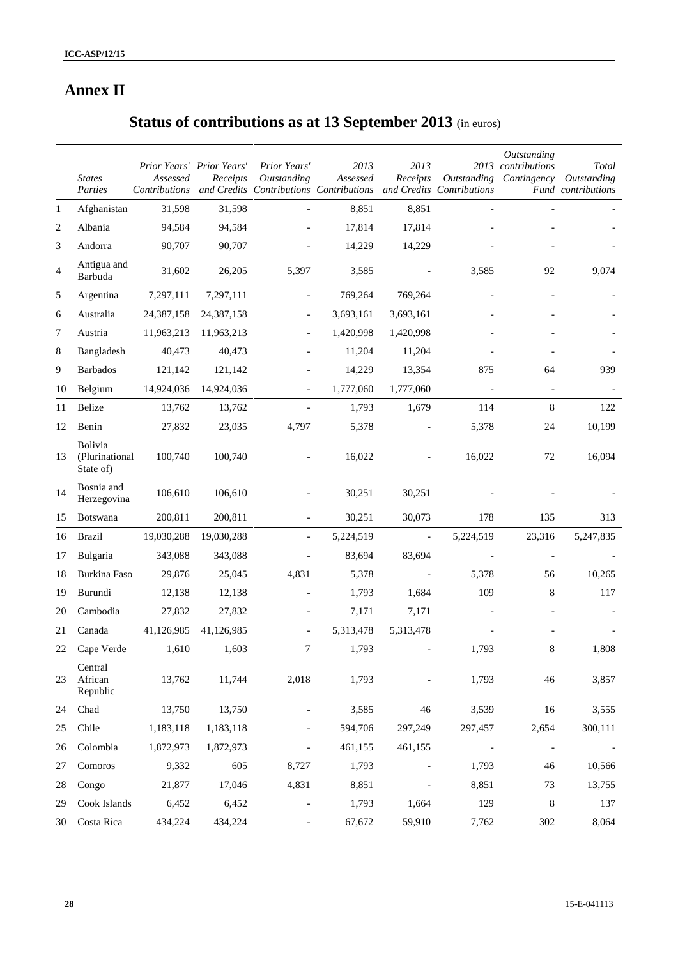# **Annex II**

# **Status of contributions as at 13 September 2013** (in euros)

|                | <b>States</b><br>Parties                      | Prior Years' Prior Years'<br>Assessed | Receipts   | Prior Years'<br>Outstanding | 2013<br>Assessed<br>Contributions and Credits Contributions Contributions and Credits Contributions | 2013<br>Receipts         | Outstanding              | Outstanding<br>2013 contributions | Total<br>Contingency Outstanding<br>Fund contributions |
|----------------|-----------------------------------------------|---------------------------------------|------------|-----------------------------|-----------------------------------------------------------------------------------------------------|--------------------------|--------------------------|-----------------------------------|--------------------------------------------------------|
| $\mathbf{1}$   | Afghanistan                                   | 31,598                                | 31,598     |                             | 8,851                                                                                               | 8,851                    |                          | $\overline{\phantom{a}}$          |                                                        |
| 2              | Albania                                       | 94,584                                | 94,584     |                             | 17,814                                                                                              | 17,814                   |                          |                                   |                                                        |
| 3              | Andorra                                       | 90,707                                | 90,707     |                             | 14,229                                                                                              | 14,229                   |                          |                                   |                                                        |
| $\overline{4}$ | Antigua and<br>Barbuda                        | 31,602                                | 26,205     | 5,397                       | 3,585                                                                                               |                          | 3,585                    | 92                                | 9,074                                                  |
| 5              | Argentina                                     | 7,297,111                             | 7,297,111  | $\overline{\phantom{a}}$    | 769,264                                                                                             | 769,264                  |                          | $\blacksquare$                    |                                                        |
| 6              | Australia                                     | 24,387,158                            | 24,387,158 | $\blacksquare$              | 3,693,161                                                                                           | 3,693,161                |                          |                                   |                                                        |
| 7              | Austria                                       | 11,963,213                            | 11,963,213 |                             | 1,420,998                                                                                           | 1,420,998                |                          |                                   |                                                        |
| 8              | Bangladesh                                    | 40,473                                | 40,473     |                             | 11,204                                                                                              | 11,204                   |                          |                                   |                                                        |
| 9              | <b>Barbados</b>                               | 121,142                               | 121,142    |                             | 14,229                                                                                              | 13,354                   | 875                      | 64                                | 939                                                    |
| 10             | Belgium                                       | 14,924,036                            | 14,924,036 | $\overline{\phantom{a}}$    | 1,777,060                                                                                           | 1,777,060                | $\overline{\phantom{a}}$ | $\overline{\phantom{a}}$          |                                                        |
| 11             | Belize                                        | 13,762                                | 13,762     |                             | 1,793                                                                                               | 1,679                    | 114                      | 8                                 | 122                                                    |
| 12             | Benin                                         | 27,832                                | 23,035     | 4,797                       | 5,378                                                                                               |                          | 5,378                    | 24                                | 10,199                                                 |
| 13             | <b>Bolivia</b><br>(Plurinational<br>State of) | 100,740                               | 100,740    |                             | 16,022                                                                                              |                          | 16,022                   | 72                                | 16,094                                                 |
| 14             | Bosnia and<br>Herzegovina                     | 106,610                               | 106,610    |                             | 30,251                                                                                              | 30,251                   |                          |                                   |                                                        |
| 15             | <b>Botswana</b>                               | 200,811                               | 200,811    |                             | 30,251                                                                                              | 30,073                   | 178                      | 135                               | 313                                                    |
| 16             | <b>Brazil</b>                                 | 19,030,288                            | 19,030,288 |                             | 5,224,519                                                                                           | $\blacksquare$           | 5,224,519                | 23,316                            | 5,247,835                                              |
| 17             | Bulgaria                                      | 343,088                               | 343,088    |                             | 83,694                                                                                              | 83,694                   |                          |                                   |                                                        |
| 18             | Burkina Faso                                  | 29,876                                | 25,045     | 4,831                       | 5,378                                                                                               | $\overline{\phantom{a}}$ | 5,378                    | 56                                | 10,265                                                 |
| 19             | Burundi                                       | 12,138                                | 12,138     |                             | 1,793                                                                                               | 1,684                    | 109                      | 8                                 | 117                                                    |
| 20             | Cambodia                                      | 27,832                                | 27,832     |                             | 7,171                                                                                               | 7,171                    | $\blacksquare$           | $\overline{\phantom{a}}$          |                                                        |
| 21             | Canada                                        | 41,126,985                            | 41,126,985 | $\blacksquare$              | 5,313,478                                                                                           | 5,313,478                |                          |                                   |                                                        |
| 22             | Cape Verde                                    | 1,610                                 | 1,603      | 7                           | 1,793                                                                                               |                          | 1,793                    | 8                                 | 1,808                                                  |
| 23             | Central<br>African<br>Republic                | 13,762                                | 11,744     | 2,018                       | 1,793                                                                                               |                          | 1,793                    | 46                                | 3,857                                                  |
| 24             | Chad                                          | 13,750                                | 13,750     | $\overline{\phantom{a}}$    | 3,585                                                                                               | 46                       | 3,539                    | 16                                | 3,555                                                  |
| 25             | Chile                                         | 1,183,118                             | 1,183,118  | $\overline{\phantom{a}}$    | 594,706                                                                                             | 297,249                  | 297,457                  | 2,654                             | 300,111                                                |
| 26             | Colombia                                      | 1,872,973                             | 1,872,973  | $\overline{\phantom{a}}$    | 461,155                                                                                             | 461,155                  | $\overline{\phantom{a}}$ | $\blacksquare$                    |                                                        |
| 27             | Comoros                                       | 9,332                                 | 605        | 8,727                       | 1,793                                                                                               |                          | 1,793                    | 46                                | 10,566                                                 |
| 28             | Congo                                         | 21,877                                | 17,046     | 4,831                       | 8,851                                                                                               | $\overline{\phantom{a}}$ | 8,851                    | 73                                | 13,755                                                 |
| 29             | Cook Islands                                  | 6,452                                 | 6,452      |                             | 1,793                                                                                               | 1,664                    | 129                      | 8                                 | 137                                                    |
| 30             | Costa Rica                                    | 434,224                               | 434,224    | $\overline{\phantom{a}}$    | 67,672                                                                                              | 59,910                   | 7,762                    | 302                               | 8,064                                                  |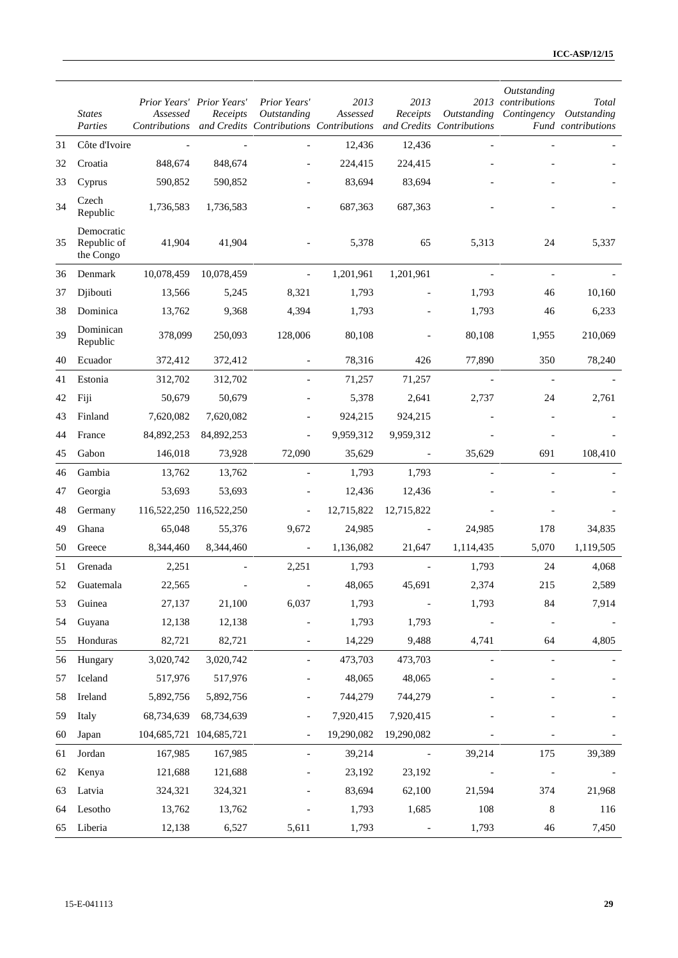|    | <b>States</b><br>Parties               | Prior Years' Prior Years'<br>Assessed<br>Contributions | Receipts   | Prior Years'<br>Outstanding | 2013<br>Assessed<br>and Credits Contributions Contributions and Credits Contributions | 2013<br>Receipts         | Outstanding              | Outstanding<br>2013 contributions | Total<br>Contingency Outstanding<br>Fund contributions |
|----|----------------------------------------|--------------------------------------------------------|------------|-----------------------------|---------------------------------------------------------------------------------------|--------------------------|--------------------------|-----------------------------------|--------------------------------------------------------|
| 31 | Côte d'Ivoire                          |                                                        |            |                             | 12,436                                                                                | 12,436                   |                          |                                   |                                                        |
| 32 | Croatia                                | 848,674                                                | 848,674    |                             | 224,415                                                                               | 224,415                  |                          |                                   |                                                        |
| 33 | Cyprus                                 | 590,852                                                | 590,852    |                             | 83,694                                                                                | 83,694                   |                          |                                   |                                                        |
| 34 | Czech<br>Republic                      | 1,736,583                                              | 1,736,583  |                             | 687,363                                                                               | 687,363                  |                          |                                   |                                                        |
| 35 | Democratic<br>Republic of<br>the Congo | 41.904                                                 | 41,904     |                             | 5,378                                                                                 | 65                       | 5,313                    | 24                                | 5,337                                                  |
| 36 | Denmark                                | 10,078,459                                             | 10,078,459 | $\blacksquare$              | 1,201,961                                                                             | 1,201,961                |                          |                                   |                                                        |
| 37 | Djibouti                               | 13,566                                                 | 5,245      | 8,321                       | 1,793                                                                                 |                          | 1,793                    | 46                                | 10,160                                                 |
| 38 | Dominica                               | 13,762                                                 | 9,368      | 4,394                       | 1,793                                                                                 |                          | 1,793                    | 46                                | 6,233                                                  |
| 39 | Dominican<br>Republic                  | 378,099                                                | 250,093    | 128,006                     | 80,108                                                                                |                          | 80,108                   | 1,955                             | 210,069                                                |
| 40 | Ecuador                                | 372,412                                                | 372,412    |                             | 78,316                                                                                | 426                      | 77,890                   | 350                               | 78,240                                                 |
| 41 | Estonia                                | 312,702                                                | 312,702    |                             | 71,257                                                                                | 71,257                   | $\blacksquare$           | $\overline{\phantom{a}}$          |                                                        |
| 42 | Fiji                                   | 50,679                                                 | 50,679     |                             | 5,378                                                                                 | 2,641                    | 2,737                    | 24                                | 2,761                                                  |
| 43 | Finland                                | 7,620,082                                              | 7,620,082  |                             | 924,215                                                                               | 924,215                  |                          |                                   |                                                        |
| 44 | France                                 | 84,892,253                                             | 84,892,253 |                             | 9,959,312                                                                             | 9,959,312                |                          |                                   |                                                        |
| 45 | Gabon                                  | 146,018                                                | 73,928     | 72,090                      | 35,629                                                                                | $\overline{\phantom{a}}$ | 35,629                   | 691                               | 108,410                                                |
| 46 | Gambia                                 | 13,762                                                 | 13,762     |                             | 1,793                                                                                 | 1,793                    |                          |                                   |                                                        |
| 47 | Georgia                                | 53,693                                                 | 53,693     |                             | 12,436                                                                                | 12,436                   |                          |                                   |                                                        |
| 48 | Germany                                | 116,522,250 116,522,250                                |            |                             | 12,715,822                                                                            | 12,715,822               |                          |                                   |                                                        |
| 49 | Ghana                                  | 65,048                                                 | 55,376     | 9,672                       | 24,985                                                                                |                          | 24,985                   | 178                               | 34,835                                                 |
| 50 | Greece                                 | 8,344,460                                              | 8,344,460  | $\overline{\phantom{a}}$    | 1,136,082                                                                             | 21,647                   | 1,114,435                | 5,070                             | 1,119,505                                              |
| 51 | Grenada                                | 2,251                                                  |            | 2,251                       | 1,793                                                                                 |                          | 1,793                    | 24                                | 4,068                                                  |
| 52 | Guatemala                              | 22,565                                                 |            |                             | 48,065                                                                                | 45,691                   | 2,374                    | 215                               | 2,589                                                  |
| 53 | Guinea                                 | 27,137                                                 | 21,100     | 6,037                       | 1,793                                                                                 | $\blacksquare$           | 1,793                    | 84                                | 7,914                                                  |
| 54 | Guyana                                 | 12,138                                                 | 12,138     |                             | 1,793                                                                                 | 1,793                    |                          |                                   |                                                        |
| 55 | Honduras                               | 82,721                                                 | 82,721     |                             | 14,229                                                                                | 9,488                    | 4,741                    | 64                                | 4,805                                                  |
| 56 | Hungary                                | 3,020,742                                              | 3,020,742  | $\frac{1}{2}$               | 473,703                                                                               | 473,703                  | $\overline{\phantom{a}}$ | $\blacksquare$                    |                                                        |
| 57 | Iceland                                | 517,976                                                | 517,976    | $\overline{\phantom{a}}$    | 48,065                                                                                | 48,065                   |                          |                                   |                                                        |
| 58 | Ireland                                | 5,892,756                                              | 5,892,756  |                             | 744,279                                                                               | 744,279                  |                          |                                   |                                                        |
| 59 | Italy                                  | 68,734,639                                             | 68,734,639 |                             | 7,920,415                                                                             | 7,920,415                |                          |                                   |                                                        |
| 60 | Japan                                  | 104,685,721 104,685,721                                |            |                             | 19,290,082                                                                            | 19,290,082               |                          |                                   |                                                        |
| 61 | Jordan                                 | 167,985                                                | 167,985    |                             | 39,214                                                                                | $\blacksquare$           | 39,214                   | 175                               | 39,389                                                 |
| 62 | Kenya                                  | 121,688                                                | 121,688    |                             | 23,192                                                                                | 23,192                   |                          | $\overline{\phantom{0}}$          | $\overline{\phantom{a}}$                               |
| 63 | Latvia                                 | 324,321                                                | 324,321    |                             | 83,694                                                                                | 62,100                   | 21,594                   | 374                               | 21,968                                                 |
| 64 | Lesotho                                | 13,762                                                 | 13,762     |                             | 1,793                                                                                 | 1,685                    | 108                      | $\,8$                             | 116                                                    |
| 65 | Liberia                                | 12,138                                                 | 6,527      | 5,611                       | 1,793                                                                                 | $\overline{\phantom{a}}$ | 1,793                    | 46                                | 7,450                                                  |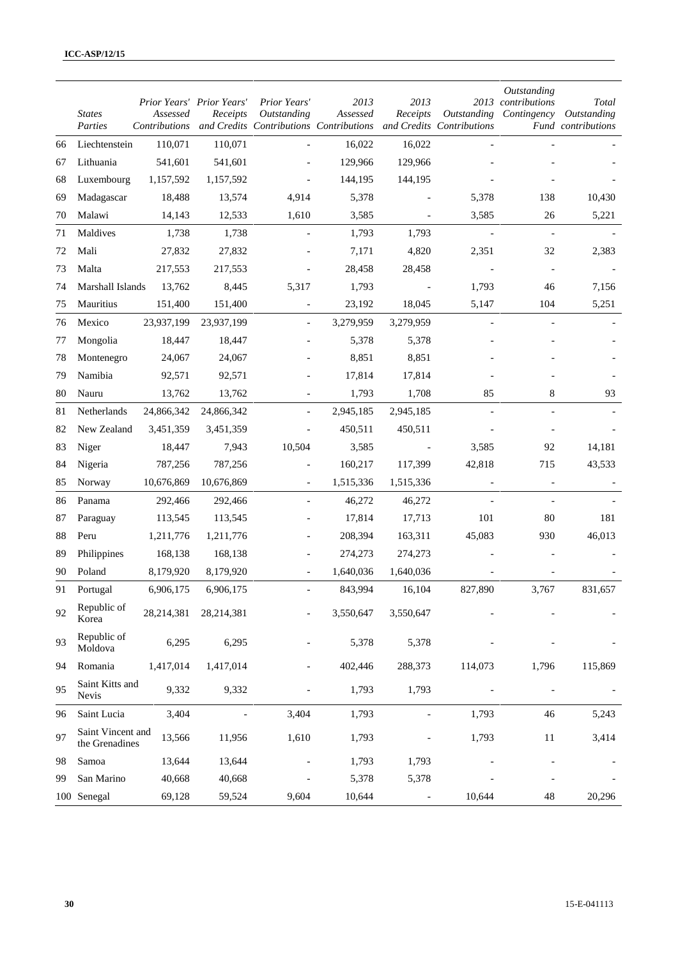|    | <b>States</b><br>Parties            | Prior Years' Prior Years'<br>Assessed | Receipts   | Prior Years'<br>Outstanding<br>Contributions and Credits Contributions Contributions | 2013<br>Assessed | 2013<br>Receipts         | Outstanding<br>and Credits Contributions | Outstanding<br>2013 contributions<br>Contingency | Total<br>Outstanding<br>Fund contributions |
|----|-------------------------------------|---------------------------------------|------------|--------------------------------------------------------------------------------------|------------------|--------------------------|------------------------------------------|--------------------------------------------------|--------------------------------------------|
| 66 | Liechtenstein                       | 110,071                               | 110,071    |                                                                                      | 16,022           | 16,022                   |                                          |                                                  |                                            |
| 67 | Lithuania                           | 541,601                               | 541,601    |                                                                                      | 129,966          | 129,966                  |                                          |                                                  |                                            |
| 68 | Luxembourg                          | 1,157,592                             | 1,157,592  |                                                                                      | 144,195          | 144,195                  |                                          |                                                  |                                            |
| 69 | Madagascar                          | 18,488                                | 13,574     | 4,914                                                                                | 5,378            |                          | 5,378                                    | 138                                              | 10,430                                     |
| 70 | Malawi                              | 14,143                                | 12,533     | 1,610                                                                                | 3,585            | $\overline{\phantom{a}}$ | 3,585                                    | 26                                               | 5,221                                      |
| 71 | Maldives                            | 1,738                                 | 1,738      |                                                                                      | 1,793            | 1,793                    | $\blacksquare$                           | $\overline{\phantom{a}}$                         |                                            |
| 72 | Mali                                | 27,832                                | 27,832     |                                                                                      | 7,171            | 4,820                    | 2,351                                    | 32                                               | 2,383                                      |
| 73 | Malta                               | 217,553                               | 217,553    |                                                                                      | 28,458           | 28,458                   |                                          |                                                  |                                            |
| 74 | Marshall Islands                    | 13,762                                | 8,445      | 5,317                                                                                | 1,793            |                          | 1,793                                    | 46                                               | 7,156                                      |
| 75 | Mauritius                           | 151,400                               | 151,400    | $\overline{\phantom{a}}$                                                             | 23,192           | 18,045                   | 5,147                                    | 104                                              | 5,251                                      |
| 76 | Mexico                              | 23,937,199                            | 23,937,199 |                                                                                      | 3,279,959        | 3,279,959                |                                          |                                                  |                                            |
| 77 | Mongolia                            | 18,447                                | 18,447     |                                                                                      | 5,378            | 5,378                    |                                          |                                                  |                                            |
| 78 | Montenegro                          | 24,067                                | 24,067     |                                                                                      | 8,851            | 8,851                    |                                          |                                                  |                                            |
| 79 | Namibia                             | 92,571                                | 92,571     |                                                                                      | 17,814           | 17,814                   |                                          |                                                  |                                            |
| 80 | Nauru                               | 13,762                                | 13,762     |                                                                                      | 1,793            | 1,708                    | 85                                       | 8                                                | 93                                         |
| 81 | Netherlands                         | 24,866,342                            | 24,866,342 |                                                                                      | 2,945,185        | 2,945,185                |                                          |                                                  |                                            |
| 82 | New Zealand                         | 3,451,359                             | 3,451,359  | $\overline{\phantom{a}}$                                                             | 450,511          | 450,511                  |                                          |                                                  |                                            |
| 83 | Niger                               | 18,447                                | 7,943      | 10,504                                                                               | 3,585            |                          | 3,585                                    | 92                                               | 14,181                                     |
| 84 | Nigeria                             | 787,256                               | 787,256    |                                                                                      | 160,217          | 117,399                  | 42,818                                   | 715                                              | 43,533                                     |
| 85 | Norway                              | 10,676,869                            | 10,676,869 | $\overline{\phantom{a}}$                                                             | 1,515,336        | 1,515,336                |                                          |                                                  |                                            |
| 86 | Panama                              | 292,466                               | 292,466    |                                                                                      | 46,272           | 46,272                   |                                          |                                                  |                                            |
| 87 | Paraguay                            | 113,545                               | 113,545    |                                                                                      | 17,814           | 17,713                   | 101                                      | 80                                               | 181                                        |
| 88 | Peru                                | 1,211,776                             | 1,211,776  |                                                                                      | 208,394          | 163,311                  | 45,083                                   | 930                                              | 46,013                                     |
| 89 | Philippines                         | 168,138                               | 168,138    |                                                                                      | 274,273          | 274,273                  |                                          |                                                  |                                            |
| 90 | Poland                              | 8,179,920                             | 8,179,920  | $\overline{\phantom{a}}$                                                             | 1,640,036        | 1,640,036                |                                          |                                                  |                                            |
| 91 | Portugal                            | 6,906,175                             | 6,906,175  |                                                                                      | 843,994          | 16,104                   | 827,890                                  | 3,767                                            | 831,657                                    |
| 92 | Republic of<br>Korea                | 28,214,381                            | 28,214,381 |                                                                                      | 3,550,647        | 3,550,647                |                                          |                                                  |                                            |
| 93 | Republic of<br>Moldova              | 6,295                                 | 6,295      |                                                                                      | 5,378            | 5,378                    |                                          |                                                  |                                            |
| 94 | Romania                             | 1,417,014                             | 1,417,014  |                                                                                      | 402,446          | 288,373                  | 114,073                                  | 1,796                                            | 115,869                                    |
| 95 | Saint Kitts and<br>Nevis            | 9,332                                 | 9,332      |                                                                                      | 1,793            | 1,793                    |                                          | $\overline{a}$                                   |                                            |
| 96 | Saint Lucia                         | 3,404                                 |            | 3,404                                                                                | 1,793            | $\overline{\phantom{a}}$ | 1,793                                    | 46                                               | 5,243                                      |
| 97 | Saint Vincent and<br>the Grenadines | 13,566                                | 11,956     | 1,610                                                                                | 1,793            |                          | 1,793                                    | 11                                               | 3,414                                      |
| 98 | Samoa                               | 13,644                                | 13,644     |                                                                                      | 1,793            | 1,793                    |                                          |                                                  |                                            |
| 99 | San Marino                          | 40,668                                | 40,668     |                                                                                      | 5,378            | 5,378                    |                                          |                                                  |                                            |
|    | 100 Senegal                         | 69,128                                | 59,524     | 9,604                                                                                | 10,644           | $\overline{a}$           | 10,644                                   | 48                                               | 20,296                                     |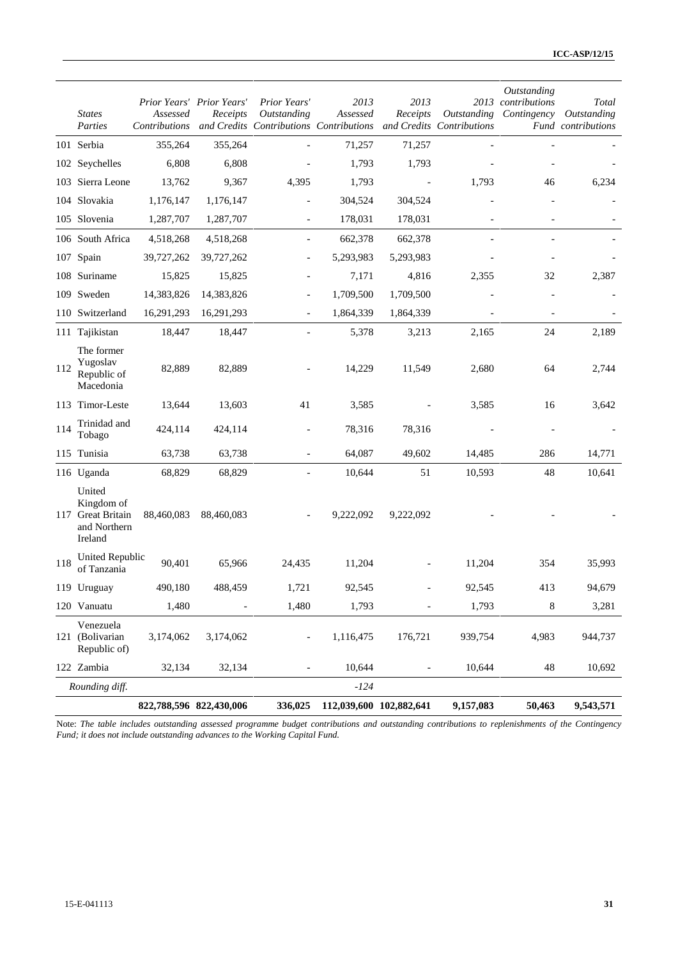|     | <b>States</b><br>Parties                                             | Assessed<br>Contributions | Prior Years' Prior Years'<br>Receipts | Prior Years'<br>Outstanding<br>and Credits Contributions Contributions | 2013<br>Assessed        | 2013<br>Receipts | Outstanding<br>and Credits Contributions | Outstanding<br>2013 contributions<br>Contingency | Total<br>Outstanding<br>Fund contributions |
|-----|----------------------------------------------------------------------|---------------------------|---------------------------------------|------------------------------------------------------------------------|-------------------------|------------------|------------------------------------------|--------------------------------------------------|--------------------------------------------|
|     | 101 Serbia                                                           | 355,264                   | 355,264                               |                                                                        | 71,257                  | 71,257           |                                          |                                                  |                                            |
|     | 102 Seychelles                                                       | 6,808                     | 6,808                                 |                                                                        | 1,793                   | 1,793            |                                          |                                                  |                                            |
|     | 103 Sierra Leone                                                     | 13,762                    | 9,367                                 | 4,395                                                                  | 1,793                   |                  | 1,793                                    | 46                                               | 6,234                                      |
|     | 104 Slovakia                                                         | 1,176,147                 | 1,176,147                             |                                                                        | 304,524                 | 304,524          |                                          |                                                  |                                            |
|     | 105 Slovenia                                                         | 1,287,707                 | 1,287,707                             | $\overline{\phantom{a}}$                                               | 178,031                 | 178,031          |                                          | $\overline{\phantom{a}}$                         |                                            |
|     | 106 South Africa                                                     | 4,518,268                 | 4,518,268                             |                                                                        | 662,378                 | 662,378          |                                          |                                                  |                                            |
|     | 107 Spain                                                            | 39,727,262                | 39,727,262                            |                                                                        | 5,293,983               | 5,293,983        |                                          |                                                  |                                            |
|     | 108 Suriname                                                         | 15,825                    | 15,825                                | $\overline{\phantom{0}}$                                               | 7,171                   | 4,816            | 2,355                                    | 32                                               | 2,387                                      |
|     | 109 Sweden                                                           | 14,383,826                | 14,383,826                            |                                                                        | 1,709,500               | 1,709,500        |                                          |                                                  |                                            |
|     | 110 Switzerland                                                      | 16,291,293                | 16,291,293                            |                                                                        | 1,864,339               | 1,864,339        |                                          |                                                  |                                            |
|     | 111 Tajikistan                                                       | 18,447                    | 18,447                                | $\overline{\phantom{0}}$                                               | 5,378                   | 3,213            | 2,165                                    | 24                                               | 2,189                                      |
| 112 | The former<br>Yugoslav<br>Republic of<br>Macedonia                   | 82,889                    | 82,889                                |                                                                        | 14,229                  | 11,549           | 2,680                                    | 64                                               | 2,744                                      |
|     | 113 Timor-Leste                                                      | 13,644                    | 13,603                                | 41                                                                     | 3,585                   |                  | 3,585                                    | 16                                               | 3,642                                      |
| 114 | Trinidad and<br>Tobago                                               | 424,114                   | 424,114                               |                                                                        | 78,316                  | 78,316           |                                          |                                                  |                                            |
|     | 115 Tunisia                                                          | 63,738                    | 63,738                                |                                                                        | 64,087                  | 49,602           | 14,485                                   | 286                                              | 14,771                                     |
|     | 116 Uganda                                                           | 68,829                    | 68,829                                |                                                                        | 10,644                  | 51               | 10,593                                   | $\sqrt{48}$                                      | 10,641                                     |
|     | United<br>Kingdom of<br>117 Great Britain<br>and Northern<br>Ireland | 88,460,083                | 88,460,083                            |                                                                        | 9,222,092               | 9,222,092        |                                          |                                                  |                                            |
| 118 | United Republic<br>of Tanzania                                       | 90,401                    | 65,966                                | 24,435                                                                 | 11,204                  |                  | 11,204                                   | 354                                              | 35,993                                     |
|     | 119 Uruguay                                                          | 490,180                   | 488,459                               | 1,721                                                                  | 92,545                  |                  | 92,545                                   | 413                                              | 94,679                                     |
|     | 120 Vanuatu                                                          | 1,480                     |                                       | 1,480                                                                  | 1,793                   |                  | 1,793                                    | 8                                                | 3,281                                      |
|     | Venezuela<br>121 (Bolivarian<br>Republic of)                         | 3,174,062                 | 3,174,062                             | $\overline{\phantom{0}}$                                               | 1,116,475               | 176,721          | 939,754                                  | 4,983                                            | 944,737                                    |
|     | 122 Zambia                                                           | 32,134                    | 32,134                                |                                                                        | 10,644                  |                  | 10,644                                   | 48                                               | 10,692                                     |
|     | Rounding diff.                                                       |                           |                                       |                                                                        | $-124$                  |                  |                                          |                                                  |                                            |
|     |                                                                      |                           | 822,788,596 822,430,006               | 336,025                                                                | 112,039,600 102,882,641 |                  | 9,157,083                                | 50,463                                           | 9,543,571                                  |

Note: *The table includes outstanding assessed programme budget contributions and outstanding contributions to replenishments of the Contingency Fund; it does not include outstanding advances to the Working Capital Fund.*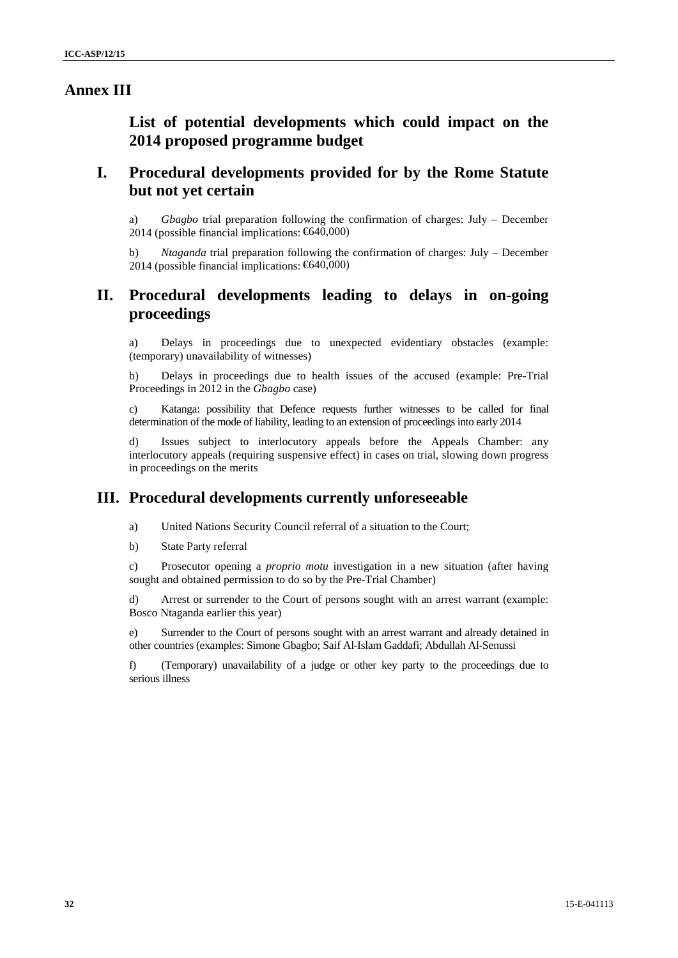## **Annex III**

**List of potential developments which could impact on the 2014 proposed programme budget**

# **I. Procedural developments provided for by the Rome Statute but not yet certain**

a) *Gbagbo* trial preparation following the confirmation of charges: July – December 2014 (possible financial implications: €640,000)

b) *Ntaganda* trial preparation following the confirmation of charges: July – December 2014 (possible financial implications: €640,000)

# **II. Procedural developments leading to delays in on-going proceedings**

a) Delays in proceedings due to unexpected evidentiary obstacles (example: (temporary) unavailability of witnesses)

b) Delays in proceedings due to health issues of the accused (example: Pre-Trial Proceedings in 2012 in the *Gbagbo* case)

c) Katanga: possibility that Defence requests further witnesses to be called for final determination of the mode of liability, leading to an extension of proceedings into early 2014

d) Issues subject to interlocutory appeals before the Appeals Chamber: any interlocutory appeals (requiring suspensive effect) in cases on trial, slowing down progress in proceedings on the merits

## **III. Procedural developments currently unforeseeable**

a) United Nations Security Council referral of a situation to the Court;

b) State Party referral

c) Prosecutor opening a *proprio motu* investigation in a new situation (after having sought and obtained permission to do so by the Pre-Trial Chamber)

d) Arrest or surrender to the Court of persons sought with an arrest warrant (example: Bosco Ntaganda earlier this year)

e) Surrender to the Court of persons sought with an arrest warrant and already detained in other countries (examples: Simone Gbagbo; Saif Al-Islam Gaddafi; Abdullah Al-Senussi

f) (Temporary) unavailability of a judge or other key party to the proceedings due to serious illness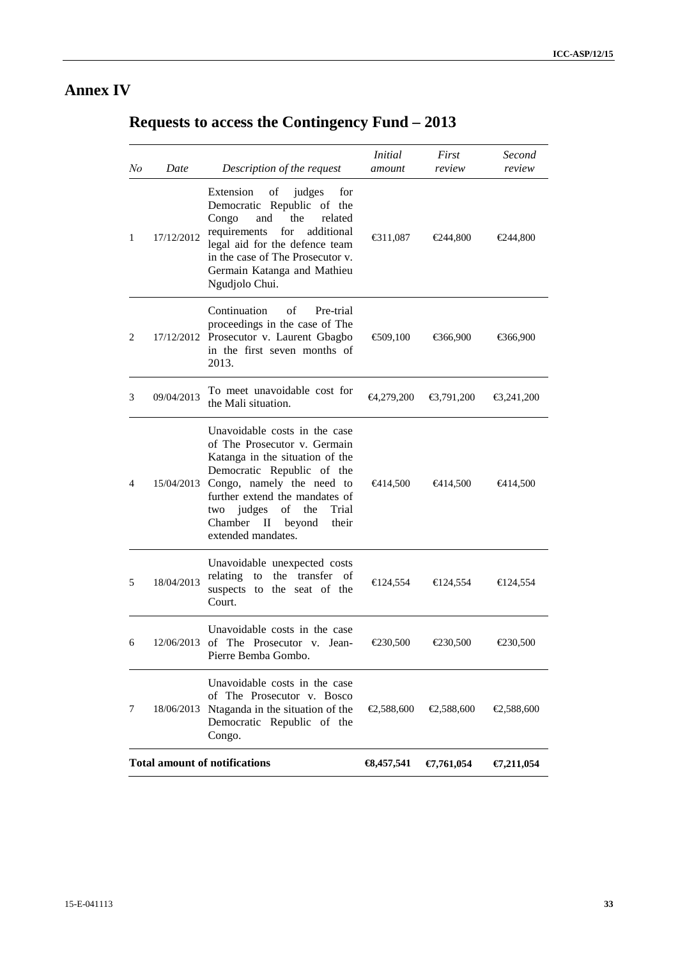# **Annex IV**

# **Requests to access the Contingency Fund – 2013**

| No | Date       | Description of the request                                                                                                                                                                                                                                                                       | <b>Initial</b><br>amount | First<br>review    | Second<br>review     |
|----|------------|--------------------------------------------------------------------------------------------------------------------------------------------------------------------------------------------------------------------------------------------------------------------------------------------------|--------------------------|--------------------|----------------------|
| 1  | 17/12/2012 | Extension<br>of<br>judges<br>for<br>Democratic Republic of the<br>Congo<br>and<br>the<br>related<br>requirements<br>for<br>additional<br>legal aid for the defence team<br>in the case of The Prosecutor v.<br>Germain Katanga and Mathieu<br>Ngudjolo Chui.                                     | € $311,087$              | €244,800           | €244,800             |
| 2  |            | Continuation<br>of<br>Pre-trial<br>proceedings in the case of The<br>17/12/2012 Prosecutor v. Laurent Gbagbo<br>in the first seven months of<br>2013.                                                                                                                                            | € $09,100$               | €366,900           | €66,900              |
| 3  | 09/04/2013 | To meet unavoidable cost for<br>the Mali situation.                                                                                                                                                                                                                                              | €4,279,200               | €3,791,200         | €3,241,200           |
| 4  |            | Unavoidable costs in the case<br>of The Prosecutor v. Germain<br>Katanga in the situation of the<br>Democratic Republic of the<br>15/04/2013 Congo, namely the need to<br>further extend the mandates of<br>Trial<br>two judges<br>of<br>the<br>Chamber II beyond<br>their<br>extended mandates. | <del>€</del> 414,500     | €414,500           | <del>€4</del> 14,500 |
| 5  | 18/04/2013 | Unavoidable unexpected costs<br>relating to the transfer of<br>suspects to the seat of the<br>Court.                                                                                                                                                                                             | €124,554                 | $\bigoplus 24,554$ | € $124,554$          |
| 6  | 12/06/2013 | Unavoidable costs in the case<br>of The Prosecutor v. Jean-<br>Pierre Bemba Gombo.                                                                                                                                                                                                               | €230,500                 | $\epsilon$ 230,500 | $\bigoplus 30,500$   |
| 7  | 18/06/2013 | Unavoidable costs in the case<br>of The Prosecutor v. Bosco<br>Ntaganda in the situation of the<br>Democratic Republic of the<br>Congo.                                                                                                                                                          | €2,588,600               | €2,588,600         | €2,588,600           |
|    |            | <b>Total amount of notifications</b>                                                                                                                                                                                                                                                             | $\text{68,457,541}$      | €7,761,054         | €7,211,054           |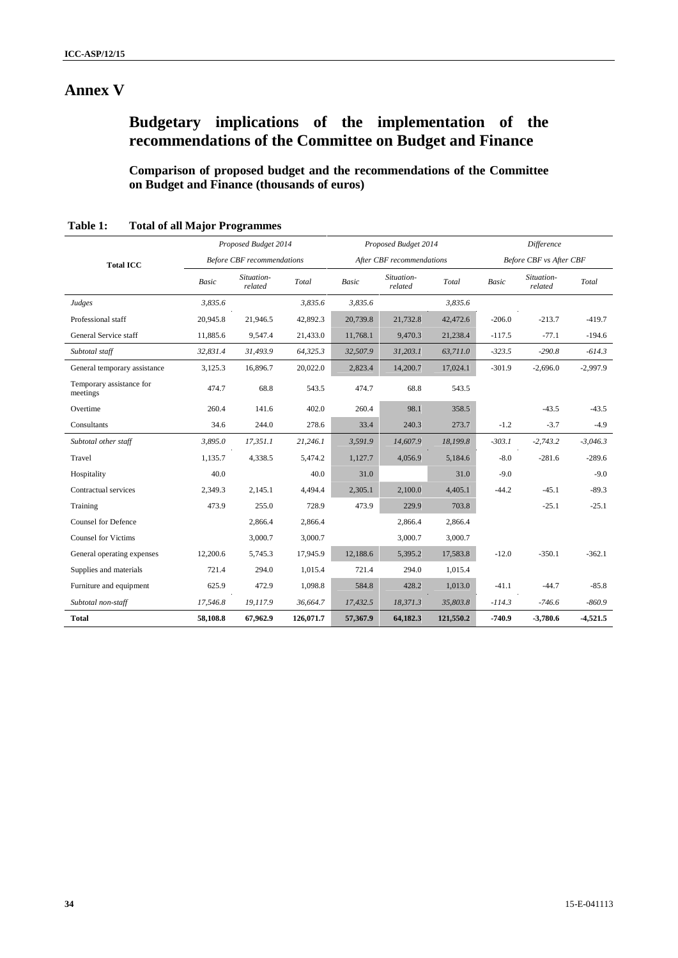# **Annex V**

# **Budgetary implications of the implementation of the recommendations of the Committee on Budget and Finance**

**Comparison of proposed budget and the recommendations of the Committee on Budget and Finance (thousands of euros)**

|                                      |                                   | Proposed Budget 2014  |           |                           | Proposed Budget 2014  |           |                                | <b>Difference</b>     |            |
|--------------------------------------|-----------------------------------|-----------------------|-----------|---------------------------|-----------------------|-----------|--------------------------------|-----------------------|------------|
| <b>Total ICC</b>                     | <b>Before CBF</b> recommendations |                       |           | After CBF recommendations |                       |           | <b>Before CBF vs After CBF</b> |                       |            |
|                                      | <b>Basic</b>                      | Situation-<br>related | Total     | Basic                     | Situation-<br>related | Total     | Basic                          | Situation-<br>related | Total      |
| Judges                               | 3,835.6                           |                       | 3,835.6   | 3,835.6                   |                       | 3,835.6   |                                |                       |            |
| Professional staff                   | 20,945.8                          | 21,946.5              | 42,892.3  | 20,739.8                  | 21,732.8              | 42,472.6  | $-206.0$                       | $-213.7$              | $-419.7$   |
| General Service staff                | 11,885.6                          | 9,547.4               | 21,433.0  | 11,768.1                  | 9,470.3               | 21,238.4  | $-117.5$                       | $-77.1$               | $-194.6$   |
| Subtotal staff                       | 32,831.4                          | 31,493.9              | 64,325.3  | 32,507.9                  | 31,203.1              | 63,711.0  | $-323.5$                       | $-290.8$              | $-614.3$   |
| General temporary assistance         | 3,125.3                           | 16,896.7              | 20,022.0  | 2,823.4                   | 14,200.7              | 17,024.1  | $-301.9$                       | $-2,696.0$            | $-2,997.9$ |
| Temporary assistance for<br>meetings | 474.7                             | 68.8                  | 543.5     | 474.7                     | 68.8                  | 543.5     |                                |                       |            |
| Overtime                             | 260.4                             | 141.6                 | 402.0     | 260.4                     | 98.1                  | 358.5     |                                | $-43.5$               | $-43.5$    |
| Consultants                          | 34.6                              | 244.0                 | 278.6     | 33.4                      | 240.3                 | 273.7     | $-1.2$                         | $-3.7$                | $-4.9$     |
| Subtotal other staff                 | 3,895.0                           | 17,351.1              | 21,246.1  | 3,591.9                   | 14,607.9              | 18,199.8  | $-303.1$                       | $-2,743.2$            | $-3,046.3$ |
| Travel                               | 1,135.7                           | 4,338.5               | 5,474.2   | 1,127.7                   | 4,056.9               | 5,184.6   | $-8.0$                         | $-281.6$              | $-289.6$   |
| Hospitality                          | 40.0                              |                       | 40.0      | 31.0                      |                       | 31.0      | $-9.0$                         |                       | $-9.0$     |
| Contractual services                 | 2,349.3                           | 2,145.1               | 4,494.4   | 2,305.1                   | 2,100.0               | 4,405.1   | $-44.2$                        | $-45.1$               | $-89.3$    |
| Training                             | 473.9                             | 255.0                 | 728.9     | 473.9                     | 229.9                 | 703.8     |                                | $-25.1$               | $-25.1$    |
| <b>Counsel for Defence</b>           |                                   | 2,866.4               | 2,866.4   |                           | 2,866.4               | 2,866.4   |                                |                       |            |
| <b>Counsel for Victims</b>           |                                   | 3,000.7               | 3,000.7   |                           | 3,000.7               | 3,000.7   |                                |                       |            |
| General operating expenses           | 12,200.6                          | 5,745.3               | 17,945.9  | 12,188.6                  | 5,395.2               | 17,583.8  | $-12.0$                        | $-350.1$              | $-362.1$   |
| Supplies and materials               | 721.4                             | 294.0                 | 1,015.4   | 721.4                     | 294.0                 | 1,015.4   |                                |                       |            |
| Furniture and equipment              | 625.9                             | 472.9                 | 1,098.8   | 584.8                     | 428.2                 | 1,013.0   | $-41.1$                        | $-44.7$               | $-85.8$    |
| Subtotal non-staff                   | 17,546.8                          | 19,117.9              | 36,664.7  | 17,432.5                  | 18,371.3              | 35,803.8  | $-114.3$                       | $-746.6$              | $-860.9$   |
| <b>Total</b>                         | 58,108.8                          | 67,962.9              | 126,071.7 | 57,367.9                  | 64,182.3              | 121,550.2 | $-740.9$                       | $-3,780.6$            | $-4,521.5$ |

| <b>Total of all Major Programmes</b><br>Table 1: |
|--------------------------------------------------|
|--------------------------------------------------|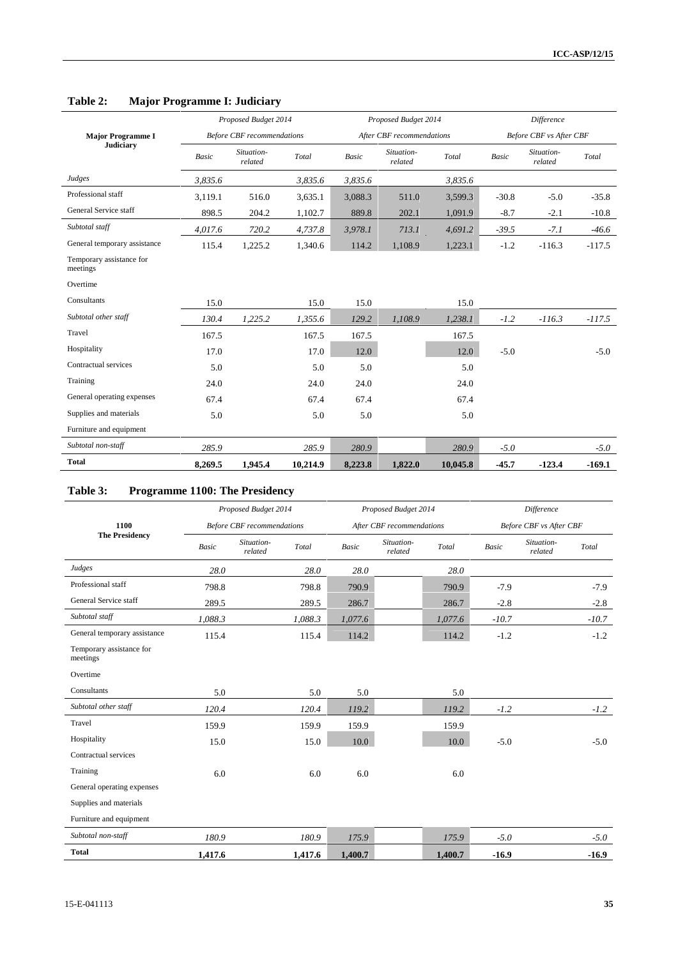|                                      |         | Proposed Budget 2014              |          |         | Proposed Budget 2014      |          | Difference   |                         |          |
|--------------------------------------|---------|-----------------------------------|----------|---------|---------------------------|----------|--------------|-------------------------|----------|
| <b>Major Programme I</b>             |         | <b>Before CBF</b> recommendations |          |         | After CBF recommendations |          |              | Before CBF vs After CBF |          |
| <b>Judiciary</b>                     | Basic   | Situation-<br>related             | Total    | Basic   | Situation-<br>related     | Total    | <b>Basic</b> | Situation-<br>related   | Total    |
| Judges                               | 3,835.6 |                                   | 3,835.6  | 3,835.6 |                           | 3,835.6  |              |                         |          |
| Professional staff                   | 3,119.1 | 516.0                             | 3,635.1  | 3,088.3 | 511.0                     | 3,599.3  | $-30.8$      | $-5.0$                  | $-35.8$  |
| General Service staff                | 898.5   | 204.2                             | 1,102.7  | 889.8   | 202.1                     | 1,091.9  | $-8.7$       | $-2.1$                  | $-10.8$  |
| Subtotal staff                       | 4,017.6 | 720.2                             | 4,737.8  | 3,978.1 | 713.1                     | 4,691.2  | $-39.5$      | $-7.1$                  | $-46.6$  |
| General temporary assistance         | 115.4   | 1,225.2                           | 1,340.6  | 114.2   | 1,108.9                   | 1,223.1  | $-1.2$       | $-116.3$                | $-117.5$ |
| Temporary assistance for<br>meetings |         |                                   |          |         |                           |          |              |                         |          |
| Overtime                             |         |                                   |          |         |                           |          |              |                         |          |
| Consultants                          | 15.0    |                                   | 15.0     | 15.0    |                           | 15.0     |              |                         |          |
| Subtotal other staff                 | 130.4   | 1,225.2                           | 1,355.6  | 129.2   | 1,108.9                   | 1,238.1  | $-1.2$       | $-116.3$                | $-117.5$ |
| Travel                               | 167.5   |                                   | 167.5    | 167.5   |                           | 167.5    |              |                         |          |
| Hospitality                          | 17.0    |                                   | 17.0     | 12.0    |                           | 12.0     | $-5.0$       |                         | $-5.0$   |
| Contractual services                 | 5.0     |                                   | 5.0      | 5.0     |                           | 5.0      |              |                         |          |
| Training                             | 24.0    |                                   | 24.0     | 24.0    |                           | 24.0     |              |                         |          |
| General operating expenses           | 67.4    |                                   | 67.4     | 67.4    |                           | 67.4     |              |                         |          |
| Supplies and materials               | 5.0     |                                   | 5.0      | 5.0     |                           | 5.0      |              |                         |          |
| Furniture and equipment              |         |                                   |          |         |                           |          |              |                         |          |
| Subtotal non-staff                   | 285.9   |                                   | 285.9    | 280.9   |                           | 280.9    | $-5.0$       |                         | $-5.0$   |
| <b>Total</b>                         | 8,269.5 | 1,945.4                           | 10,214.9 | 8,223.8 | 1,822.0                   | 10,045.8 | $-45.7$      | $-123.4$                | $-169.1$ |

# **Table 2: Major Programme I: Judiciary**

## **Table 3: Programme 1100: The Presidency**

|                                      |         | Proposed Budget 2014              |         |         | Proposed Budget 2014      |         | Difference |                         |         |  |
|--------------------------------------|---------|-----------------------------------|---------|---------|---------------------------|---------|------------|-------------------------|---------|--|
| 1100                                 |         | <b>Before CBF</b> recommendations |         |         | After CBF recommendations |         |            | Before CBF vs After CBF |         |  |
| <b>The Presidency</b>                | Basic   | Situation-<br>related             | Total   | Basic   | Situation-<br>related     | Total   | Basic      | Situation-<br>related   | Total   |  |
| Judges                               | 28.0    |                                   | 28.0    | 28.0    |                           | 28.0    |            |                         |         |  |
| Professional staff                   | 798.8   |                                   | 798.8   | 790.9   |                           | 790.9   | $-7.9$     |                         | $-7.9$  |  |
| General Service staff                | 289.5   |                                   | 289.5   | 286.7   |                           | 286.7   | $-2.8$     |                         | $-2.8$  |  |
| Subtotal staff                       | 1.088.3 |                                   | 1,088.3 | 1,077.6 |                           | 1,077.6 | $-10.7$    |                         | $-10.7$ |  |
| General temporary assistance         | 115.4   |                                   | 115.4   | 114.2   |                           | 114.2   | $-1.2$     |                         | $-1.2$  |  |
| Temporary assistance for<br>meetings |         |                                   |         |         |                           |         |            |                         |         |  |
| Overtime                             |         |                                   |         |         |                           |         |            |                         |         |  |
| Consultants                          | 5.0     |                                   | 5.0     | 5.0     |                           | 5.0     |            |                         |         |  |
| Subtotal other staff                 | 120.4   |                                   | 120.4   | 119.2   |                           | 119.2   | $-1.2$     |                         | $-1.2$  |  |
| Travel                               | 159.9   |                                   | 159.9   | 159.9   |                           | 159.9   |            |                         |         |  |
| Hospitality                          | 15.0    |                                   | 15.0    | 10.0    |                           | 10.0    | $-5.0$     |                         | $-5.0$  |  |
| Contractual services                 |         |                                   |         |         |                           |         |            |                         |         |  |
| Training                             | 6.0     |                                   | 6.0     | 6.0     |                           | 6.0     |            |                         |         |  |
| General operating expenses           |         |                                   |         |         |                           |         |            |                         |         |  |
| Supplies and materials               |         |                                   |         |         |                           |         |            |                         |         |  |
| Furniture and equipment              |         |                                   |         |         |                           |         |            |                         |         |  |
| Subtotal non-staff                   | 180.9   |                                   | 180.9   | 175.9   |                           | 175.9   | $-5.0$     |                         | $-5.0$  |  |
| <b>Total</b>                         | 1,417.6 |                                   | 1,417.6 | 1,400.7 |                           | 1,400.7 | $-16.9$    |                         | $-16.9$ |  |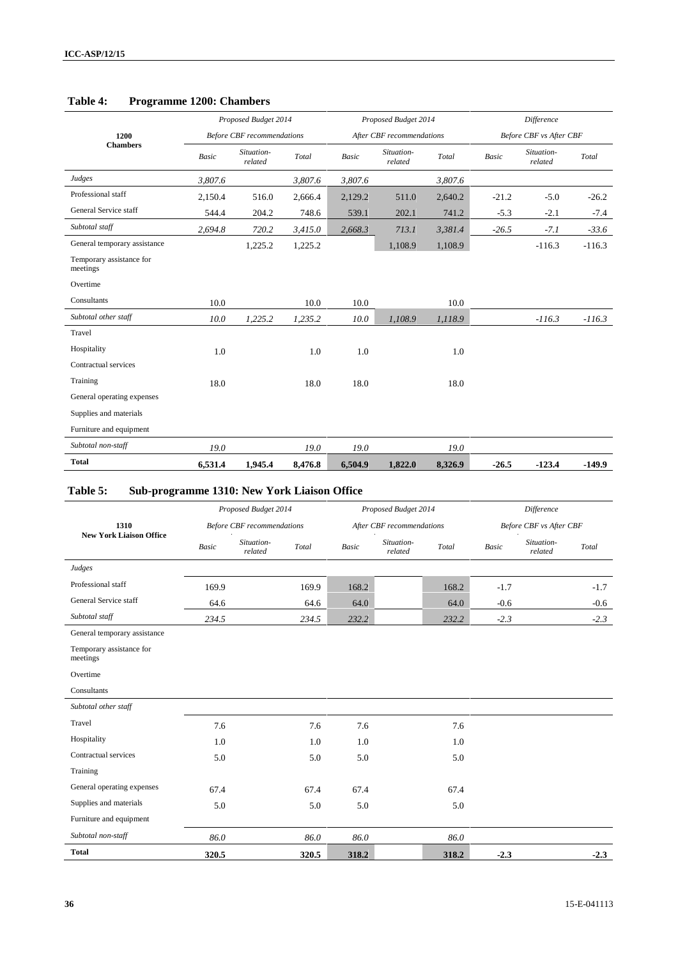|                                      |              | Proposed Budget 2014              |         |              | Proposed Budget 2014      |         | <b>Difference</b> |                         |          |  |
|--------------------------------------|--------------|-----------------------------------|---------|--------------|---------------------------|---------|-------------------|-------------------------|----------|--|
| 1200                                 |              | <b>Before CBF</b> recommendations |         |              | After CBF recommendations |         |                   | Before CBF vs After CBF |          |  |
| <b>Chambers</b>                      | <b>Basic</b> | Situation-<br>related             | Total   | <b>Basic</b> | Situation-<br>related     | Total   | Basic             | Situation-<br>related   | Total    |  |
| Judges                               | 3,807.6      |                                   | 3,807.6 | 3,807.6      |                           | 3,807.6 |                   |                         |          |  |
| Professional staff                   | 2,150.4      | 516.0                             | 2,666.4 | 2,129.2      | 511.0                     | 2,640.2 | $-21.2$           | $-5.0$                  | $-26.2$  |  |
| General Service staff                | 544.4        | 204.2                             | 748.6   | 539.1        | 202.1                     | 741.2   | $-5.3$            | $-2.1$                  | $-7.4$   |  |
| Subtotal staff                       | 2,694.8      | 720.2                             | 3,415.0 | 2,668.3      | 713.1                     | 3,381.4 | $-26.5$           | $-7.1$                  | $-33.6$  |  |
| General temporary assistance         |              | 1,225.2                           | 1,225.2 |              | 1,108.9                   | 1,108.9 |                   | $-116.3$                | $-116.3$ |  |
| Temporary assistance for<br>meetings |              |                                   |         |              |                           |         |                   |                         |          |  |
| Overtime                             |              |                                   |         |              |                           |         |                   |                         |          |  |
| Consultants                          | 10.0         |                                   | 10.0    | 10.0         |                           | 10.0    |                   |                         |          |  |
| Subtotal other staff                 | 10.0         | 1,225.2                           | 1,235.2 | 10.0         | 1,108.9                   | 1,118.9 |                   | $-116.3$                | $-116.3$ |  |
| Travel                               |              |                                   |         |              |                           |         |                   |                         |          |  |
| Hospitality                          | 1.0          |                                   | 1.0     | 1.0          |                           | 1.0     |                   |                         |          |  |
| Contractual services                 |              |                                   |         |              |                           |         |                   |                         |          |  |
| Training                             | 18.0         |                                   | 18.0    | 18.0         |                           | 18.0    |                   |                         |          |  |
| General operating expenses           |              |                                   |         |              |                           |         |                   |                         |          |  |
| Supplies and materials               |              |                                   |         |              |                           |         |                   |                         |          |  |
| Furniture and equipment              |              |                                   |         |              |                           |         |                   |                         |          |  |
| Subtotal non-staff                   | 19.0         |                                   | 19.0    | 19.0         |                           | 19.0    |                   |                         |          |  |
| <b>Total</b>                         | 6,531.4      | 1,945.4                           | 8,476.8 | 6,504.9      | 1,822.0                   | 8,326.9 | $-26.5$           | $-123.4$                | $-149.9$ |  |

## **Table 4: Programme 1200: Chambers**

## **Table 5: Sub-programme 1310: New York Liaison Office**

|                                      |              | Proposed Budget 2014              |       |       | Proposed Budget 2014      |       |        | Difference              |        |
|--------------------------------------|--------------|-----------------------------------|-------|-------|---------------------------|-------|--------|-------------------------|--------|
| 1310                                 |              | <b>Before CBF</b> recommendations |       |       | After CBF recommendations |       |        | Before CBF vs After CBF |        |
| <b>New York Liaison Office</b>       | <b>Basic</b> | Situation-<br>related             | Total | Basic | Situation-<br>related     | Total | Basic  | Situation-<br>related   | Total  |
| Judges                               |              |                                   |       |       |                           |       |        |                         |        |
| Professional staff                   | 169.9        |                                   | 169.9 | 168.2 |                           | 168.2 | $-1.7$ |                         | $-1.7$ |
| General Service staff                | 64.6         |                                   | 64.6  | 64.0  |                           | 64.0  | $-0.6$ |                         | $-0.6$ |
| Subtotal staff                       | 234.5        |                                   | 234.5 | 232.2 |                           | 232.2 | $-2.3$ |                         | $-2.3$ |
| General temporary assistance         |              |                                   |       |       |                           |       |        |                         |        |
| Temporary assistance for<br>meetings |              |                                   |       |       |                           |       |        |                         |        |
| Overtime                             |              |                                   |       |       |                           |       |        |                         |        |
| Consultants                          |              |                                   |       |       |                           |       |        |                         |        |
| Subtotal other staff                 |              |                                   |       |       |                           |       |        |                         |        |
| Travel                               | 7.6          |                                   | 7.6   | 7.6   |                           | 7.6   |        |                         |        |
| Hospitality                          | 1.0          |                                   | 1.0   | 1.0   |                           | 1.0   |        |                         |        |
| Contractual services                 | 5.0          |                                   | 5.0   | 5.0   |                           | 5.0   |        |                         |        |
| Training                             |              |                                   |       |       |                           |       |        |                         |        |
| General operating expenses           | 67.4         |                                   | 67.4  | 67.4  |                           | 67.4  |        |                         |        |
| Supplies and materials               | 5.0          |                                   | 5.0   | 5.0   |                           | 5.0   |        |                         |        |
| Furniture and equipment              |              |                                   |       |       |                           |       |        |                         |        |
| Subtotal non-staff                   | 86.0         |                                   | 86.0  | 86.0  |                           | 86.0  |        |                         |        |
| <b>Total</b>                         | 320.5        |                                   | 320.5 | 318.2 |                           | 318.2 | $-2.3$ |                         | $-2.3$ |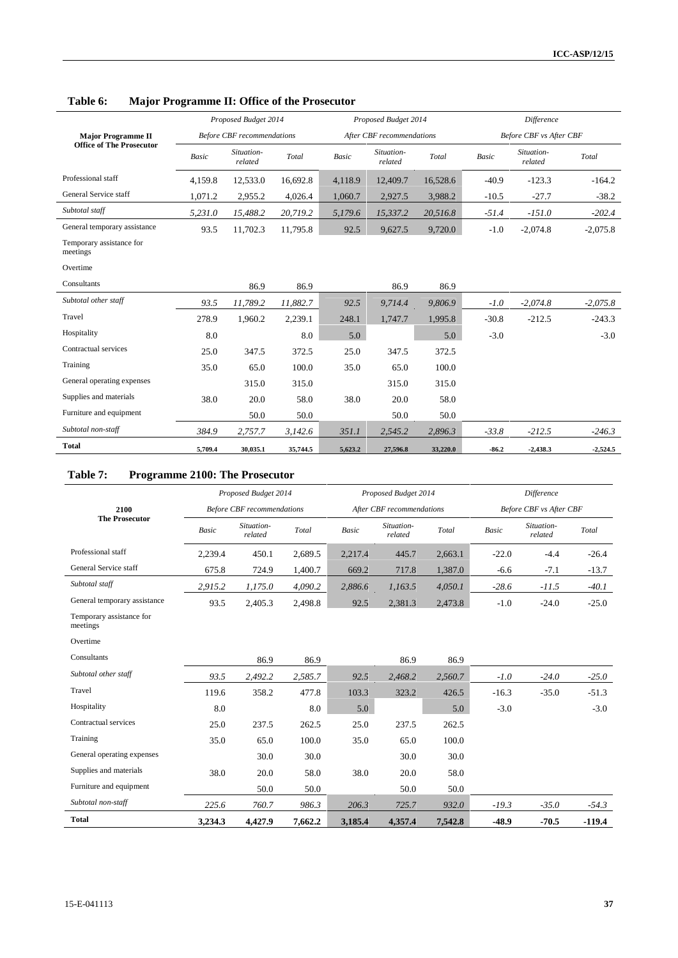|                                      |         | Proposed Budget 2014              |          |              | Proposed Budget 2014      |          |              | <b>Difference</b>       |            |
|--------------------------------------|---------|-----------------------------------|----------|--------------|---------------------------|----------|--------------|-------------------------|------------|
| <b>Major Programme II</b>            |         | <b>Before CBF</b> recommendations |          |              | After CBF recommendations |          |              | Before CBF vs After CBF |            |
| <b>Office of The Prosecutor</b>      | Basic   | Situation-<br>related             | Total    | <b>Basic</b> | Situation-<br>related     | Total    | <b>Basic</b> | Situation-<br>related   | Total      |
| Professional staff                   | 4,159.8 | 12,533.0                          | 16,692.8 | 4,118.9      | 12,409.7                  | 16,528.6 | $-40.9$      | $-123.3$                | $-164.2$   |
| General Service staff                | 1,071.2 | 2,955.2                           | 4,026.4  | 1,060.7      | 2,927.5                   | 3,988.2  | $-10.5$      | $-27.7$                 | $-38.2$    |
| Subtotal staff                       | 5,231.0 | 15,488.2                          | 20,719.2 | 5,179.6      | 15,337.2                  | 20,516.8 | $-51.4$      | $-151.0$                | $-202.4$   |
| General temporary assistance         | 93.5    | 11,702.3                          | 11,795.8 | 92.5         | 9,627.5                   | 9,720.0  | $-1.0$       | $-2,074.8$              | $-2,075.8$ |
| Temporary assistance for<br>meetings |         |                                   |          |              |                           |          |              |                         |            |
| Overtime                             |         |                                   |          |              |                           |          |              |                         |            |
| Consultants                          |         | 86.9                              | 86.9     |              | 86.9                      | 86.9     |              |                         |            |
| Subtotal other staff                 | 93.5    | 11,789.2                          | 11,882.7 | 92.5         | 9,714.4                   | 9,806.9  | $-1.0$       | $-2,074.8$              | $-2,075.8$ |
| Travel                               | 278.9   | 1,960.2                           | 2,239.1  | 248.1        | 1,747.7                   | 1,995.8  | $-30.8$      | $-212.5$                | $-243.3$   |
| Hospitality                          | 8.0     |                                   | 8.0      | 5.0          |                           | 5.0      | $-3.0$       |                         | $-3.0$     |
| Contractual services                 | 25.0    | 347.5                             | 372.5    | 25.0         | 347.5                     | 372.5    |              |                         |            |
| Training                             | 35.0    | 65.0                              | 100.0    | 35.0         | 65.0                      | 100.0    |              |                         |            |
| General operating expenses           |         | 315.0                             | 315.0    |              | 315.0                     | 315.0    |              |                         |            |
| Supplies and materials               | 38.0    | 20.0                              | 58.0     | 38.0         | 20.0                      | 58.0     |              |                         |            |
| Furniture and equipment              |         | 50.0                              | 50.0     |              | 50.0                      | 50.0     |              |                         |            |
| Subtotal non-staff                   | 384.9   | 2,757.7                           | 3,142.6  | 351.1        | 2,545.2                   | 2,896.3  | $-33.8$      | $-212.5$                | $-246.3$   |
| <b>Total</b>                         | 5,709.4 | 30,035.1                          | 35,744.5 | 5,623.2      | 27,596.8                  | 33,220.0 | $-86.2$      | $-2,438.3$              | $-2,524.5$ |

**Table 6: Major Programme II: Office of the Prosecutor**

l.

## **Table 7: Programme 2100: The Prosecutor**

|                                      |         | Proposed Budget 2014              |         |         | Proposed Budget 2014      |         |         | Difference                     |          |
|--------------------------------------|---------|-----------------------------------|---------|---------|---------------------------|---------|---------|--------------------------------|----------|
| 2100                                 |         | <b>Before CBF</b> recommendations |         |         | After CBF recommendations |         |         | <b>Before CBF vs After CBF</b> |          |
| <b>The Prosecutor</b>                | Basic   | Situation-<br>related             | Total   | Basic   | Situation-<br>related     | Total   | Basic   | Situation-<br>related          | Total    |
| Professional staff                   | 2,239.4 | 450.1                             | 2,689.5 | 2,217.4 | 445.7                     | 2,663.1 | $-22.0$ | $-4.4$                         | $-26.4$  |
| General Service staff                | 675.8   | 724.9                             | 1,400.7 | 669.2   | 717.8                     | 1,387.0 | $-6.6$  | $-7.1$                         | $-13.7$  |
| Subtotal staff                       | 2,915.2 | 1,175.0                           | 4,090.2 | 2,886.6 | 1,163.5                   | 4,050.1 | $-28.6$ | $-11.5$                        | $-40.1$  |
| General temporary assistance         | 93.5    | 2,405.3                           | 2,498.8 | 92.5    | 2,381.3                   | 2,473.8 | $-1.0$  | $-24.0$                        | $-25.0$  |
| Temporary assistance for<br>meetings |         |                                   |         |         |                           |         |         |                                |          |
| Overtime                             |         |                                   |         |         |                           |         |         |                                |          |
| Consultants                          |         | 86.9                              | 86.9    |         | 86.9                      | 86.9    |         |                                |          |
| Subtotal other staff                 | 93.5    | 2,492.2                           | 2,585.7 | 92.5    | 2,468.2                   | 2,560.7 | $-1.0$  | $-24.0$                        | $-25.0$  |
| Travel                               | 119.6   | 358.2                             | 477.8   | 103.3   | 323.2                     | 426.5   | $-16.3$ | $-35.0$                        | $-51.3$  |
| Hospitality                          | 8.0     |                                   | 8.0     | 5.0     |                           | 5.0     | $-3.0$  |                                | $-3.0$   |
| Contractual services                 | 25.0    | 237.5                             | 262.5   | 25.0    | 237.5                     | 262.5   |         |                                |          |
| Training                             | 35.0    | 65.0                              | 100.0   | 35.0    | 65.0                      | 100.0   |         |                                |          |
| General operating expenses           |         | 30.0                              | 30.0    |         | 30.0                      | 30.0    |         |                                |          |
| Supplies and materials               | 38.0    | 20.0                              | 58.0    | 38.0    | 20.0                      | 58.0    |         |                                |          |
| Furniture and equipment              |         | 50.0                              | 50.0    |         | 50.0                      | 50.0    |         |                                |          |
| Subtotal non-staff                   | 225.6   | 760.7                             | 986.3   | 206.3   | 725.7                     | 932.0   | $-19.3$ | $-35.0$                        | $-54.3$  |
| <b>Total</b>                         | 3,234.3 | 4.427.9                           | 7.662.2 | 3,185.4 | 4,357.4                   | 7.542.8 | $-48.9$ | $-70.5$                        | $-119.4$ |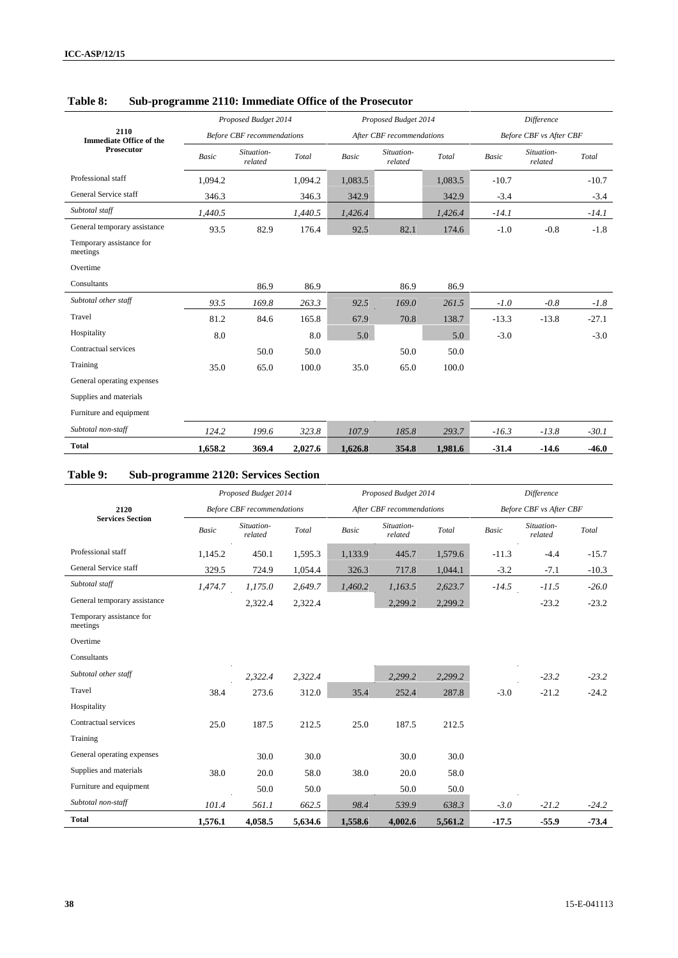|                                        |              | Proposed Budget 2014              |         |              | Proposed Budget 2014      |         | Difference   |                         |         |
|----------------------------------------|--------------|-----------------------------------|---------|--------------|---------------------------|---------|--------------|-------------------------|---------|
| 2110<br><b>Immediate Office of the</b> |              | <b>Before CBF</b> recommendations |         |              | After CBF recommendations |         |              | Before CBF vs After CBF |         |
| <b>Prosecutor</b>                      | <b>Basic</b> | Situation-<br>related             | Total   | <b>Basic</b> | Situation-<br>related     | Total   | <b>Basic</b> | Situation-<br>related   | Total   |
| Professional staff                     | 1,094.2      |                                   | 1,094.2 | 1,083.5      |                           | 1,083.5 | $-10.7$      |                         | $-10.7$ |
| General Service staff                  | 346.3        |                                   | 346.3   | 342.9        |                           | 342.9   | $-3.4$       |                         | $-3.4$  |
| Subtotal staff                         | 1,440.5      |                                   | 1,440.5 | 1,426.4      |                           | 1,426.4 | $-14.1$      |                         | $-14.1$ |
| General temporary assistance           | 93.5         | 82.9                              | 176.4   | 92.5         | 82.1                      | 174.6   | $-1.0$       | $-0.8$                  | $-1.8$  |
| Temporary assistance for<br>meetings   |              |                                   |         |              |                           |         |              |                         |         |
| Overtime                               |              |                                   |         |              |                           |         |              |                         |         |
| Consultants                            |              | 86.9                              | 86.9    |              | 86.9                      | 86.9    |              |                         |         |
| Subtotal other staff                   | 93.5         | 169.8                             | 263.3   | 92.5         | 169.0                     | 261.5   | $-1.0$       | $-0.8$                  | $-1.8$  |
| Travel                                 | 81.2         | 84.6                              | 165.8   | 67.9         | 70.8                      | 138.7   | $-13.3$      | $-13.8$                 | $-27.1$ |
| Hospitality                            | 8.0          |                                   | 8.0     | 5.0          |                           | 5.0     | $-3.0$       |                         | $-3.0$  |
| Contractual services                   |              | 50.0                              | 50.0    |              | 50.0                      | 50.0    |              |                         |         |
| Training                               | 35.0         | 65.0                              | 100.0   | 35.0         | 65.0                      | 100.0   |              |                         |         |
| General operating expenses             |              |                                   |         |              |                           |         |              |                         |         |
| Supplies and materials                 |              |                                   |         |              |                           |         |              |                         |         |
| Furniture and equipment                |              |                                   |         |              |                           |         |              |                         |         |
| Subtotal non-staff                     | 124.2        | 199.6                             | 323.8   | 107.9        | 185.8                     | 293.7   | $-16.3$      | $-13.8$                 | $-30.1$ |
| <b>Total</b>                           | 1,658.2      | 369.4                             | 2,027.6 | 1,626.8      | 354.8                     | 1,981.6 | $-31.4$      | $-14.6$                 | $-46.0$ |

## **Table 8: Sub-programme 2110: Immediate Office of the Prosecutor**

## **Table 9: Sub-programme 2120: Services Section**

|                                      |              | Proposed Budget 2014              |         |              | Proposed Budget 2014      |         |         | Difference              |         |
|--------------------------------------|--------------|-----------------------------------|---------|--------------|---------------------------|---------|---------|-------------------------|---------|
| 2120                                 |              | <b>Before CBF</b> recommendations |         |              | After CBF recommendations |         |         | Before CBF vs After CBF |         |
| <b>Services Section</b>              | <b>Basic</b> | Situation-<br>related             | Total   | <b>Basic</b> | Situation-<br>related     | Total   | Basic   | Situation-<br>related   | Total   |
| Professional staff                   | 1,145.2      | 450.1                             | 1,595.3 | 1,133.9      | 445.7                     | 1,579.6 | $-11.3$ | $-4.4$                  | $-15.7$ |
| General Service staff                | 329.5        | 724.9                             | 1,054.4 | 326.3        | 717.8                     | 1,044.1 | $-3.2$  | $-7.1$                  | $-10.3$ |
| Subtotal staff                       | 1,474.7      | 1,175.0                           | 2,649.7 | 1,460.2      | 1,163.5                   | 2,623.7 | $-14.5$ | $-11.5$                 | $-26.0$ |
| General temporary assistance         |              | 2,322.4                           | 2,322.4 |              | 2,299.2                   | 2,299.2 |         | $-23.2$                 | $-23.2$ |
| Temporary assistance for<br>meetings |              |                                   |         |              |                           |         |         |                         |         |
| Overtime                             |              |                                   |         |              |                           |         |         |                         |         |
| Consultants                          |              |                                   |         |              |                           |         |         |                         |         |
| Subtotal other staff                 |              | 2,322.4                           | 2,322.4 |              | 2,299.2                   | 2,299.2 |         | $-23.2$                 | $-23.2$ |
| Travel                               | 38.4         | 273.6                             | 312.0   | 35.4         | 252.4                     | 287.8   | $-3.0$  | $-21.2$                 | $-24.2$ |
| Hospitality                          |              |                                   |         |              |                           |         |         |                         |         |
| Contractual services                 | 25.0         | 187.5                             | 212.5   | 25.0         | 187.5                     | 212.5   |         |                         |         |
| Training                             |              |                                   |         |              |                           |         |         |                         |         |
| General operating expenses           |              | 30.0                              | 30.0    |              | 30.0                      | 30.0    |         |                         |         |
| Supplies and materials               | 38.0         | 20.0                              | 58.0    | 38.0         | 20.0                      | 58.0    |         |                         |         |
| Furniture and equipment              |              | 50.0                              | 50.0    |              | 50.0                      | 50.0    |         |                         |         |
| Subtotal non-staff                   | 101.4        | 561.1                             | 662.5   | 98.4         | 539.9                     | 638.3   | $-3.0$  | $-21.2$                 | $-24.2$ |
| <b>Total</b>                         | 1,576.1      | 4,058.5                           | 5,634.6 | 1,558.6      | 4,002.6                   | 5,561.2 | $-17.5$ | $-55.9$                 | $-73.4$ |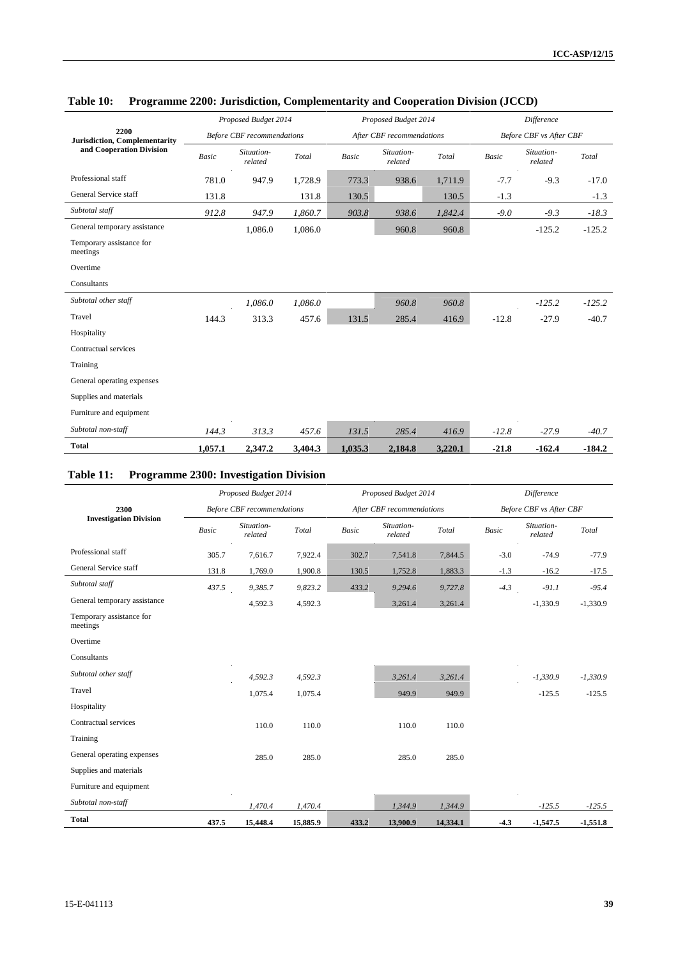|                                              |         | Proposed Budget 2014              |         |                          | Proposed Budget 2014      |         |         | <b>Difference</b>              |          |
|----------------------------------------------|---------|-----------------------------------|---------|--------------------------|---------------------------|---------|---------|--------------------------------|----------|
| 2200<br><b>Jurisdiction, Complementarity</b> |         | <b>Before CBF</b> recommendations |         |                          | After CBF recommendations |         |         | <b>Before CBF vs After CBF</b> |          |
| and Cooperation Division                     | Basic   | Situation-<br>related             | Total   | $\label{eq:basic} Basic$ | Situation-<br>related     | Total   | Basic   | Situation-<br>related          | Total    |
| Professional staff                           | 781.0   | 947.9                             | 1,728.9 | 773.3                    | 938.6                     | 1,711.9 | $-7.7$  | $-9.3$                         | $-17.0$  |
| General Service staff                        | 131.8   |                                   | 131.8   | 130.5                    |                           | 130.5   | $-1.3$  |                                | $-1.3$   |
| Subtotal staff                               | 912.8   | 947.9                             | 1,860.7 | 903.8                    | 938.6                     | 1,842.4 | $-9.0$  | $-9.3$                         | $-18.3$  |
| General temporary assistance                 |         | 1,086.0                           | 1,086.0 |                          | 960.8                     | 960.8   |         | $-125.2$                       | $-125.2$ |
| Temporary assistance for<br>meetings         |         |                                   |         |                          |                           |         |         |                                |          |
| Overtime                                     |         |                                   |         |                          |                           |         |         |                                |          |
| Consultants                                  |         |                                   |         |                          |                           |         |         |                                |          |
| Subtotal other staff                         |         | 1,086.0                           | 1,086.0 |                          | 960.8                     | 960.8   |         | $-125.2$                       | $-125.2$ |
| Travel                                       | 144.3   | 313.3                             | 457.6   | 131.5                    | 285.4                     | 416.9   | $-12.8$ | $-27.9$                        | $-40.7$  |
| Hospitality                                  |         |                                   |         |                          |                           |         |         |                                |          |
| Contractual services                         |         |                                   |         |                          |                           |         |         |                                |          |
| Training                                     |         |                                   |         |                          |                           |         |         |                                |          |
| General operating expenses                   |         |                                   |         |                          |                           |         |         |                                |          |
| Supplies and materials                       |         |                                   |         |                          |                           |         |         |                                |          |
| Furniture and equipment                      |         |                                   |         |                          |                           |         |         |                                |          |
| Subtotal non-staff                           | 144.3   | 313.3                             | 457.6   | 131.5                    | 285.4                     | 416.9   | $-12.8$ | $-27.9$                        | $-40.7$  |
| <b>Total</b>                                 | 1,057.1 | 2,347.2                           | 3,404.3 | 1,035.3                  | 2,184.8                   | 3,220.1 | $-21.8$ | $-162.4$                       | $-184.2$ |

## **Table 10: Programme 2200: Jurisdiction, Complementarity and Cooperation Division (JCCD)**

## **Table 11: Programme 2300: Investigation Division**

|                                      |              | Proposed Budget 2014              |          |       | Proposed Budget 2014      |          |        | Difference              |            |
|--------------------------------------|--------------|-----------------------------------|----------|-------|---------------------------|----------|--------|-------------------------|------------|
| 2300                                 |              | <b>Before CBF</b> recommendations |          |       | After CBF recommendations |          |        | Before CBF vs After CBF |            |
| <b>Investigation Division</b>        | <b>Basic</b> | Situation-<br>related             | Total    | Basic | Situation-<br>related     | Total    | Basic  | Situation-<br>related   | Total      |
| Professional staff                   | 305.7        | 7,616.7                           | 7,922.4  | 302.7 | 7,541.8                   | 7,844.5  | $-3.0$ | $-74.9$                 | $-77.9$    |
| General Service staff                | 131.8        | 1,769.0                           | 1,900.8  | 130.5 | 1,752.8                   | 1,883.3  | $-1.3$ | $-16.2$                 | $-17.5$    |
| Subtotal staff                       | 437.5        | 9,385.7                           | 9,823.2  | 433.2 | 9,294.6                   | 9,727.8  | $-4.3$ | $-91.1$                 | $-95.4$    |
| General temporary assistance         |              | 4,592.3                           | 4,592.3  |       | 3,261.4                   | 3,261.4  |        | $-1,330.9$              | $-1,330.9$ |
| Temporary assistance for<br>meetings |              |                                   |          |       |                           |          |        |                         |            |
| Overtime                             |              |                                   |          |       |                           |          |        |                         |            |
| Consultants                          |              |                                   |          |       |                           |          |        |                         |            |
| Subtotal other staff                 |              | 4,592.3                           | 4,592.3  |       | 3,261.4                   | 3,261.4  |        | $-1,330.9$              | $-1,330.9$ |
| Travel                               |              | 1,075.4                           | 1,075.4  |       | 949.9                     | 949.9    |        | $-125.5$                | $-125.5$   |
| Hospitality                          |              |                                   |          |       |                           |          |        |                         |            |
| Contractual services                 |              | 110.0                             | 110.0    |       | 110.0                     | 110.0    |        |                         |            |
| Training                             |              |                                   |          |       |                           |          |        |                         |            |
| General operating expenses           |              | 285.0                             | 285.0    |       | 285.0                     | 285.0    |        |                         |            |
| Supplies and materials               |              |                                   |          |       |                           |          |        |                         |            |
| Furniture and equipment              |              |                                   |          |       |                           |          |        |                         |            |
| Subtotal non-staff                   |              | 1,470.4                           | 1,470.4  |       | 1,344.9                   | 1,344.9  |        | $-125.5$                | $-125.5$   |
| <b>Total</b>                         | 437.5        | 15,448.4                          | 15,885.9 | 433.2 | 13,900.9                  | 14,334.1 | $-4.3$ | $-1,547.5$              | $-1,551.8$ |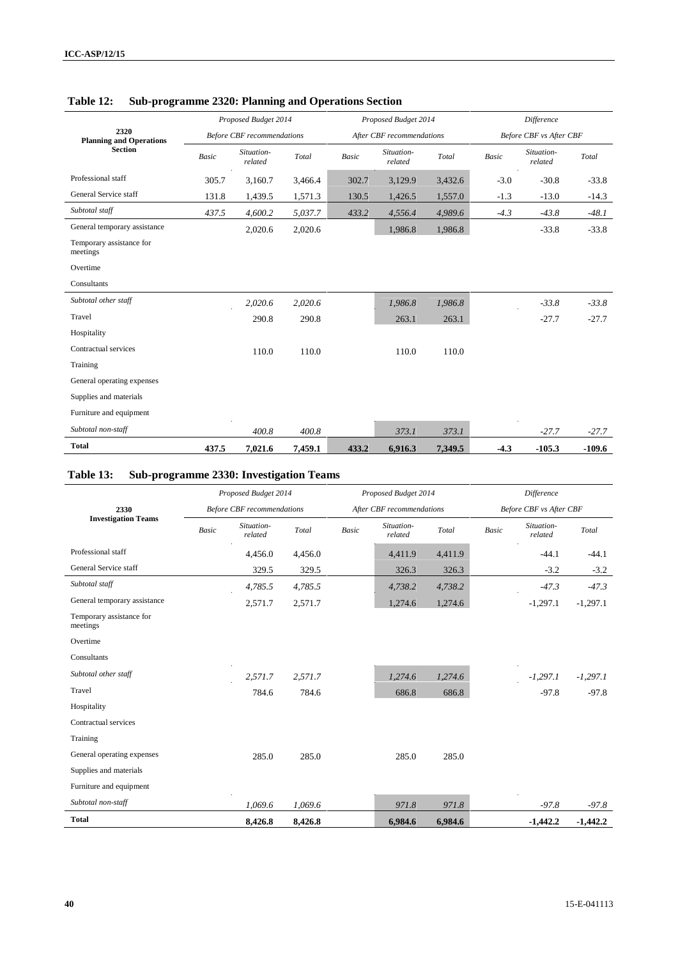|                                        |       | Proposed Budget 2014              |         |              | Proposed Budget 2014      |         |              | <b>Difference</b>       |          |
|----------------------------------------|-------|-----------------------------------|---------|--------------|---------------------------|---------|--------------|-------------------------|----------|
| 2320<br><b>Planning and Operations</b> |       | <b>Before CBF</b> recommendations |         |              | After CBF recommendations |         |              | Before CBF vs After CBF |          |
| <b>Section</b>                         | Basic | Situation-<br>related             | Total   | <b>Basic</b> | Situation-<br>related     | Total   | <b>Basic</b> | Situation-<br>related   | Total    |
| Professional staff                     | 305.7 | 3,160.7                           | 3,466.4 | 302.7        | 3,129.9                   | 3,432.6 | $-3.0$       | $-30.8$                 | $-33.8$  |
| General Service staff                  | 131.8 | 1,439.5                           | 1,571.3 | 130.5        | 1,426.5                   | 1,557.0 | $-1.3$       | $-13.0$                 | $-14.3$  |
| Subtotal staff                         | 437.5 | 4,600.2                           | 5,037.7 | 433.2        | 4,556.4                   | 4,989.6 | $-4.3$       | $-43.8$                 | $-48.1$  |
| General temporary assistance           |       | 2,020.6                           | 2,020.6 |              | 1,986.8                   | 1,986.8 |              | $-33.8$                 | $-33.8$  |
| Temporary assistance for<br>meetings   |       |                                   |         |              |                           |         |              |                         |          |
| Overtime                               |       |                                   |         |              |                           |         |              |                         |          |
| Consultants                            |       |                                   |         |              |                           |         |              |                         |          |
| Subtotal other staff                   |       | 2,020.6                           | 2,020.6 |              | 1,986.8                   | 1,986.8 |              | $-33.8$                 | $-33.8$  |
| Travel                                 |       | 290.8                             | 290.8   |              | 263.1                     | 263.1   |              | $-27.7$                 | $-27.7$  |
| Hospitality                            |       |                                   |         |              |                           |         |              |                         |          |
| Contractual services                   |       | 110.0                             | 110.0   |              | 110.0                     | 110.0   |              |                         |          |
| Training                               |       |                                   |         |              |                           |         |              |                         |          |
| General operating expenses             |       |                                   |         |              |                           |         |              |                         |          |
| Supplies and materials                 |       |                                   |         |              |                           |         |              |                         |          |
| Furniture and equipment                |       |                                   |         |              |                           |         |              |                         |          |
| Subtotal non-staff                     |       | 400.8                             | 400.8   |              | 373.1                     | 373.1   |              | $-27.7$                 | $-27.7$  |
| <b>Total</b>                           | 437.5 | 7,021.6                           | 7,459.1 | 433.2        | 6,916.3                   | 7,349.5 | $-4.3$       | $-105.3$                | $-109.6$ |

## **Table 12: Sub-programme 2320: Planning and Operations Section**

# **Table 13: Sub-programme 2330: Investigation Teams**

|                                      |              | Proposed Budget 2014              |         |              | Proposed Budget 2014      |         |       | Difference              |            |
|--------------------------------------|--------------|-----------------------------------|---------|--------------|---------------------------|---------|-------|-------------------------|------------|
| 2330                                 |              | <b>Before CBF</b> recommendations |         |              | After CBF recommendations |         |       | Before CBF vs After CBF |            |
| <b>Investigation Teams</b>           | <b>Basic</b> | Situation-<br>related             | Total   | <b>Basic</b> | Situation-<br>related     | Total   | Basic | Situation-<br>related   | Total      |
| Professional staff                   |              | 4,456.0                           | 4,456.0 |              | 4,411.9                   | 4,411.9 |       | $-44.1$                 | $-44.1$    |
| General Service staff                |              | 329.5                             | 329.5   |              | 326.3                     | 326.3   |       | $-3.2$                  | $-3.2$     |
| Subtotal staff                       |              | 4,785.5                           | 4,785.5 |              | 4,738.2                   | 4,738.2 |       | $-47.3$                 | $-47.3$    |
| General temporary assistance         |              | 2,571.7                           | 2,571.7 |              | 1,274.6                   | 1,274.6 |       | $-1,297.1$              | $-1,297.1$ |
| Temporary assistance for<br>meetings |              |                                   |         |              |                           |         |       |                         |            |
| Overtime                             |              |                                   |         |              |                           |         |       |                         |            |
| Consultants                          |              |                                   |         |              |                           |         |       |                         |            |
| Subtotal other staff                 |              | 2,571.7                           | 2,571.7 |              | 1,274.6                   | 1,274.6 |       | $-1,297.1$              | $-1,297.1$ |
| Travel                               |              | 784.6                             | 784.6   |              | 686.8                     | 686.8   |       | $-97.8$                 | $-97.8$    |
| Hospitality                          |              |                                   |         |              |                           |         |       |                         |            |
| Contractual services                 |              |                                   |         |              |                           |         |       |                         |            |
| Training                             |              |                                   |         |              |                           |         |       |                         |            |
| General operating expenses           |              | 285.0                             | 285.0   |              | 285.0                     | 285.0   |       |                         |            |
| Supplies and materials               |              |                                   |         |              |                           |         |       |                         |            |
| Furniture and equipment              |              |                                   |         |              |                           |         |       |                         |            |
| Subtotal non-staff                   |              | 1,069.6                           | 1,069.6 |              | 971.8                     | 971.8   |       | $-97.8$                 | $-97.8$    |
| <b>Total</b>                         |              | 8,426.8                           | 8,426.8 |              | 6,984.6                   | 6,984.6 |       | $-1.442.2$              | $-1,442.2$ |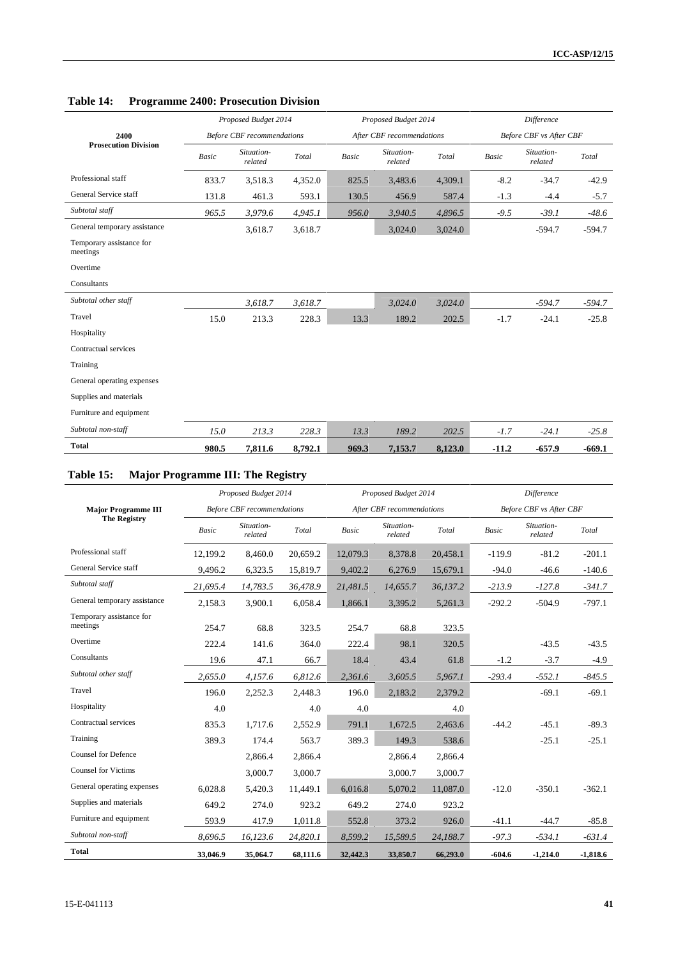|                                      |              | Proposed Budget 2014              |         |       | Proposed Budget 2014      |         | Difference |                         |          |  |
|--------------------------------------|--------------|-----------------------------------|---------|-------|---------------------------|---------|------------|-------------------------|----------|--|
| 2400                                 |              | <b>Before CBF</b> recommendations |         |       | After CBF recommendations |         |            | Before CBF vs After CBF |          |  |
| <b>Prosecution Division</b>          | <b>Basic</b> | Situation-<br>related             | Total   | Basic | Situation-<br>related     | Total   | Basic      | Situation-<br>related   | Total    |  |
| Professional staff                   | 833.7        | 3,518.3                           | 4,352.0 | 825.5 | 3,483.6                   | 4,309.1 | $-8.2$     | $-34.7$                 | $-42.9$  |  |
| General Service staff                | 131.8        | 461.3                             | 593.1   | 130.5 | 456.9                     | 587.4   | $-1.3$     | $-4.4$                  | $-5.7$   |  |
| Subtotal staff                       | 965.5        | 3,979.6                           | 4,945.1 | 956.0 | 3,940.5                   | 4,896.5 | $-9.5$     | $-39.1$                 | $-48.6$  |  |
| General temporary assistance         |              | 3,618.7                           | 3,618.7 |       | 3,024.0                   | 3,024.0 |            | $-594.7$                | $-594.7$ |  |
| Temporary assistance for<br>meetings |              |                                   |         |       |                           |         |            |                         |          |  |
| Overtime                             |              |                                   |         |       |                           |         |            |                         |          |  |
| Consultants                          |              |                                   |         |       |                           |         |            |                         |          |  |
| Subtotal other staff                 |              | 3,618.7                           | 3,618.7 |       | 3,024.0                   | 3,024.0 |            | $-594.7$                | $-594.7$ |  |
| Travel                               | 15.0         | 213.3                             | 228.3   | 13.3  | 189.2                     | 202.5   | $-1.7$     | $-24.1$                 | $-25.8$  |  |
| Hospitality                          |              |                                   |         |       |                           |         |            |                         |          |  |
| Contractual services                 |              |                                   |         |       |                           |         |            |                         |          |  |
| Training                             |              |                                   |         |       |                           |         |            |                         |          |  |
| General operating expenses           |              |                                   |         |       |                           |         |            |                         |          |  |
| Supplies and materials               |              |                                   |         |       |                           |         |            |                         |          |  |
| Furniture and equipment              |              |                                   |         |       |                           |         |            |                         |          |  |
| Subtotal non-staff                   | 15.0         | 213.3                             | 228.3   | 13.3  | 189.2                     | 202.5   | $-1.7$     | $-24.1$                 | $-25.8$  |  |
| <b>Total</b>                         | 980.5        | 7,811.6                           | 8,792.1 | 969.3 | 7,153.7                   | 8,123.0 | $-11.2$    | $-657.9$                | $-669.1$ |  |

## **Table 14: Programme 2400: Prosecution Division**

# **Table 15: Major Programme III: The Registry**

|                                      |              | Proposed Budget 2014              |          |          | Proposed Budget 2014      |          | Difference |                         |            |  |
|--------------------------------------|--------------|-----------------------------------|----------|----------|---------------------------|----------|------------|-------------------------|------------|--|
| <b>Major Programme III</b>           |              | <b>Before CBF</b> recommendations |          |          | After CBF recommendations |          |            | Before CBF vs After CBF |            |  |
| <b>The Registry</b>                  | <b>Basic</b> | Situation-<br>related             | Total    | Basic    | Situation-<br>related     | Total    | Basic      | Situation-<br>related   | Total      |  |
| Professional staff                   | 12,199.2     | 8,460.0                           | 20,659.2 | 12,079.3 | 8,378.8                   | 20,458.1 | $-119.9$   | $-81.2$                 | $-201.1$   |  |
| General Service staff                | 9,496.2      | 6,323.5                           | 15,819.7 | 9,402.2  | 6,276.9                   | 15,679.1 | $-94.0$    | $-46.6$                 | $-140.6$   |  |
| Subtotal staff                       | 21,695.4     | 14,783.5                          | 36,478.9 | 21,481.5 | 14,655.7                  | 36,137.2 | $-213.9$   | $-127.8$                | $-341.7$   |  |
| General temporary assistance         | 2,158.3      | 3,900.1                           | 6,058.4  | 1,866.1  | 3,395.2                   | 5,261.3  | $-292.2$   | $-504.9$                | $-797.1$   |  |
| Temporary assistance for<br>meetings | 254.7        | 68.8                              | 323.5    | 254.7    | 68.8                      | 323.5    |            |                         |            |  |
| Overtime                             | 222.4        | 141.6                             | 364.0    | 222.4    | 98.1                      | 320.5    |            | $-43.5$                 | $-43.5$    |  |
| Consultants                          | 19.6         | 47.1                              | 66.7     | 18.4     | 43.4                      | 61.8     | $-1.2$     | $-3.7$                  | $-4.9$     |  |
| Subtotal other staff                 | 2,655.0      | 4,157.6                           | 6,812.6  | 2,361.6  | 3,605.5                   | 5,967.1  | $-293.4$   | $-552.1$                | $-845.5$   |  |
| Travel                               | 196.0        | 2,252.3                           | 2,448.3  | 196.0    | 2,183.2                   | 2,379.2  |            | $-69.1$                 | $-69.1$    |  |
| Hospitality                          | 4.0          |                                   | 4.0      | 4.0      |                           | 4.0      |            |                         |            |  |
| Contractual services                 | 835.3        | 1,717.6                           | 2,552.9  | 791.1    | 1,672.5                   | 2,463.6  | $-44.2$    | $-45.1$                 | $-89.3$    |  |
| Training                             | 389.3        | 174.4                             | 563.7    | 389.3    | 149.3                     | 538.6    |            | $-25.1$                 | $-25.1$    |  |
| <b>Counsel for Defence</b>           |              | 2,866.4                           | 2,866.4  |          | 2,866.4                   | 2,866.4  |            |                         |            |  |
| <b>Counsel for Victims</b>           |              | 3,000.7                           | 3,000.7  |          | 3,000.7                   | 3,000.7  |            |                         |            |  |
| General operating expenses           | 6,028.8      | 5,420.3                           | 11,449.1 | 6.016.8  | 5,070.2                   | 11,087.0 | $-12.0$    | $-350.1$                | $-362.1$   |  |
| Supplies and materials               | 649.2        | 274.0                             | 923.2    | 649.2    | 274.0                     | 923.2    |            |                         |            |  |
| Furniture and equipment              | 593.9        | 417.9                             | 1,011.8  | 552.8    | 373.2                     | 926.0    | $-41.1$    | $-44.7$                 | $-85.8$    |  |
| Subtotal non-staff                   | 8.696.5      | 16,123.6                          | 24,820.1 | 8,599.2  | 15,589.5                  | 24,188.7 | $-97.3$    | $-534.1$                | $-631.4$   |  |
| <b>Total</b>                         | 33,046.9     | 35,064.7                          | 68,111.6 | 32,442.3 | 33,850.7                  | 66,293.0 | $-604.6$   | $-1,214.0$              | $-1,818.6$ |  |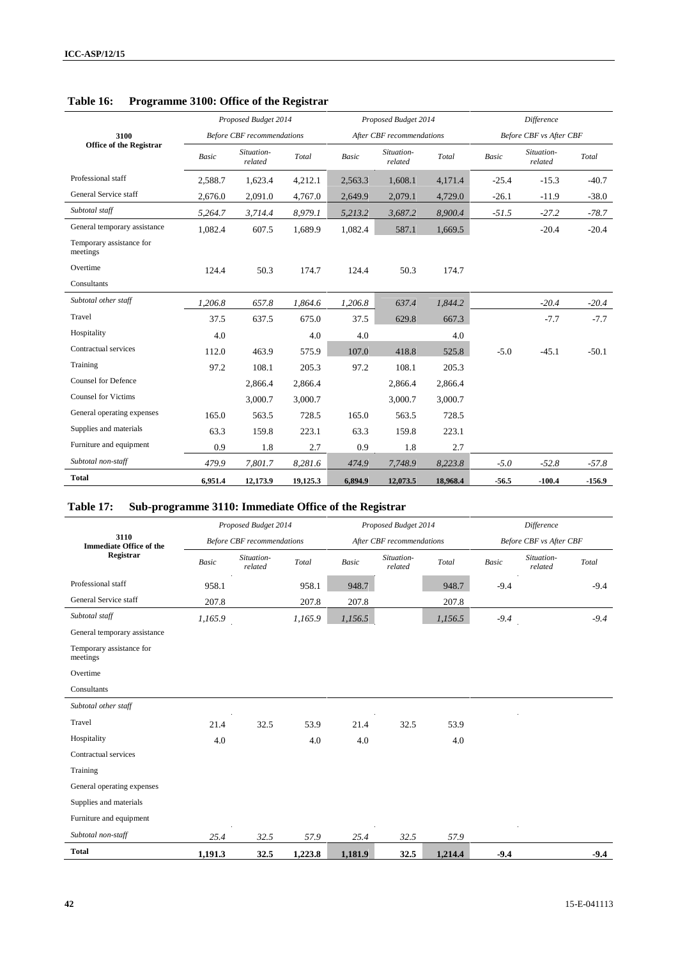|                                      |         | Proposed Budget 2014              |                                             |         | Proposed Budget 2014      |          | Difference   |                         |          |  |
|--------------------------------------|---------|-----------------------------------|---------------------------------------------|---------|---------------------------|----------|--------------|-------------------------|----------|--|
| 3100                                 |         | <b>Before CBF</b> recommendations |                                             |         | After CBF recommendations |          |              | Before CBF vs After CBF |          |  |
| <b>Office of the Registrar</b>       | Basic   | Situation-<br>related             | $\operatorname{\mathcal{T}\!\mathit{otal}}$ | Basic   | Situation-<br>related     | Total    | <b>Basic</b> | Situation-<br>related   | Total    |  |
| Professional staff                   | 2,588.7 | 1,623.4                           | 4,212.1                                     | 2,563.3 | 1,608.1                   | 4,171.4  | $-25.4$      | $-15.3$                 | $-40.7$  |  |
| General Service staff                | 2,676.0 | 2,091.0                           | 4,767.0                                     | 2,649.9 | 2,079.1                   | 4,729.0  | $-26.1$      | $-11.9$                 | $-38.0$  |  |
| Subtotal staff                       | 5,264.7 | 3,714.4                           | 8,979.1                                     | 5,213.2 | 3,687.2                   | 8,900.4  | $-51.5$      | $-27.2$                 | $-78.7$  |  |
| General temporary assistance         | 1,082.4 | 607.5                             | 1,689.9                                     | 1,082.4 | 587.1                     | 1,669.5  |              | $-20.4$                 | $-20.4$  |  |
| Temporary assistance for<br>meetings |         |                                   |                                             |         |                           |          |              |                         |          |  |
| Overtime                             | 124.4   | 50.3                              | 174.7                                       | 124.4   | 50.3                      | 174.7    |              |                         |          |  |
| Consultants                          |         |                                   |                                             |         |                           |          |              |                         |          |  |
| Subtotal other staff                 | 1.206.8 | 657.8                             | 1,864.6                                     | 1,206.8 | 637.4                     | 1,844.2  |              | $-20.4$                 | $-20.4$  |  |
| Travel                               | 37.5    | 637.5                             | 675.0                                       | 37.5    | 629.8                     | 667.3    |              | $-7.7$                  | $-7.7$   |  |
| Hospitality                          | 4.0     |                                   | 4.0                                         | 4.0     |                           | 4.0      |              |                         |          |  |
| Contractual services                 | 112.0   | 463.9                             | 575.9                                       | 107.0   | 418.8                     | 525.8    | $-5.0$       | $-45.1$                 | $-50.1$  |  |
| Training                             | 97.2    | 108.1                             | 205.3                                       | 97.2    | 108.1                     | 205.3    |              |                         |          |  |
| <b>Counsel for Defence</b>           |         | 2,866.4                           | 2,866.4                                     |         | 2,866.4                   | 2,866.4  |              |                         |          |  |
| <b>Counsel for Victims</b>           |         | 3,000.7                           | 3,000.7                                     |         | 3,000.7                   | 3,000.7  |              |                         |          |  |
| General operating expenses           | 165.0   | 563.5                             | 728.5                                       | 165.0   | 563.5                     | 728.5    |              |                         |          |  |
| Supplies and materials               | 63.3    | 159.8                             | 223.1                                       | 63.3    | 159.8                     | 223.1    |              |                         |          |  |
| Furniture and equipment              | 0.9     | 1.8                               | 2.7                                         | 0.9     | 1.8                       | 2.7      |              |                         |          |  |
| Subtotal non-staff                   | 479.9   | 7,801.7                           | 8,281.6                                     | 474.9   | 7,748.9                   | 8,223.8  | $-5.0$       | $-52.8$                 | $-57.8$  |  |
| <b>Total</b>                         | 6,951.4 | 12,173.9                          | 19,125.3                                    | 6,894.9 | 12,073.5                  | 18,968.4 | $-56.5$      | $-100.4$                | $-156.9$ |  |

## **Table 16: Programme 3100: Office of the Registrar**

# **Table 17: Sub-programme 3110: Immediate Office of the Registrar**

|                                        |              | Proposed Budget 2014              |         |              | Proposed Budget 2014      |         | Difference |                         |        |  |
|----------------------------------------|--------------|-----------------------------------|---------|--------------|---------------------------|---------|------------|-------------------------|--------|--|
| 3110<br><b>Immediate Office of the</b> |              | <b>Before CBF</b> recommendations |         |              | After CBF recommendations |         |            | Before CBF vs After CBF |        |  |
| Registrar                              | <b>Basic</b> | Situation-<br>related             | Total   | <b>Basic</b> | Situation-<br>related     | Total   | Basic      | Situation-<br>related   | Total  |  |
| Professional staff                     | 958.1        |                                   | 958.1   | 948.7        |                           | 948.7   | $-9.4$     |                         | $-9.4$ |  |
| General Service staff                  | 207.8        |                                   | 207.8   | 207.8        |                           | 207.8   |            |                         |        |  |
| Subtotal staff                         | 1,165.9      |                                   | 1,165.9 | 1,156.5      |                           | 1,156.5 | $-9.4$     |                         | $-9.4$ |  |
| General temporary assistance           |              |                                   |         |              |                           |         |            |                         |        |  |
| Temporary assistance for<br>meetings   |              |                                   |         |              |                           |         |            |                         |        |  |
| Overtime                               |              |                                   |         |              |                           |         |            |                         |        |  |
| Consultants                            |              |                                   |         |              |                           |         |            |                         |        |  |
| Subtotal other staff                   |              |                                   |         |              |                           |         |            |                         |        |  |
| Travel                                 | 21.4         | 32.5                              | 53.9    | 21.4         | 32.5                      | 53.9    |            |                         |        |  |
| Hospitality                            | 4.0          |                                   | 4.0     | 4.0          |                           | 4.0     |            |                         |        |  |
| Contractual services                   |              |                                   |         |              |                           |         |            |                         |        |  |
| Training                               |              |                                   |         |              |                           |         |            |                         |        |  |
| General operating expenses             |              |                                   |         |              |                           |         |            |                         |        |  |
| Supplies and materials                 |              |                                   |         |              |                           |         |            |                         |        |  |
| Furniture and equipment                |              |                                   |         |              |                           |         |            |                         |        |  |
| Subtotal non-staff                     | 25.4         | 32.5                              | 57.9    | 25.4         | 32.5                      | 57.9    |            |                         |        |  |
| <b>Total</b>                           | 1,191.3      | 32.5                              | 1,223.8 | 1,181.9      | 32.5                      | 1,214.4 | $-9.4$     |                         | $-9.4$ |  |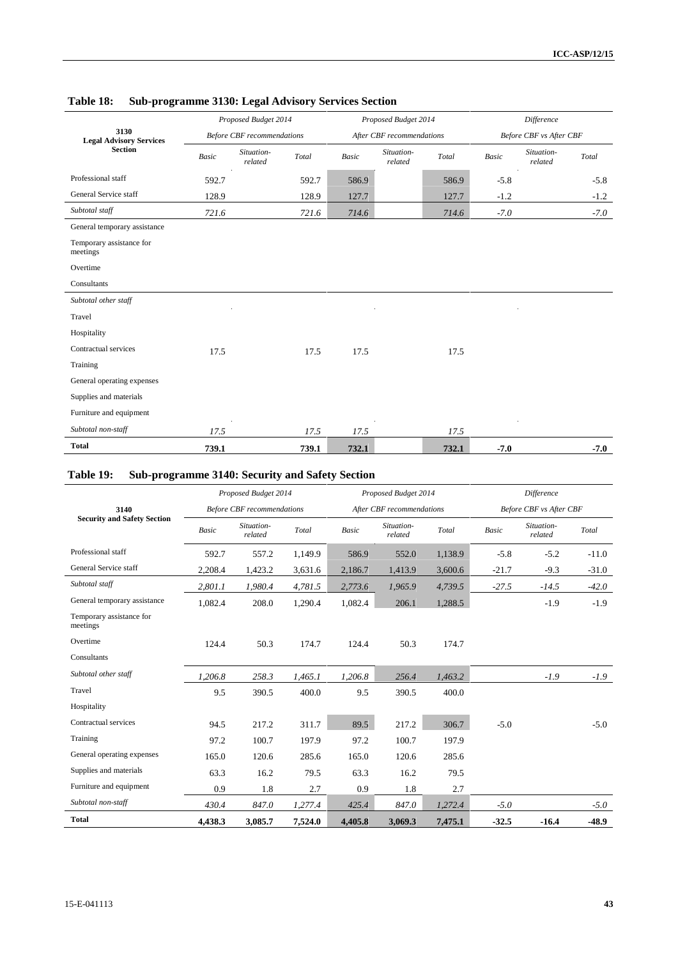|                                        |       | Proposed Budget 2014              |       |              | Proposed Budget 2014      |       | Difference |                         |        |
|----------------------------------------|-------|-----------------------------------|-------|--------------|---------------------------|-------|------------|-------------------------|--------|
| 3130<br><b>Legal Advisory Services</b> |       | <b>Before CBF</b> recommendations |       |              | After CBF recommendations |       |            | Before CBF vs After CBF |        |
| <b>Section</b>                         | Basic | Situation-<br>related             | Total | <b>Basic</b> | Situation-<br>related     | Total | Basic      | Situation-<br>related   | Total  |
| Professional staff                     | 592.7 |                                   | 592.7 | 586.9        |                           | 586.9 | $-5.8$     |                         | $-5.8$ |
| General Service staff                  | 128.9 |                                   | 128.9 | 127.7        |                           | 127.7 | $-1.2$     |                         | $-1.2$ |
| Subtotal staff                         | 721.6 |                                   | 721.6 | 714.6        |                           | 714.6 | $-7.0$     |                         | $-7.0$ |
| General temporary assistance           |       |                                   |       |              |                           |       |            |                         |        |
| Temporary assistance for<br>meetings   |       |                                   |       |              |                           |       |            |                         |        |
| Overtime                               |       |                                   |       |              |                           |       |            |                         |        |
| Consultants                            |       |                                   |       |              |                           |       |            |                         |        |
| Subtotal other staff                   |       |                                   |       |              |                           |       |            |                         |        |
| Travel                                 |       |                                   |       |              |                           |       |            |                         |        |
| Hospitality                            |       |                                   |       |              |                           |       |            |                         |        |
| Contractual services                   | 17.5  |                                   | 17.5  | 17.5         |                           | 17.5  |            |                         |        |
| Training                               |       |                                   |       |              |                           |       |            |                         |        |
| General operating expenses             |       |                                   |       |              |                           |       |            |                         |        |
| Supplies and materials                 |       |                                   |       |              |                           |       |            |                         |        |
| Furniture and equipment                |       |                                   |       |              |                           |       |            |                         |        |
| Subtotal non-staff                     | 17.5  |                                   | 17.5  | 17.5         |                           | 17.5  |            |                         |        |
| <b>Total</b>                           | 739.1 |                                   | 739.1 | 732.1        |                           | 732.1 | $-7.0$     |                         | $-7.0$ |

## **Table 18: Sub-programme 3130: Legal Advisory Services Section**

## **Table 19: Sub-programme 3140: Security and Safety Section**

|                                      |              | Proposed Budget 2014              |         |              | Proposed Budget 2014      |         | Difference |                         |         |  |
|--------------------------------------|--------------|-----------------------------------|---------|--------------|---------------------------|---------|------------|-------------------------|---------|--|
| 3140                                 |              | <b>Before CBF</b> recommendations |         |              | After CBF recommendations |         |            | Before CBF vs After CBF |         |  |
| <b>Security and Safety Section</b>   | <b>Basic</b> | Situation-<br>related             | Total   | <b>Basic</b> | Situation-<br>related     | Total   | Basic      | Situation-<br>related   | Total   |  |
| Professional staff                   | 592.7        | 557.2                             | 1,149.9 | 586.9        | 552.0                     | 1,138.9 | $-5.8$     | $-5.2$                  | $-11.0$ |  |
| General Service staff                | 2,208.4      | 1,423.2                           | 3,631.6 | 2,186.7      | 1,413.9                   | 3,600.6 | $-21.7$    | $-9.3$                  | $-31.0$ |  |
| Subtotal staff                       | 2,801.1      | 1,980.4                           | 4,781.5 | 2,773.6      | 1,965.9                   | 4,739.5 | $-27.5$    | $-14.5$                 | $-42.0$ |  |
| General temporary assistance         | 1,082.4      | 208.0                             | 1,290.4 | 1,082.4      | 206.1                     | 1,288.5 |            | $-1.9$                  | $-1.9$  |  |
| Temporary assistance for<br>meetings |              |                                   |         |              |                           |         |            |                         |         |  |
| Overtime                             | 124.4        | 50.3                              | 174.7   | 124.4        | 50.3                      | 174.7   |            |                         |         |  |
| Consultants                          |              |                                   |         |              |                           |         |            |                         |         |  |
| Subtotal other staff                 | 1.206.8      | 258.3                             | 1,465.1 | 1,206.8      | 256.4                     | 1,463.2 |            | $-1.9$                  | $-1.9$  |  |
| Travel                               | 9.5          | 390.5                             | 400.0   | 9.5          | 390.5                     | 400.0   |            |                         |         |  |
| Hospitality                          |              |                                   |         |              |                           |         |            |                         |         |  |
| Contractual services                 | 94.5         | 217.2                             | 311.7   | 89.5         | 217.2                     | 306.7   | $-5.0$     |                         | $-5.0$  |  |
| Training                             | 97.2         | 100.7                             | 197.9   | 97.2         | 100.7                     | 197.9   |            |                         |         |  |
| General operating expenses           | 165.0        | 120.6                             | 285.6   | 165.0        | 120.6                     | 285.6   |            |                         |         |  |
| Supplies and materials               | 63.3         | 16.2                              | 79.5    | 63.3         | 16.2                      | 79.5    |            |                         |         |  |
| Furniture and equipment              | 0.9          | 1.8                               | 2.7     | 0.9          | 1.8                       | 2.7     |            |                         |         |  |
| Subtotal non-staff                   | 430.4        | 847.0                             | 1,277.4 | 425.4        | 847.0                     | 1,272.4 | $-5.0$     |                         | $-5.0$  |  |
| <b>Total</b>                         | 4,438.3      | 3,085.7                           | 7,524.0 | 4,405.8      | 3,069.3                   | 7,475.1 | $-32.5$    | $-16.4$                 | $-48.9$ |  |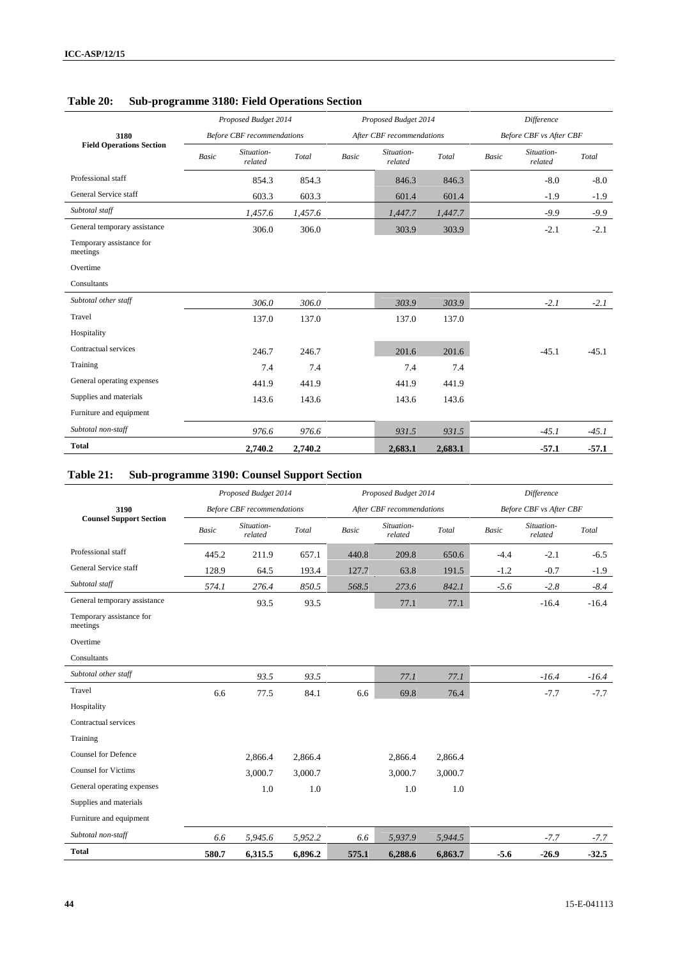|                                      |              | Proposed Budget 2014              |         |              | Proposed Budget 2014      |         |       | Difference              |         |
|--------------------------------------|--------------|-----------------------------------|---------|--------------|---------------------------|---------|-------|-------------------------|---------|
| 3180                                 |              | <b>Before CBF</b> recommendations |         |              | After CBF recommendations |         |       | Before CBF vs After CBF |         |
| <b>Field Operations Section</b>      | <b>Basic</b> | Situation-<br>related             | Total   | <b>Basic</b> | Situation-<br>related     | Total   | Basic | Situation-<br>related   | Total   |
| Professional staff                   |              | 854.3                             | 854.3   |              | 846.3                     | 846.3   |       | $-8.0$                  | $-8.0$  |
| General Service staff                |              | 603.3                             | 603.3   |              | 601.4                     | 601.4   |       | $-1.9$                  | $-1.9$  |
| Subtotal staff                       |              | 1,457.6                           | 1,457.6 |              | 1,447.7                   | 1,447.7 |       | $-9.9$                  | $-9.9$  |
| General temporary assistance         |              | 306.0                             | 306.0   |              | 303.9                     | 303.9   |       | $-2.1$                  | $-2.1$  |
| Temporary assistance for<br>meetings |              |                                   |         |              |                           |         |       |                         |         |
| Overtime                             |              |                                   |         |              |                           |         |       |                         |         |
| Consultants                          |              |                                   |         |              |                           |         |       |                         |         |
| Subtotal other staff                 |              | 306.0                             | 306.0   |              | 303.9                     | 303.9   |       | $-2.1$                  | $-2.1$  |
| Travel                               |              | 137.0                             | 137.0   |              | 137.0                     | 137.0   |       |                         |         |
| Hospitality                          |              |                                   |         |              |                           |         |       |                         |         |
| Contractual services                 |              | 246.7                             | 246.7   |              | 201.6                     | 201.6   |       | $-45.1$                 | $-45.1$ |
| Training                             |              | 7.4                               | 7.4     |              | 7.4                       | 7.4     |       |                         |         |
| General operating expenses           |              | 441.9                             | 441.9   |              | 441.9                     | 441.9   |       |                         |         |
| Supplies and materials               |              | 143.6                             | 143.6   |              | 143.6                     | 143.6   |       |                         |         |
| Furniture and equipment              |              |                                   |         |              |                           |         |       |                         |         |
| Subtotal non-staff                   |              | 976.6                             | 976.6   |              | 931.5                     | 931.5   |       | $-45.1$                 | $-45.1$ |
| <b>Total</b>                         |              | 2,740.2                           | 2,740.2 |              | 2,683.1                   | 2,683.1 |       | $-57.1$                 | $-57.1$ |

## **Table 20: Sub-programme 3180: Field Operations Section**

# **Table 21: Sub-programme 3190: Counsel Support Section**

|                                      |              | Proposed Budget 2014              |         |       | Proposed Budget 2014      |         | <b>Difference</b> |                         |         |  |
|--------------------------------------|--------------|-----------------------------------|---------|-------|---------------------------|---------|-------------------|-------------------------|---------|--|
| 3190                                 |              | <b>Before CBF</b> recommendations |         |       | After CBF recommendations |         |                   | Before CBF vs After CBF |         |  |
| <b>Counsel Support Section</b>       | <b>Basic</b> | Situation-<br>related             | Total   | Basic | Situation-<br>related     | Total   | Basic             | Situation-<br>related   | Total   |  |
| Professional staff                   | 445.2        | 211.9                             | 657.1   | 440.8 | 209.8                     | 650.6   | $-4.4$            | $-2.1$                  | $-6.5$  |  |
| General Service staff                | 128.9        | 64.5                              | 193.4   | 127.7 | 63.8                      | 191.5   | $-1.2$            | $-0.7$                  | $-1.9$  |  |
| Subtotal staff                       | 574.1        | 276.4                             | 850.5   | 568.5 | 273.6                     | 842.1   | $-5.6$            | $-2.8$                  | $-8.4$  |  |
| General temporary assistance         |              | 93.5                              | 93.5    |       | 77.1                      | 77.1    |                   | $-16.4$                 | $-16.4$ |  |
| Temporary assistance for<br>meetings |              |                                   |         |       |                           |         |                   |                         |         |  |
| Overtime                             |              |                                   |         |       |                           |         |                   |                         |         |  |
| Consultants                          |              |                                   |         |       |                           |         |                   |                         |         |  |
| Subtotal other staff                 |              | 93.5                              | 93.5    |       | 77.1                      | 77.1    |                   | $-16.4$                 | $-16.4$ |  |
| Travel                               | 6.6          | 77.5                              | 84.1    | 6.6   | 69.8                      | 76.4    |                   | $-7.7$                  | $-7.7$  |  |
| Hospitality                          |              |                                   |         |       |                           |         |                   |                         |         |  |
| Contractual services                 |              |                                   |         |       |                           |         |                   |                         |         |  |
| Training                             |              |                                   |         |       |                           |         |                   |                         |         |  |
| <b>Counsel for Defence</b>           |              | 2,866.4                           | 2,866.4 |       | 2,866.4                   | 2,866.4 |                   |                         |         |  |
| <b>Counsel for Victims</b>           |              | 3,000.7                           | 3,000.7 |       | 3,000.7                   | 3,000.7 |                   |                         |         |  |
| General operating expenses           |              | 1.0                               | 1.0     |       | 1.0                       | 1.0     |                   |                         |         |  |
| Supplies and materials               |              |                                   |         |       |                           |         |                   |                         |         |  |
| Furniture and equipment              |              |                                   |         |       |                           |         |                   |                         |         |  |
| Subtotal non-staff                   | 6.6          | 5,945.6                           | 5,952.2 | 6.6   | 5,937.9                   | 5,944.5 |                   | $-7.7$                  | $-7.7$  |  |
| <b>Total</b>                         | 580.7        | 6,315.5                           | 6,896.2 | 575.1 | 6,288.6                   | 6,863.7 | $-5.6$            | $-26.9$                 | $-32.5$ |  |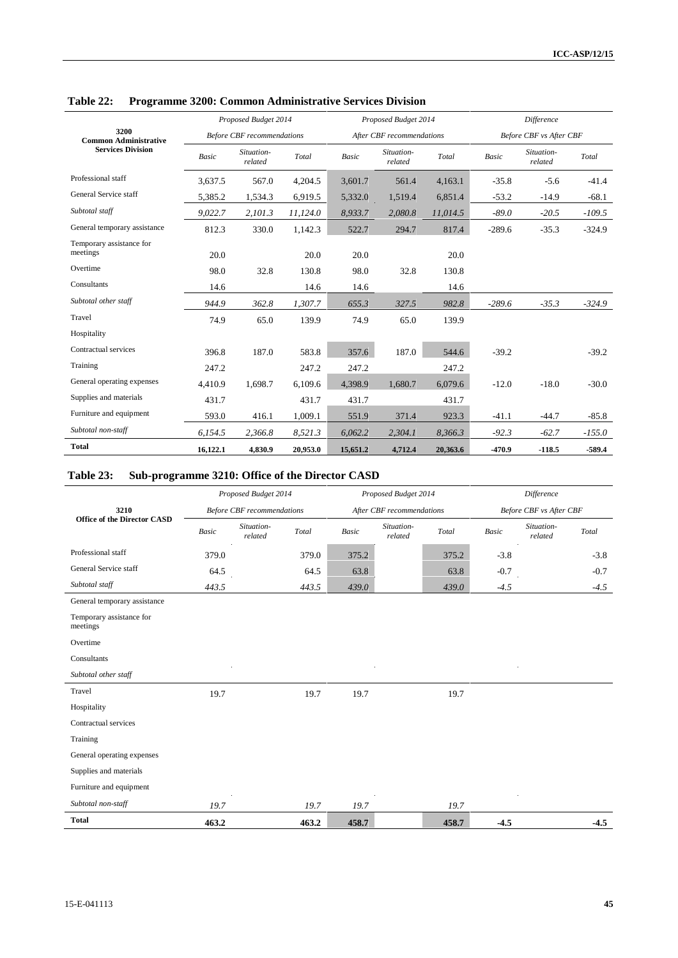|                                      |              | Proposed Budget 2014              |          |              | Proposed Budget 2014      |          | <b>Difference</b> |                                |          |  |
|--------------------------------------|--------------|-----------------------------------|----------|--------------|---------------------------|----------|-------------------|--------------------------------|----------|--|
| 3200<br><b>Common Administrative</b> |              | <b>Before CBF</b> recommendations |          |              | After CBF recommendations |          |                   | <b>Before CBF</b> vs After CBF |          |  |
| <b>Services Division</b>             | <b>Basic</b> | Situation-<br>related             | Total    | <b>Basic</b> | Situation-<br>related     | Total    | Basic             | Situation-<br>related          | Total    |  |
| Professional staff                   | 3,637.5      | 567.0                             | 4,204.5  | 3,601.7      | 561.4                     | 4,163.1  | $-35.8$           | $-5.6$                         | $-41.4$  |  |
| General Service staff                | 5,385.2      | 1,534.3                           | 6,919.5  | 5,332.0      | 1,519.4                   | 6,851.4  | $-53.2$           | $-14.9$                        | $-68.1$  |  |
| Subtotal staff                       | 9,022.7      | 2,101.3                           | 11,124.0 | 8,933.7      | 2,080.8                   | 11,014.5 | $-89.0$           | $-20.5$                        | $-109.5$ |  |
| General temporary assistance         | 812.3        | 330.0                             | 1,142.3  | 522.7        | 294.7                     | 817.4    | $-289.6$          | $-35.3$                        | $-324.9$ |  |
| Temporary assistance for<br>meetings | 20.0         |                                   | 20.0     | 20.0         |                           | 20.0     |                   |                                |          |  |
| Overtime                             | 98.0         | 32.8                              | 130.8    | 98.0         | 32.8                      | 130.8    |                   |                                |          |  |
| Consultants                          | 14.6         |                                   | 14.6     | 14.6         |                           | 14.6     |                   |                                |          |  |
| Subtotal other staff                 | 944.9        | 362.8                             | 1,307.7  | 655.3        | 327.5                     | 982.8    | $-289.6$          | $-35.3$                        | $-324.9$ |  |
| Travel                               | 74.9         | 65.0                              | 139.9    | 74.9         | 65.0                      | 139.9    |                   |                                |          |  |
| Hospitality                          |              |                                   |          |              |                           |          |                   |                                |          |  |
| Contractual services                 | 396.8        | 187.0                             | 583.8    | 357.6        | 187.0                     | 544.6    | $-39.2$           |                                | $-39.2$  |  |
| Training                             | 247.2        |                                   | 247.2    | 247.2        |                           | 247.2    |                   |                                |          |  |
| General operating expenses           | 4,410.9      | 1,698.7                           | 6,109.6  | 4,398.9      | 1,680.7                   | 6,079.6  | $-12.0$           | $-18.0$                        | $-30.0$  |  |
| Supplies and materials               | 431.7        |                                   | 431.7    | 431.7        |                           | 431.7    |                   |                                |          |  |
| Furniture and equipment              | 593.0        | 416.1                             | 1,009.1  | 551.9        | 371.4                     | 923.3    | $-41.1$           | $-44.7$                        | $-85.8$  |  |
| Subtotal non-staff                   | 6.154.5      | 2.366.8                           | 8,521.3  | 6,062.2      | 2,304.1                   | 8,366.3  | $-92.3$           | $-62.7$                        | $-155.0$ |  |
| <b>Total</b>                         | 16,122.1     | 4,830.9                           | 20,953.0 | 15,651.2     | 4,712.4                   | 20,363.6 | $-470.9$          | $-118.5$                       | -589.4   |  |

**Table 22: Programme 3200: Common Administrative Services Division**

# **Table 23: Sub-programme 3210: Office of the Director CASD**

|                                      |       | Proposed Budget 2014              |       |              | Proposed Budget 2014      |       |        | Difference                     |        |
|--------------------------------------|-------|-----------------------------------|-------|--------------|---------------------------|-------|--------|--------------------------------|--------|
| 3210                                 |       | <b>Before CBF</b> recommendations |       |              | After CBF recommendations |       |        | Before CBF vs After CBF        |        |
| <b>Office of the Director CASD</b>   | Basic | Situation-<br>related             | Total | <b>Basic</b> | Situation-<br>related     | Total | Basic  | Situation-<br>Total<br>related |        |
| Professional staff                   | 379.0 |                                   | 379.0 | 375.2        |                           | 375.2 | $-3.8$ |                                | $-3.8$ |
| General Service staff                | 64.5  |                                   | 64.5  | 63.8         |                           | 63.8  | $-0.7$ |                                | $-0.7$ |
| Subtotal staff                       | 443.5 |                                   | 443.5 | 439.0        |                           | 439.0 | $-4.5$ |                                | $-4.5$ |
| General temporary assistance         |       |                                   |       |              |                           |       |        |                                |        |
| Temporary assistance for<br>meetings |       |                                   |       |              |                           |       |        |                                |        |
| Overtime                             |       |                                   |       |              |                           |       |        |                                |        |
| Consultants                          |       |                                   |       |              |                           |       |        |                                |        |
| Subtotal other staff                 |       |                                   |       |              |                           |       |        |                                |        |
| Travel                               | 19.7  |                                   | 19.7  | 19.7         |                           | 19.7  |        |                                |        |
| Hospitality                          |       |                                   |       |              |                           |       |        |                                |        |
| Contractual services                 |       |                                   |       |              |                           |       |        |                                |        |
| Training                             |       |                                   |       |              |                           |       |        |                                |        |
| General operating expenses           |       |                                   |       |              |                           |       |        |                                |        |
| Supplies and materials               |       |                                   |       |              |                           |       |        |                                |        |
| Furniture and equipment              |       |                                   |       |              |                           |       |        |                                |        |
| Subtotal non-staff                   | 19.7  |                                   | 19.7  | 19.7         |                           | 19.7  |        |                                |        |
| <b>Total</b>                         | 463.2 |                                   | 463.2 | 458.7        |                           | 458.7 | $-4.5$ |                                | $-4.5$ |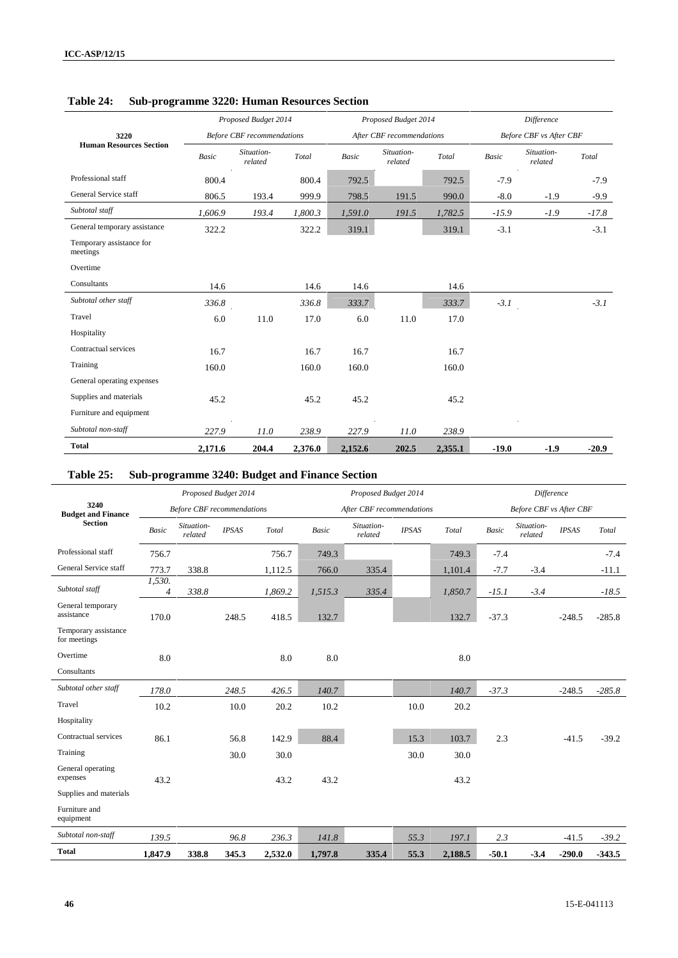|                                      |         | Proposed Budget 2014              |                                             |              | Proposed Budget 2014      |         | <b>Difference</b> |                                |         |  |
|--------------------------------------|---------|-----------------------------------|---------------------------------------------|--------------|---------------------------|---------|-------------------|--------------------------------|---------|--|
| 3220                                 |         | <b>Before CBF</b> recommendations |                                             |              | After CBF recommendations |         |                   | <b>Before CBF</b> vs After CBF |         |  |
| <b>Human Resources Section</b>       | Basic   | Situation-<br>related             | $\operatorname{\mathcal{T}\!\mathit{otal}}$ | <b>Basic</b> | Situation-<br>related     | Total   | <b>Basic</b>      | Situation-<br>related          | Total   |  |
| Professional staff                   | 800.4   |                                   | 800.4                                       | 792.5        |                           | 792.5   | $-7.9$            |                                | $-7.9$  |  |
| General Service staff                | 806.5   | 193.4                             | 999.9                                       | 798.5        | 191.5                     | 990.0   | $-8.0$            | $-1.9$                         | $-9.9$  |  |
| Subtotal staff                       | 1,606.9 | 193.4                             | 1,800.3                                     | 1,591.0      | 191.5                     | 1,782.5 | $-15.9$           | $-1.9$                         | $-17.8$ |  |
| General temporary assistance         | 322.2   |                                   | 322.2                                       | 319.1        |                           | 319.1   | $-3.1$            |                                | $-3.1$  |  |
| Temporary assistance for<br>meetings |         |                                   |                                             |              |                           |         |                   |                                |         |  |
| Overtime                             |         |                                   |                                             |              |                           |         |                   |                                |         |  |
| Consultants                          | 14.6    |                                   | 14.6                                        | 14.6         |                           | 14.6    |                   |                                |         |  |
| Subtotal other staff                 | 336.8   |                                   | 336.8                                       | 333.7        |                           | 333.7   | $-3.1$            |                                | $-3.1$  |  |
| Travel                               | 6.0     | 11.0                              | 17.0                                        | 6.0          | 11.0                      | 17.0    |                   |                                |         |  |
| Hospitality                          |         |                                   |                                             |              |                           |         |                   |                                |         |  |
| Contractual services                 | 16.7    |                                   | 16.7                                        | 16.7         |                           | 16.7    |                   |                                |         |  |
| Training                             | 160.0   |                                   | 160.0                                       | 160.0        |                           | 160.0   |                   |                                |         |  |
| General operating expenses           |         |                                   |                                             |              |                           |         |                   |                                |         |  |
| Supplies and materials               | 45.2    |                                   | 45.2                                        | 45.2         |                           | 45.2    |                   |                                |         |  |
| Furniture and equipment              |         |                                   |                                             |              |                           |         |                   |                                |         |  |
| Subtotal non-staff                   | 227.9   | 11.0                              | 238.9                                       | 227.9        | 11.0                      | 238.9   |                   |                                |         |  |
| <b>Total</b>                         | 2,171.6 | 204.4                             | 2,376.0                                     | 2,152.6      | 202.5                     | 2,355.1 | $-19.0$           | $-1.9$                         | $-20.9$ |  |

**Table 24: Sub-programme 3220: Human Resources Section**

## **Table 25: Sub-programme 3240: Budget and Finance Section**

|                                      |                          |                                   | Proposed Budget 2014 |         |         | Proposed Budget 2014      |              |         | Difference   |                                |              |          |
|--------------------------------------|--------------------------|-----------------------------------|----------------------|---------|---------|---------------------------|--------------|---------|--------------|--------------------------------|--------------|----------|
| 3240<br><b>Budget and Finance</b>    |                          | <b>Before CBF</b> recommendations |                      |         |         | After CBF recommendations |              |         |              | <b>Before CBF</b> vs After CBF |              |          |
| <b>Section</b>                       | <b>Basic</b>             | Situation-<br>related             | <b>IPSAS</b>         | Total   | Basic   | Situation-<br>related     | <b>IPSAS</b> | Total   | <b>Basic</b> | Situation-<br>related          | <b>IPSAS</b> | Total    |
| Professional staff                   | 756.7                    |                                   |                      | 756.7   | 749.3   |                           |              | 749.3   | $-7.4$       |                                |              | $-7.4$   |
| General Service staff                | 773.7                    | 338.8                             |                      | 1,112.5 | 766.0   | 335.4                     |              | 1,101.4 | $-7.7$       | $-3.4$                         |              | $-11.1$  |
| Subtotal staff                       | 1,530.<br>$\overline{4}$ | 338.8                             |                      | 1,869.2 | 1,515.3 | 335.4                     |              | 1,850.7 | $-15.1$      | $-3.4$                         |              | $-18.5$  |
| General temporary<br>assistance      | 170.0                    |                                   | 248.5                | 418.5   | 132.7   |                           |              | 132.7   | $-37.3$      |                                | $-248.5$     | $-285.8$ |
| Temporary assistance<br>for meetings |                          |                                   |                      |         |         |                           |              |         |              |                                |              |          |
| Overtime                             | 8.0                      |                                   |                      | 8.0     | 8.0     |                           |              | 8.0     |              |                                |              |          |
| Consultants                          |                          |                                   |                      |         |         |                           |              |         |              |                                |              |          |
| Subtotal other staff                 | 178.0                    |                                   | 248.5                | 426.5   | 140.7   |                           |              | 140.7   | $-37.3$      |                                | $-248.5$     | $-285.8$ |
| Travel                               | 10.2                     |                                   | 10.0                 | 20.2    | 10.2    |                           | 10.0         | 20.2    |              |                                |              |          |
| Hospitality                          |                          |                                   |                      |         |         |                           |              |         |              |                                |              |          |
| Contractual services                 | 86.1                     |                                   | 56.8                 | 142.9   | 88.4    |                           | 15.3         | 103.7   | 2.3          |                                | $-41.5$      | $-39.2$  |
| Training                             |                          |                                   | 30.0                 | 30.0    |         |                           | 30.0         | 30.0    |              |                                |              |          |
| General operating<br>expenses        | 43.2                     |                                   |                      | 43.2    | 43.2    |                           |              | 43.2    |              |                                |              |          |
| Supplies and materials               |                          |                                   |                      |         |         |                           |              |         |              |                                |              |          |
| Furniture and<br>equipment           |                          |                                   |                      |         |         |                           |              |         |              |                                |              |          |
| Subtotal non-staff                   | 139.5                    |                                   | 96.8                 | 236.3   | 141.8   |                           | 55.3         | 197.1   | 2.3          |                                | $-41.5$      | $-39.2$  |
| <b>Total</b>                         | 1,847.9                  | 338.8                             | 345.3                | 2,532.0 | 1,797.8 | 335.4                     | 55.3         | 2,188.5 | $-50.1$      | $-3.4$                         | $-290.0$     | $-343.5$ |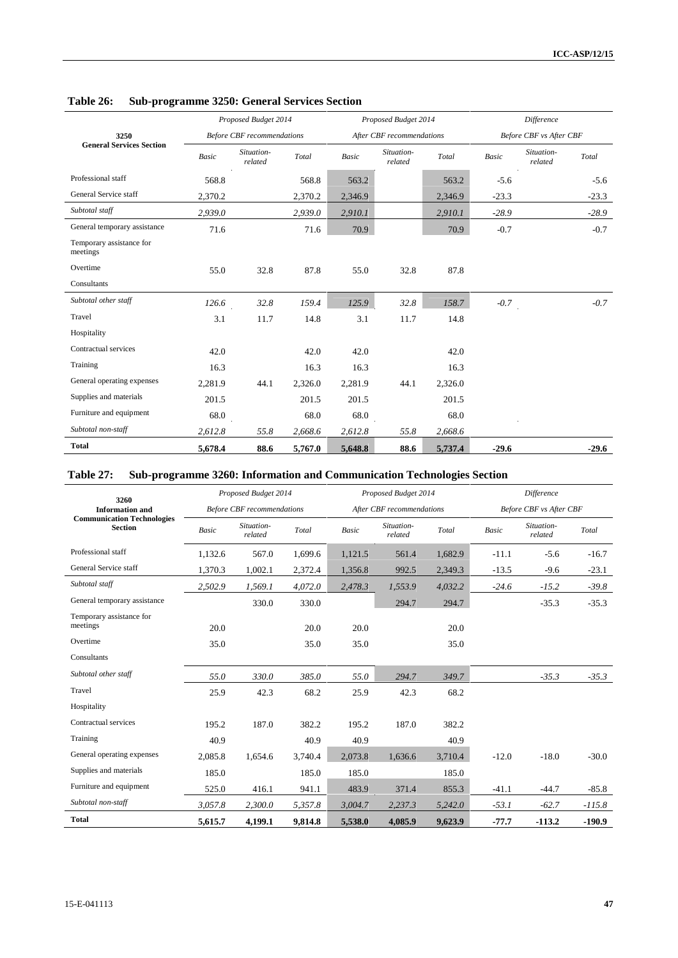|                                      |              | Proposed Budget 2014              |         |              | Proposed Budget 2014      |         |         | <b>Difference</b>              |
|--------------------------------------|--------------|-----------------------------------|---------|--------------|---------------------------|---------|---------|--------------------------------|
| 3250                                 |              | <b>Before CBF</b> recommendations |         |              | After CBF recommendations |         |         | <b>Before CBF vs After CBF</b> |
| <b>General Services Section</b>      | <b>Basic</b> | Situation-<br>related             | Total   | <b>Basic</b> | Situation-<br>related     | Total   | Basic   | Situation-<br>Total<br>related |
| Professional staff                   | 568.8        |                                   | 568.8   | 563.2        |                           | 563.2   | $-5.6$  | $-5.6$                         |
| General Service staff                | 2,370.2      |                                   | 2,370.2 | 2,346.9      |                           | 2,346.9 | $-23.3$ | $-23.3$                        |
| Subtotal staff                       | 2,939.0      |                                   | 2,939.0 | 2,910.1      |                           | 2,910.1 | $-28.9$ | $-28.9$                        |
| General temporary assistance         | 71.6         |                                   | 71.6    | 70.9         |                           | 70.9    | $-0.7$  | $-0.7$                         |
| Temporary assistance for<br>meetings |              |                                   |         |              |                           |         |         |                                |
| Overtime                             | 55.0         | 32.8                              | 87.8    | 55.0         | 32.8                      | 87.8    |         |                                |
| Consultants                          |              |                                   |         |              |                           |         |         |                                |
| Subtotal other staff                 | 126.6        | 32.8                              | 159.4   | 125.9        | 32.8                      | 158.7   | $-0.7$  | $-0.7$                         |
| Travel                               | 3.1          | 11.7                              | 14.8    | 3.1          | 11.7                      | 14.8    |         |                                |
| Hospitality                          |              |                                   |         |              |                           |         |         |                                |
| Contractual services                 | 42.0         |                                   | 42.0    | 42.0         |                           | 42.0    |         |                                |
| Training                             | 16.3         |                                   | 16.3    | 16.3         |                           | 16.3    |         |                                |
| General operating expenses           | 2,281.9      | 44.1                              | 2,326.0 | 2,281.9      | 44.1                      | 2,326.0 |         |                                |
| Supplies and materials               | 201.5        |                                   | 201.5   | 201.5        |                           | 201.5   |         |                                |
| Furniture and equipment              | 68.0         |                                   | 68.0    | 68.0         |                           | 68.0    |         |                                |
| Subtotal non-staff                   | 2,612.8      | 55.8                              | 2,668.6 | 2,612.8      | 55.8                      | 2,668.6 |         |                                |
| <b>Total</b>                         | 5,678.4      | 88.6                              | 5,767.0 | 5,648.8      | 88.6                      | 5,737.4 | $-29.6$ | $-29.6$                        |

## **Table 26: Sub-programme 3250: General Services Section**

## **Table 27: Sub-programme 3260: Information and Communication Technologies Section**

| 3260                                                |         | Proposed Budget 2014              |         |         | Proposed Budget 2014      |         |         | Difference                     |          |
|-----------------------------------------------------|---------|-----------------------------------|---------|---------|---------------------------|---------|---------|--------------------------------|----------|
| <b>Information and</b>                              |         | <b>Before CBF</b> recommendations |         |         | After CBF recommendations |         |         | <b>Before CBF</b> vs After CBF |          |
| <b>Communication Technologies</b><br><b>Section</b> | Basic   | Situation-<br>related             | Total   | Basic   | Situation-<br>related     | Total   | Basic   | Situation-<br>related          | Total    |
| Professional staff                                  | 1,132.6 | 567.0                             | 1,699.6 | 1,121.5 | 561.4                     | 1,682.9 | $-11.1$ | $-5.6$                         | $-16.7$  |
| General Service staff                               | 1,370.3 | 1,002.1                           | 2,372.4 | 1,356.8 | 992.5                     | 2,349.3 | $-13.5$ | $-9.6$                         | $-23.1$  |
| Subtotal staff                                      | 2,502.9 | 1,569.1                           | 4,072.0 | 2,478.3 | 1,553.9                   | 4,032.2 | $-24.6$ | $-15.2$                        | $-39.8$  |
| General temporary assistance                        |         | 330.0                             | 330.0   |         | 294.7                     | 294.7   |         | $-35.3$                        | $-35.3$  |
| Temporary assistance for<br>meetings                | 20.0    |                                   | 20.0    | 20.0    |                           | 20.0    |         |                                |          |
| Overtime                                            | 35.0    |                                   | 35.0    | 35.0    |                           | 35.0    |         |                                |          |
| Consultants                                         |         |                                   |         |         |                           |         |         |                                |          |
| Subtotal other staff                                | 55.0    | 330.0                             | 385.0   | 55.0    | 294.7                     | 349.7   |         | $-35.3$                        | $-35.3$  |
| Travel                                              | 25.9    | 42.3                              | 68.2    | 25.9    | 42.3                      | 68.2    |         |                                |          |
| Hospitality                                         |         |                                   |         |         |                           |         |         |                                |          |
| Contractual services                                | 195.2   | 187.0                             | 382.2   | 195.2   | 187.0                     | 382.2   |         |                                |          |
| Training                                            | 40.9    |                                   | 40.9    | 40.9    |                           | 40.9    |         |                                |          |
| General operating expenses                          | 2,085.8 | 1,654.6                           | 3,740.4 | 2,073.8 | 1,636.6                   | 3,710.4 | $-12.0$ | $-18.0$                        | $-30.0$  |
| Supplies and materials                              | 185.0   |                                   | 185.0   | 185.0   |                           | 185.0   |         |                                |          |
| Furniture and equipment                             | 525.0   | 416.1                             | 941.1   | 483.9   | 371.4                     | 855.3   | $-41.1$ | $-44.7$                        | $-85.8$  |
| Subtotal non-staff                                  | 3,057.8 | 2,300.0                           | 5,357.8 | 3,004.7 | 2,237.3                   | 5,242.0 | $-53.1$ | $-62.7$                        | $-115.8$ |
| <b>Total</b>                                        | 5,615.7 | 4,199.1                           | 9,814.8 | 5,538.0 | 4,085.9                   | 9,623.9 | $-77.7$ | $-113.2$                       | $-190.9$ |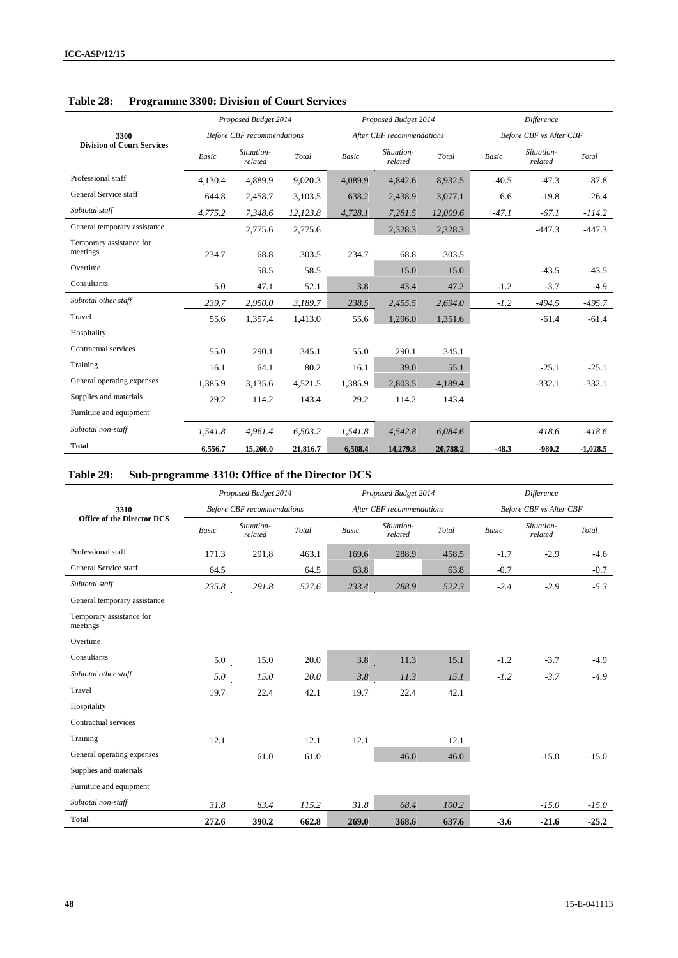|                                      |              | Proposed Budget 2014              |          |         | Proposed Budget 2014      |          | <b>Difference</b> |                                |            |  |
|--------------------------------------|--------------|-----------------------------------|----------|---------|---------------------------|----------|-------------------|--------------------------------|------------|--|
| 3300                                 |              | <b>Before CBF</b> recommendations |          |         | After CBF recommendations |          |                   | <b>Before CBF</b> vs After CBF |            |  |
| <b>Division of Court Services</b>    | <b>Basic</b> | Situation-<br>related             | Total    | Basic   | Situation-<br>related     | Total    | <b>Basic</b>      | Situation-<br>related          | Total      |  |
| Professional staff                   | 4,130.4      | 4,889.9                           | 9,020.3  | 4,089.9 | 4,842.6                   | 8,932.5  | $-40.5$           | $-47.3$                        | $-87.8$    |  |
| General Service staff                | 644.8        | 2,458.7                           | 3,103.5  | 638.2   | 2,438.9                   | 3,077.1  | $-6.6$            | $-19.8$                        | $-26.4$    |  |
| Subtotal staff                       | 4,775.2      | 7,348.6                           | 12,123.8 | 4,728.1 | 7,281.5                   | 12,009.6 | $-47.1$           | $-67.1$                        | $-114.2$   |  |
| General temporary assistance         |              | 2,775.6                           | 2,775.6  |         | 2,328.3                   | 2,328.3  |                   | $-447.3$                       | $-447.3$   |  |
| Temporary assistance for<br>meetings | 234.7        | 68.8                              | 303.5    | 234.7   | 68.8                      | 303.5    |                   |                                |            |  |
| Overtime                             |              | 58.5                              | 58.5     |         | 15.0                      | 15.0     |                   | $-43.5$                        | $-43.5$    |  |
| Consultants                          | 5.0          | 47.1                              | 52.1     | 3.8     | 43.4                      | 47.2     | $-1.2$            | $-3.7$                         | $-4.9$     |  |
| Subtotal other staff                 | 239.7        | 2,950.0                           | 3,189.7  | 238.5   | 2,455.5                   | 2.694.0  | $-1.2$            | $-494.5$                       | $-495.7$   |  |
| Travel                               | 55.6         | 1,357.4                           | 1,413.0  | 55.6    | 1,296.0                   | 1,351.6  |                   | $-61.4$                        | $-61.4$    |  |
| Hospitality                          |              |                                   |          |         |                           |          |                   |                                |            |  |
| Contractual services                 | 55.0         | 290.1                             | 345.1    | 55.0    | 290.1                     | 345.1    |                   |                                |            |  |
| Training                             | 16.1         | 64.1                              | 80.2     | 16.1    | 39.0                      | 55.1     |                   | $-25.1$                        | $-25.1$    |  |
| General operating expenses           | 1.385.9      | 3.135.6                           | 4,521.5  | 1.385.9 | 2.803.5                   | 4.189.4  |                   | $-332.1$                       | $-332.1$   |  |
| Supplies and materials               | 29.2         | 114.2                             | 143.4    | 29.2    | 114.2                     | 143.4    |                   |                                |            |  |
| Furniture and equipment              |              |                                   |          |         |                           |          |                   |                                |            |  |
| Subtotal non-staff                   | 1,541.8      | 4,961.4                           | 6,503.2  | 1,541.8 | 4,542.8                   | 6,084.6  |                   | $-418.6$                       | $-418.6$   |  |
| <b>Total</b>                         | 6.556.7      | 15,260.0                          | 21,816.7 | 6.508.4 | 14,279.8                  | 20,788.2 | $-48.3$           | $-980.2$                       | $-1,028.5$ |  |

## **Table 28: Programme 3300: Division of Court Services**

# **Table 29: Sub-programme 3310: Office of the Director DCS**

|                                      |       | Proposed Budget 2014              |       |              | Proposed Budget 2014      |       |              | Difference                     |         |
|--------------------------------------|-------|-----------------------------------|-------|--------------|---------------------------|-------|--------------|--------------------------------|---------|
| 3310                                 |       | <b>Before CBF</b> recommendations |       |              | After CBF recommendations |       |              | <b>Before CBF</b> vs After CBF |         |
| <b>Office of the Director DCS</b>    | Basic | Situation-<br>related             | Total | <b>Basic</b> | Situation-<br>related     | Total | <b>Basic</b> | Situation-<br>related          | Total   |
| Professional staff                   | 171.3 | 291.8                             | 463.1 | 169.6        | 288.9                     | 458.5 | $-1.7$       | $-2.9$                         | $-4.6$  |
| General Service staff                | 64.5  |                                   | 64.5  | 63.8         |                           | 63.8  | $-0.7$       |                                | $-0.7$  |
| Subtotal staff                       | 235.8 | 291.8                             | 527.6 | 233.4        | 288.9                     | 522.3 | $-2.4$       | $-2.9$                         | $-5.3$  |
| General temporary assistance         |       |                                   |       |              |                           |       |              |                                |         |
| Temporary assistance for<br>meetings |       |                                   |       |              |                           |       |              |                                |         |
| Overtime                             |       |                                   |       |              |                           |       |              |                                |         |
| Consultants                          | 5.0   | 15.0                              | 20.0  | 3.8          | 11.3                      | 15.1  | $-1.2$       | $-3.7$                         | $-4.9$  |
| Subtotal other staff                 | 5.0   | 15.0                              | 20.0  | 3.8          | 11.3                      | 15.1  | $-1.2$       | $-3.7$                         | $-4.9$  |
| Travel                               | 19.7  | 22.4                              | 42.1  | 19.7         | 22.4                      | 42.1  |              |                                |         |
| Hospitality                          |       |                                   |       |              |                           |       |              |                                |         |
| Contractual services                 |       |                                   |       |              |                           |       |              |                                |         |
| Training                             | 12.1  |                                   | 12.1  | 12.1         |                           | 12.1  |              |                                |         |
| General operating expenses           |       | 61.0                              | 61.0  |              | 46.0                      | 46.0  |              | $-15.0$                        | $-15.0$ |
| Supplies and materials               |       |                                   |       |              |                           |       |              |                                |         |
| Furniture and equipment              |       |                                   |       |              |                           |       |              |                                |         |
| Subtotal non-staff                   | 31.8  | 83.4                              | 115.2 | 31.8         | 68.4                      | 100.2 |              | $-15.0$                        | $-15.0$ |
| <b>Total</b>                         | 272.6 | 390.2                             | 662.8 | 269.0        | 368.6                     | 637.6 | $-3.6$       | $-21.6$                        | $-25.2$ |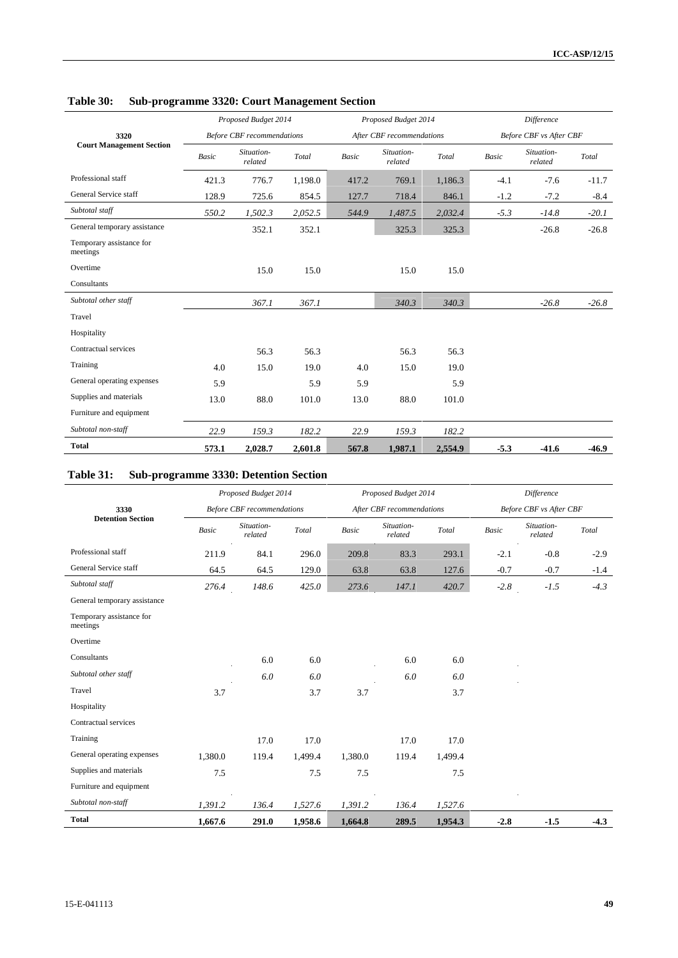|                                      |              | Proposed Budget 2014              |         |              | Proposed Budget 2014      |         |        | <b>Difference</b>       |         |
|--------------------------------------|--------------|-----------------------------------|---------|--------------|---------------------------|---------|--------|-------------------------|---------|
| 3320                                 |              | <b>Before CBF</b> recommendations |         |              | After CBF recommendations |         |        | Before CBF vs After CBF |         |
| <b>Court Management Section</b>      | <b>Basic</b> | Situation-<br>related             | Total   | <b>Basic</b> | Situation-<br>related     | Total   | Basic  | Situation-<br>related   | Total   |
| Professional staff                   | 421.3        | 776.7                             | 1,198.0 | 417.2        | 769.1                     | 1,186.3 | $-4.1$ | $-7.6$                  | $-11.7$ |
| General Service staff                | 128.9        | 725.6                             | 854.5   | 127.7        | 718.4                     | 846.1   | $-1.2$ | $-7.2$                  | $-8.4$  |
| Subtotal staff                       | 550.2        | 1,502.3                           | 2,052.5 | 544.9        | 1,487.5                   | 2,032.4 | $-5.3$ | $-14.8$                 | $-20.1$ |
| General temporary assistance         |              | 352.1                             | 352.1   |              | 325.3                     | 325.3   |        | $-26.8$                 | $-26.8$ |
| Temporary assistance for<br>meetings |              |                                   |         |              |                           |         |        |                         |         |
| Overtime                             |              | 15.0                              | 15.0    |              | 15.0                      | 15.0    |        |                         |         |
| Consultants                          |              |                                   |         |              |                           |         |        |                         |         |
| Subtotal other staff                 |              | 367.1                             | 367.1   |              | 340.3                     | 340.3   |        | $-26.8$                 | $-26.8$ |
| Travel                               |              |                                   |         |              |                           |         |        |                         |         |
| Hospitality                          |              |                                   |         |              |                           |         |        |                         |         |
| Contractual services                 |              | 56.3                              | 56.3    |              | 56.3                      | 56.3    |        |                         |         |
| Training                             | 4.0          | 15.0                              | 19.0    | 4.0          | 15.0                      | 19.0    |        |                         |         |
| General operating expenses           | 5.9          |                                   | 5.9     | 5.9          |                           | 5.9     |        |                         |         |
| Supplies and materials               | 13.0         | 88.0                              | 101.0   | 13.0         | 88.0                      | 101.0   |        |                         |         |
| Furniture and equipment              |              |                                   |         |              |                           |         |        |                         |         |
| Subtotal non-staff                   | 22.9         | 159.3                             | 182.2   | 22.9         | 159.3                     | 182.2   |        |                         |         |
| <b>Total</b>                         | 573.1        | 2,028.7                           | 2,601.8 | 567.8        | 1,987.1                   | 2,554.9 | $-5.3$ | $-41.6$                 | $-46.9$ |

**Table 30: Sub-programme 3320: Court Management Section**

# **Table 31: Sub-programme 3330: Detention Section**

|                                      |              | Proposed Budget 2014              |                                             |              | Proposed Budget 2014      |         | Difference |                         |        |
|--------------------------------------|--------------|-----------------------------------|---------------------------------------------|--------------|---------------------------|---------|------------|-------------------------|--------|
| 3330                                 |              | <b>Before CBF</b> recommendations |                                             |              | After CBF recommendations |         |            | Before CBF vs After CBF |        |
| <b>Detention Section</b>             | <b>Basic</b> | Situation-<br>related             | $\operatorname{\mathcal{T}\!\mathit{otal}}$ | <b>Basic</b> | Situation-<br>related     | Total   | Basic      | Situation-<br>related   | Total  |
| Professional staff                   | 211.9        | 84.1                              | 296.0                                       | 209.8        | 83.3                      | 293.1   | $-2.1$     | $-0.8$                  | $-2.9$ |
| General Service staff                | 64.5         | 64.5                              | 129.0                                       | 63.8         | 63.8                      | 127.6   | $-0.7$     | $-0.7$                  | $-1.4$ |
| Subtotal staff                       | 276.4        | 148.6                             | 425.0                                       | 273.6        | 147.1                     | 420.7   | $-2.8$     | $-1.5$                  | $-4.3$ |
| General temporary assistance         |              |                                   |                                             |              |                           |         |            |                         |        |
| Temporary assistance for<br>meetings |              |                                   |                                             |              |                           |         |            |                         |        |
| Overtime                             |              |                                   |                                             |              |                           |         |            |                         |        |
| Consultants                          |              | 6.0                               | 6.0                                         |              | 6.0                       | 6.0     |            |                         |        |
| Subtotal other staff                 |              | 6.0                               | 6.0                                         |              | 6.0                       | 6.0     |            |                         |        |
| Travel                               | 3.7          |                                   | 3.7                                         | 3.7          |                           | 3.7     |            |                         |        |
| Hospitality                          |              |                                   |                                             |              |                           |         |            |                         |        |
| Contractual services                 |              |                                   |                                             |              |                           |         |            |                         |        |
| Training                             |              | 17.0                              | 17.0                                        |              | 17.0                      | 17.0    |            |                         |        |
| General operating expenses           | 1,380.0      | 119.4                             | 1,499.4                                     | 1,380.0      | 119.4                     | 1,499.4 |            |                         |        |
| Supplies and materials               | 7.5          |                                   | 7.5                                         | 7.5          |                           | 7.5     |            |                         |        |
| Furniture and equipment              |              |                                   |                                             |              |                           |         |            |                         |        |
| Subtotal non-staff                   | 1,391.2      | 136.4                             | 1,527.6                                     | 1,391.2      | 136.4                     | 1,527.6 |            |                         |        |
| <b>Total</b>                         | 1,667.6      | 291.0                             | 1,958.6                                     | 1,664.8      | 289.5                     | 1,954.3 | $-2.8$     | $-1.5$                  | $-4.3$ |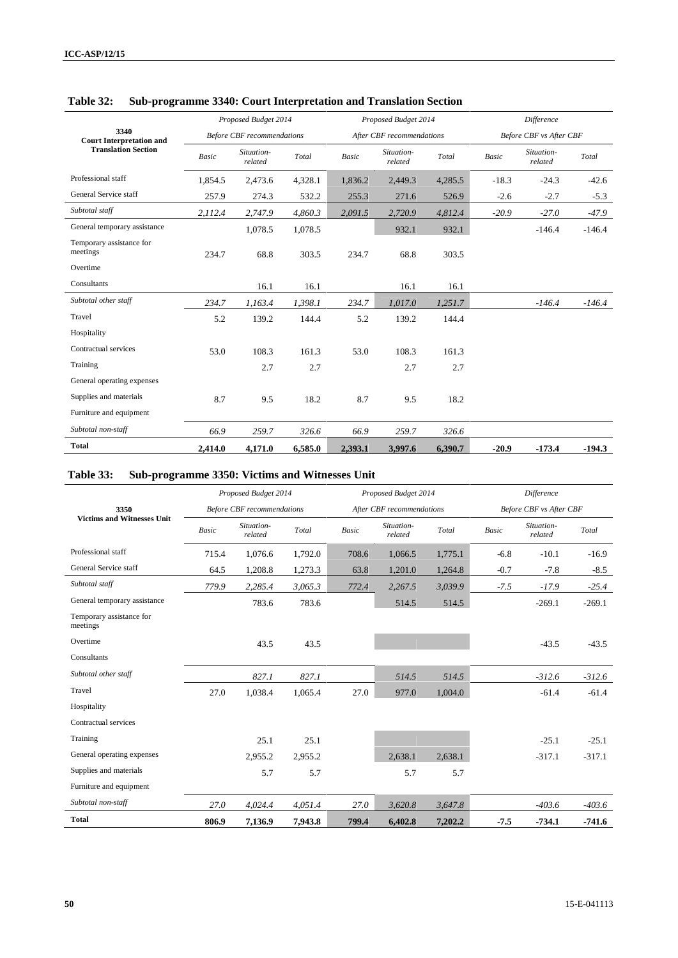|                                         |         | Proposed Budget 2014              |         |         | Proposed Budget 2014      |         | <b>Difference</b> |                                |          |  |
|-----------------------------------------|---------|-----------------------------------|---------|---------|---------------------------|---------|-------------------|--------------------------------|----------|--|
| 3340<br><b>Court Interpretation and</b> |         | <b>Before CBF</b> recommendations |         |         | After CBF recommendations |         |                   | <b>Before CBF</b> vs After CBF |          |  |
| <b>Translation Section</b>              | Basic   | Situation-<br>related             | Total   | Basic   | Situation-<br>related     | Total   | Basic             | Situation-<br>related          | Total    |  |
| Professional staff                      | 1,854.5 | 2,473.6                           | 4,328.1 | 1,836.2 | 2,449.3                   | 4,285.5 | $-18.3$           | $-24.3$                        | $-42.6$  |  |
| General Service staff                   | 257.9   | 274.3                             | 532.2   | 255.3   | 271.6                     | 526.9   | $-2.6$            | $-2.7$                         | $-5.3$   |  |
| Subtotal staff                          | 2,112.4 | 2,747.9                           | 4,860.3 | 2,091.5 | 2,720.9                   | 4,812.4 | $-20.9$           | $-27.0$                        | $-47.9$  |  |
| General temporary assistance            |         | 1,078.5                           | 1,078.5 |         | 932.1                     | 932.1   |                   | $-146.4$                       | $-146.4$ |  |
| Temporary assistance for<br>meetings    | 234.7   | 68.8                              | 303.5   | 234.7   | 68.8                      | 303.5   |                   |                                |          |  |
| Overtime                                |         |                                   |         |         |                           |         |                   |                                |          |  |
| Consultants                             |         | 16.1                              | 16.1    |         | 16.1                      | 16.1    |                   |                                |          |  |
| Subtotal other staff                    | 234.7   | 1,163.4                           | 1,398.1 | 234.7   | 1,017.0                   | 1,251.7 |                   | $-146.4$                       | $-146.4$ |  |
| Travel                                  | 5.2     | 139.2                             | 144.4   | 5.2     | 139.2                     | 144.4   |                   |                                |          |  |
| Hospitality                             |         |                                   |         |         |                           |         |                   |                                |          |  |
| Contractual services                    | 53.0    | 108.3                             | 161.3   | 53.0    | 108.3                     | 161.3   |                   |                                |          |  |
| Training                                |         | 2.7                               | 2.7     |         | 2.7                       | 2.7     |                   |                                |          |  |
| General operating expenses              |         |                                   |         |         |                           |         |                   |                                |          |  |
| Supplies and materials                  | 8.7     | 9.5                               | 18.2    | 8.7     | 9.5                       | 18.2    |                   |                                |          |  |
| Furniture and equipment                 |         |                                   |         |         |                           |         |                   |                                |          |  |
| Subtotal non-staff                      | 66.9    | 259.7                             | 326.6   | 66.9    | 259.7                     | 326.6   |                   |                                |          |  |
| <b>Total</b>                            | 2,414.0 | 4,171.0                           | 6,585.0 | 2,393.1 | 3,997.6                   | 6,390.7 | $-20.9$           | $-173.4$                       | $-194.3$ |  |

## **Table 32: Sub-programme 3340: Court Interpretation and Translation Section**

## **Table 33: Sub-programme 3350: Victims and Witnesses Unit**

|                                      |              | Proposed Budget 2014              |         |              | Proposed Budget 2014      |         | <b>Difference</b> |                                |          |  |
|--------------------------------------|--------------|-----------------------------------|---------|--------------|---------------------------|---------|-------------------|--------------------------------|----------|--|
| 3350                                 |              | <b>Before CBF</b> recommendations |         |              | After CBF recommendations |         |                   | <b>Before CBF</b> vs After CBF |          |  |
| <b>Victims and Witnesses Unit</b>    | <b>Basic</b> | Situation-<br>related             | Total   | <b>Basic</b> | Situation-<br>related     | Total   | Basic             | Situation-<br>related          | Total    |  |
| Professional staff                   | 715.4        | 1,076.6                           | 1,792.0 | 708.6        | 1,066.5                   | 1,775.1 | $-6.8$            | $-10.1$                        | $-16.9$  |  |
| General Service staff                | 64.5         | 1,208.8                           | 1,273.3 | 63.8         | 1,201.0                   | 1,264.8 | $-0.7$            | $-7.8$                         | $-8.5$   |  |
| Subtotal staff                       | 779.9        | 2,285.4                           | 3,065.3 | 772.4        | 2,267.5                   | 3,039.9 | $-7.5$            | $-17.9$                        | $-25.4$  |  |
| General temporary assistance         |              | 783.6                             | 783.6   |              | 514.5                     | 514.5   |                   | $-269.1$                       | $-269.1$ |  |
| Temporary assistance for<br>meetings |              |                                   |         |              |                           |         |                   |                                |          |  |
| Overtime                             |              | 43.5                              | 43.5    |              |                           |         |                   | $-43.5$                        | $-43.5$  |  |
| Consultants                          |              |                                   |         |              |                           |         |                   |                                |          |  |
| Subtotal other staff                 |              | 827.1                             | 827.1   |              | 514.5                     | 514.5   |                   | $-312.6$                       | $-312.6$ |  |
| Travel                               | 27.0         | 1,038.4                           | 1,065.4 | 27.0         | 977.0                     | 1,004.0 |                   | $-61.4$                        | $-61.4$  |  |
| Hospitality                          |              |                                   |         |              |                           |         |                   |                                |          |  |
| Contractual services                 |              |                                   |         |              |                           |         |                   |                                |          |  |
| Training                             |              | 25.1                              | 25.1    |              |                           |         |                   | $-25.1$                        | $-25.1$  |  |
| General operating expenses           |              | 2,955.2                           | 2,955.2 |              | 2.638.1                   | 2,638.1 |                   | $-317.1$                       | $-317.1$ |  |
| Supplies and materials               |              | 5.7                               | 5.7     |              | 5.7                       | 5.7     |                   |                                |          |  |
| Furniture and equipment              |              |                                   |         |              |                           |         |                   |                                |          |  |
| Subtotal non-staff                   | 27.0         | 4,024.4                           | 4,051.4 | 27.0         | 3,620.8                   | 3,647.8 |                   | $-403.6$                       | $-403.6$ |  |
| <b>Total</b>                         | 806.9        | 7,136.9                           | 7,943.8 | 799.4        | 6,402.8                   | 7,202.2 | $-7.5$            | $-734.1$                       | $-741.6$ |  |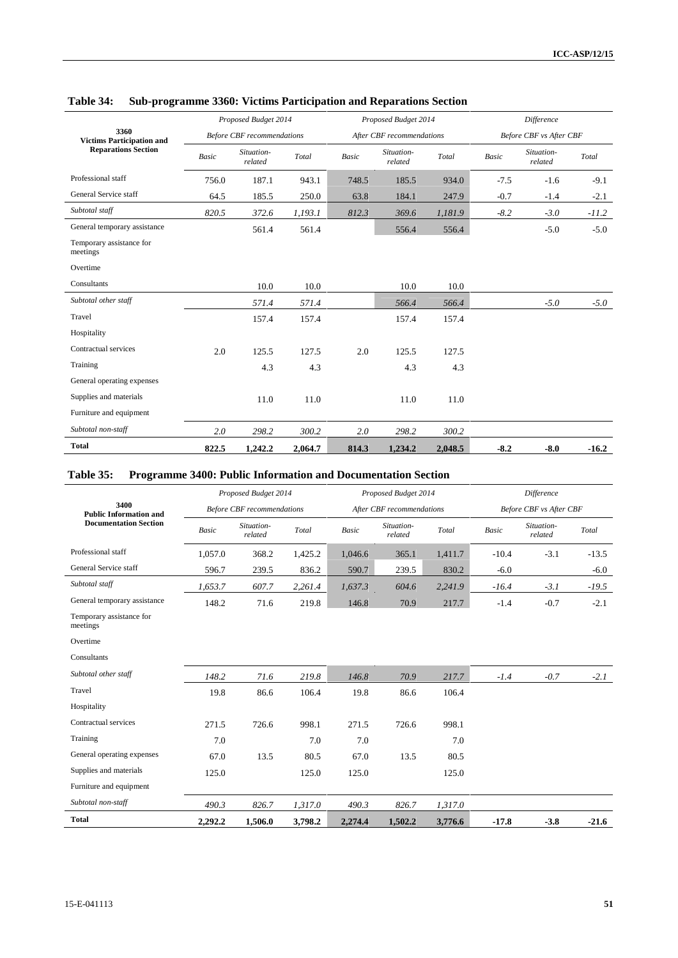|                                          |              | Proposed Budget 2014              |         |       | Proposed Budget 2014      |         | Difference   |                                |         |
|------------------------------------------|--------------|-----------------------------------|---------|-------|---------------------------|---------|--------------|--------------------------------|---------|
| 3360<br><b>Victims Participation and</b> |              | <b>Before CBF</b> recommendations |         |       | After CBF recommendations |         |              | <b>Before CBF</b> vs After CBF |         |
| <b>Reparations Section</b>               | <b>Basic</b> | Situation-<br>related             | Total   | Basic | Situation-<br>related     | Total   | <b>Basic</b> | Situation-<br>related          | Total   |
| Professional staff                       | 756.0        | 187.1                             | 943.1   | 748.5 | 185.5                     | 934.0   | $-7.5$       | $-1.6$                         | $-9.1$  |
| General Service staff                    | 64.5         | 185.5                             | 250.0   | 63.8  | 184.1                     | 247.9   | $-0.7$       | $-1.4$                         | $-2.1$  |
| Subtotal staff                           | 820.5        | 372.6                             | 1,193.1 | 812.3 | 369.6                     | 1,181.9 | $-8.2$       | $-3.0$                         | $-11.2$ |
| General temporary assistance             |              | 561.4                             | 561.4   |       | 556.4                     | 556.4   |              | $-5.0$                         | $-5.0$  |
| Temporary assistance for<br>meetings     |              |                                   |         |       |                           |         |              |                                |         |
| Overtime                                 |              |                                   |         |       |                           |         |              |                                |         |
| Consultants                              |              | 10.0                              | 10.0    |       | 10.0                      | 10.0    |              |                                |         |
| Subtotal other staff                     |              | 571.4                             | 571.4   |       | 566.4                     | 566.4   |              | $-5.0$                         | $-5.0$  |
| Travel                                   |              | 157.4                             | 157.4   |       | 157.4                     | 157.4   |              |                                |         |
| Hospitality                              |              |                                   |         |       |                           |         |              |                                |         |
| Contractual services                     | 2.0          | 125.5                             | 127.5   | 2.0   | 125.5                     | 127.5   |              |                                |         |
| Training                                 |              | 4.3                               | 4.3     |       | 4.3                       | 4.3     |              |                                |         |
| General operating expenses               |              |                                   |         |       |                           |         |              |                                |         |
| Supplies and materials                   |              | 11.0                              | 11.0    |       | 11.0                      | 11.0    |              |                                |         |
| Furniture and equipment                  |              |                                   |         |       |                           |         |              |                                |         |
| Subtotal non-staff                       | 2.0          | 298.2                             | 300.2   | 2.0   | 298.2                     | 300.2   |              |                                |         |
| <b>Total</b>                             | 822.5        | 1,242.2                           | 2,064.7 | 814.3 | 1,234.2                   | 2,048.5 | $-8.2$       | $-8.0$                         | $-16.2$ |

## **Table 34: Sub-programme 3360: Victims Participation and Reparations Section**

## **Table 35: Programme 3400: Public Information and Documentation Section**

|                                       |              | Proposed Budget 2014              |         |              | Proposed Budget 2014      |         |         | <b>Difference</b>              |         |
|---------------------------------------|--------------|-----------------------------------|---------|--------------|---------------------------|---------|---------|--------------------------------|---------|
| 3400<br><b>Public Information and</b> |              | <b>Before CBF</b> recommendations |         |              | After CBF recommendations |         |         | <b>Before CBF</b> vs After CBF |         |
| <b>Documentation Section</b>          | <b>Basic</b> | Situation-<br>related             | Total   | <b>Basic</b> | Situation-<br>related     | Total   | Basic   | Situation-<br>related          | Total   |
| Professional staff                    | 1,057.0      | 368.2                             | 1,425.2 | 1,046.6      | 365.1                     | 1,411.7 | $-10.4$ | $-3.1$                         | $-13.5$ |
| General Service staff                 | 596.7        | 239.5                             | 836.2   | 590.7        | 239.5                     | 830.2   | $-6.0$  |                                | $-6.0$  |
| Subtotal staff                        | 1,653.7      | 607.7                             | 2,261.4 | 1,637.3      | 604.6                     | 2,241.9 | $-16.4$ | $-3.1$                         | $-19.5$ |
| General temporary assistance          | 148.2        | 71.6                              | 219.8   | 146.8        | 70.9                      | 217.7   | $-1.4$  | $-0.7$                         | $-2.1$  |
| Temporary assistance for<br>meetings  |              |                                   |         |              |                           |         |         |                                |         |
| Overtime                              |              |                                   |         |              |                           |         |         |                                |         |
| Consultants                           |              |                                   |         |              |                           |         |         |                                |         |
| Subtotal other staff                  | 148.2        | 71.6                              | 219.8   | 146.8        | 70.9                      | 217.7   | $-1.4$  | $-0.7$                         | $-2.1$  |
| Travel                                | 19.8         | 86.6                              | 106.4   | 19.8         | 86.6                      | 106.4   |         |                                |         |
| Hospitality                           |              |                                   |         |              |                           |         |         |                                |         |
| Contractual services                  | 271.5        | 726.6                             | 998.1   | 271.5        | 726.6                     | 998.1   |         |                                |         |
| Training                              | 7.0          |                                   | 7.0     | 7.0          |                           | 7.0     |         |                                |         |
| General operating expenses            | 67.0         | 13.5                              | 80.5    | 67.0         | 13.5                      | 80.5    |         |                                |         |
| Supplies and materials                | 125.0        |                                   | 125.0   | 125.0        |                           | 125.0   |         |                                |         |
| Furniture and equipment               |              |                                   |         |              |                           |         |         |                                |         |
| Subtotal non-staff                    | 490.3        | 826.7                             | 1,317.0 | 490.3        | 826.7                     | 1,317.0 |         |                                |         |
| <b>Total</b>                          | 2,292.2      | 1,506.0                           | 3,798.2 | 2,274.4      | 1,502.2                   | 3,776.6 | $-17.8$ | $-3.8$                         | $-21.6$ |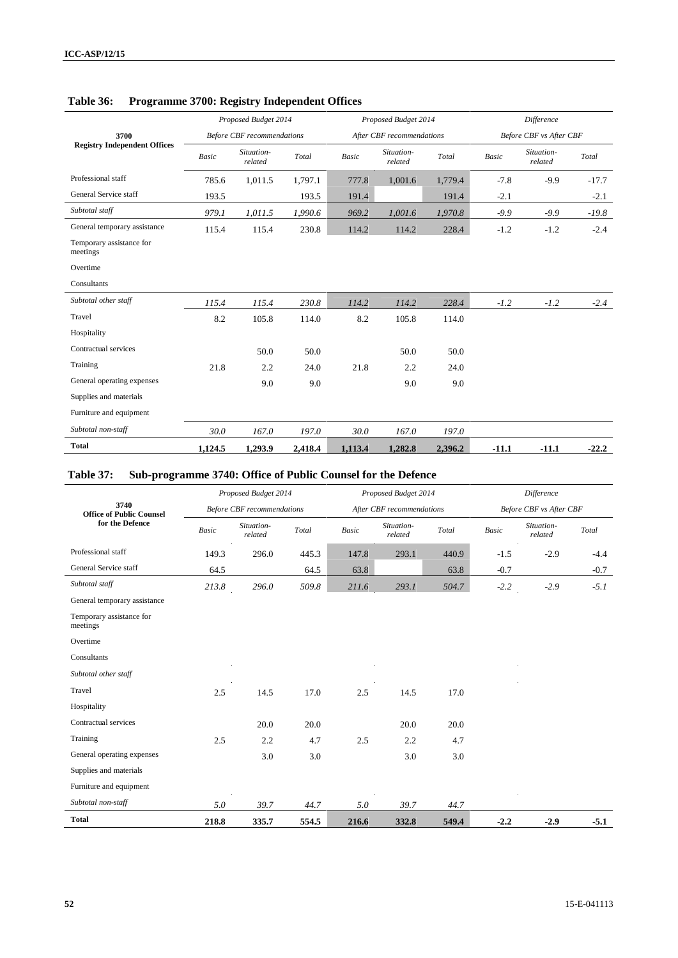|                                      |         | Proposed Budget 2014              |         |         | Proposed Budget 2014      |         | <b>Difference</b> |                                |         |  |
|--------------------------------------|---------|-----------------------------------|---------|---------|---------------------------|---------|-------------------|--------------------------------|---------|--|
| 3700                                 |         | <b>Before CBF</b> recommendations |         |         | After CBF recommendations |         |                   | <b>Before CBF</b> vs After CBF |         |  |
| <b>Registry Independent Offices</b>  | Basic   | Situation-<br>related             | Total   | Basic   | Situation-<br>related     | Total   | Basic             | Situation-<br>related          | Total   |  |
| Professional staff                   | 785.6   | 1,011.5                           | 1,797.1 | 777.8   | 1,001.6                   | 1,779.4 | $-7.8$            | $-9.9$                         | $-17.7$ |  |
| General Service staff                | 193.5   |                                   | 193.5   | 191.4   |                           | 191.4   | $-2.1$            |                                | $-2.1$  |  |
| Subtotal staff                       | 979.1   | 1,011.5                           | 1,990.6 | 969.2   | 1,001.6                   | 1,970.8 | $-9.9$            | $-9.9$                         | $-19.8$ |  |
| General temporary assistance         | 115.4   | 115.4                             | 230.8   | 114.2   | 114.2                     | 228.4   | $-1.2$            | $-1.2$                         | $-2.4$  |  |
| Temporary assistance for<br>meetings |         |                                   |         |         |                           |         |                   |                                |         |  |
| Overtime                             |         |                                   |         |         |                           |         |                   |                                |         |  |
| Consultants                          |         |                                   |         |         |                           |         |                   |                                |         |  |
| Subtotal other staff                 | 115.4   | 115.4                             | 230.8   | 114.2   | 114.2                     | 228.4   | $-1.2$            | $-1.2$                         | $-2.4$  |  |
| Travel                               | 8.2     | 105.8                             | 114.0   | 8.2     | 105.8                     | 114.0   |                   |                                |         |  |
| Hospitality                          |         |                                   |         |         |                           |         |                   |                                |         |  |
| Contractual services                 |         | 50.0                              | 50.0    |         | 50.0                      | 50.0    |                   |                                |         |  |
| Training                             | 21.8    | 2.2                               | 24.0    | 21.8    | 2.2                       | 24.0    |                   |                                |         |  |
| General operating expenses           |         | 9.0                               | 9.0     |         | 9.0                       | 9.0     |                   |                                |         |  |
| Supplies and materials               |         |                                   |         |         |                           |         |                   |                                |         |  |
| Furniture and equipment              |         |                                   |         |         |                           |         |                   |                                |         |  |
| Subtotal non-staff                   | 30.0    | 167.0                             | 197.0   | 30.0    | 167.0                     | 197.0   |                   |                                |         |  |
| <b>Total</b>                         | 1,124.5 | 1,293.9                           | 2,418.4 | 1,113.4 | 1,282.8                   | 2,396.2 | $-11.1$           | $-11.1$                        | $-22.2$ |  |

## **Table 36: Programme 3700: Registry Independent Offices**

## **Table 37: Sub-programme 3740: Office of Public Counsel for the Defence**

|                                         |       | Proposed Budget 2014              |       |       | Proposed Budget 2014      |       |        | Difference              |        |
|-----------------------------------------|-------|-----------------------------------|-------|-------|---------------------------|-------|--------|-------------------------|--------|
| 3740<br><b>Office of Public Counsel</b> |       | <b>Before CBF</b> recommendations |       |       | After CBF recommendations |       |        | Before CBF vs After CBF |        |
| for the Defence                         | Basic | Situation-<br>related             | Total | Basic | Situation-<br>related     | Total | Basic  | Situation-<br>related   | Total  |
| Professional staff                      | 149.3 | 296.0                             | 445.3 | 147.8 | 293.1                     | 440.9 | $-1.5$ | $-2.9$                  | $-4.4$ |
| General Service staff                   | 64.5  |                                   | 64.5  | 63.8  |                           | 63.8  | $-0.7$ |                         | $-0.7$ |
| Subtotal staff                          | 213.8 | 296.0                             | 509.8 | 211.6 | 293.1                     | 504.7 | $-2.2$ | $-2.9$                  | $-5.1$ |
| General temporary assistance            |       |                                   |       |       |                           |       |        |                         |        |
| Temporary assistance for<br>meetings    |       |                                   |       |       |                           |       |        |                         |        |
| Overtime                                |       |                                   |       |       |                           |       |        |                         |        |
| Consultants                             |       |                                   |       |       |                           |       |        |                         |        |
| Subtotal other staff                    |       |                                   |       |       |                           |       |        |                         |        |
| Travel                                  | 2.5   | 14.5                              | 17.0  | 2.5   | 14.5                      | 17.0  |        |                         |        |
| Hospitality                             |       |                                   |       |       |                           |       |        |                         |        |
| Contractual services                    |       | 20.0                              | 20.0  |       | 20.0                      | 20.0  |        |                         |        |
| Training                                | 2.5   | 2.2                               | 4.7   | 2.5   | 2.2                       | 4.7   |        |                         |        |
| General operating expenses              |       | 3.0                               | 3.0   |       | 3.0                       | 3.0   |        |                         |        |
| Supplies and materials                  |       |                                   |       |       |                           |       |        |                         |        |
| Furniture and equipment                 |       |                                   |       |       |                           |       |        |                         |        |
| Subtotal non-staff                      | 5.0   | 39.7                              | 44.7  | 5.0   | 39.7                      | 44.7  |        |                         |        |
| <b>Total</b>                            | 218.8 | 335.7                             | 554.5 | 216.6 | 332.8                     | 549.4 | $-2.2$ | $-2.9$                  | $-5.1$ |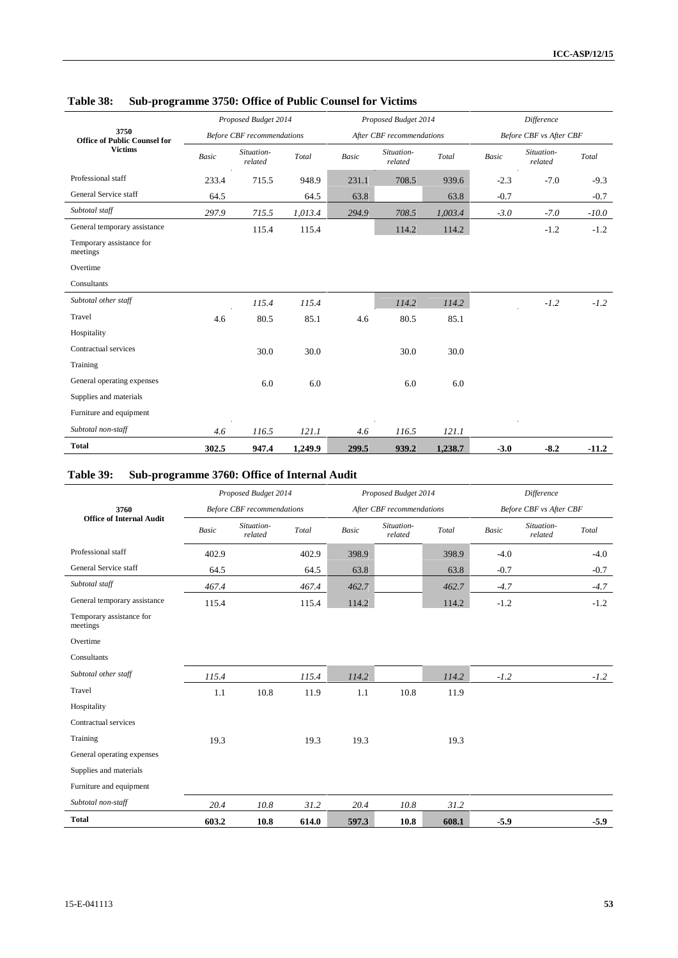|                                             |              | Proposed Budget 2014              |         |              | Proposed Budget 2014      |         |        | Difference                     |         |
|---------------------------------------------|--------------|-----------------------------------|---------|--------------|---------------------------|---------|--------|--------------------------------|---------|
| 3750<br><b>Office of Public Counsel for</b> |              | <b>Before CBF</b> recommendations |         |              | After CBF recommendations |         |        | <b>Before CBF</b> vs After CBF |         |
| <b>Victims</b>                              | <b>Basic</b> | Situation-<br>related             | Total   | <b>Basic</b> | Situation-<br>related     | Total   | Basic  | Situation-<br>related          | Total   |
| Professional staff                          | 233.4        | 715.5                             | 948.9   | 231.1        | 708.5                     | 939.6   | $-2.3$ | $-7.0$                         | $-9.3$  |
| General Service staff                       | 64.5         |                                   | 64.5    | 63.8         |                           | 63.8    | $-0.7$ |                                | $-0.7$  |
| Subtotal staff                              | 297.9        | 715.5                             | 1,013.4 | 294.9        | 708.5                     | 1,003.4 | $-3.0$ | $-7.0$                         | $-10.0$ |
| General temporary assistance                |              | 115.4                             | 115.4   |              | 114.2                     | 114.2   |        | $-1.2$                         | $-1.2$  |
| Temporary assistance for<br>meetings        |              |                                   |         |              |                           |         |        |                                |         |
| Overtime                                    |              |                                   |         |              |                           |         |        |                                |         |
| Consultants                                 |              |                                   |         |              |                           |         |        |                                |         |
| Subtotal other staff                        |              | 115.4                             | 115.4   |              | 114.2                     | 114.2   |        | $-1.2$                         | $-1.2$  |
| Travel                                      | 4.6          | 80.5                              | 85.1    | 4.6          | 80.5                      | 85.1    |        |                                |         |
| Hospitality                                 |              |                                   |         |              |                           |         |        |                                |         |
| Contractual services                        |              | 30.0                              | 30.0    |              | 30.0                      | 30.0    |        |                                |         |
| Training                                    |              |                                   |         |              |                           |         |        |                                |         |
| General operating expenses                  |              | 6.0                               | 6.0     |              | 6.0                       | 6.0     |        |                                |         |
| Supplies and materials                      |              |                                   |         |              |                           |         |        |                                |         |
| Furniture and equipment                     |              |                                   |         |              |                           |         |        |                                |         |
| Subtotal non-staff                          | 4.6          | 116.5                             | 121.1   | 4.6          | 116.5                     | 121.1   |        |                                |         |
| <b>Total</b>                                | 302.5        | 947.4                             | 1,249.9 | 299.5        | 939.2                     | 1,238.7 | $-3.0$ | $-8.2$                         | $-11.2$ |

## **Table 38: Sub-programme 3750: Office of Public Counsel for Victims**

## **Table 39: Sub-programme 3760: Office of Internal Audit**

|                                      |              | Proposed Budget 2014              |       |              | Proposed Budget 2014      |       |        | Difference                     |        |
|--------------------------------------|--------------|-----------------------------------|-------|--------------|---------------------------|-------|--------|--------------------------------|--------|
| 3760                                 |              | <b>Before CBF</b> recommendations |       |              | After CBF recommendations |       |        | <b>Before CBF</b> vs After CBF |        |
| <b>Office of Internal Audit</b>      | <b>Basic</b> | Situation-<br>related             | Total | <b>Basic</b> | Situation-<br>related     | Total | Basic  | Situation-<br>related          | Total  |
| Professional staff                   | 402.9        |                                   | 402.9 | 398.9        |                           | 398.9 | $-4.0$ |                                | $-4.0$ |
| General Service staff                | 64.5         |                                   | 64.5  | 63.8         |                           | 63.8  | $-0.7$ |                                | $-0.7$ |
| Subtotal staff                       | 467.4        |                                   | 467.4 | 462.7        |                           | 462.7 | $-4.7$ |                                | $-4.7$ |
| General temporary assistance         | 115.4        |                                   | 115.4 | 114.2        |                           | 114.2 | $-1.2$ |                                | $-1.2$ |
| Temporary assistance for<br>meetings |              |                                   |       |              |                           |       |        |                                |        |
| Overtime                             |              |                                   |       |              |                           |       |        |                                |        |
| Consultants                          |              |                                   |       |              |                           |       |        |                                |        |
| Subtotal other staff                 | 115.4        |                                   | 115.4 | 114.2        |                           | 114.2 | $-1.2$ |                                | $-1.2$ |
| Travel                               | 1.1          | 10.8                              | 11.9  | 1.1          | 10.8                      | 11.9  |        |                                |        |
| Hospitality                          |              |                                   |       |              |                           |       |        |                                |        |
| Contractual services                 |              |                                   |       |              |                           |       |        |                                |        |
| Training                             | 19.3         |                                   | 19.3  | 19.3         |                           | 19.3  |        |                                |        |
| General operating expenses           |              |                                   |       |              |                           |       |        |                                |        |
| Supplies and materials               |              |                                   |       |              |                           |       |        |                                |        |
| Furniture and equipment              |              |                                   |       |              |                           |       |        |                                |        |
| Subtotal non-staff                   | 20.4         | 10.8                              | 31.2  | 20.4         | 10.8                      | 31.2  |        |                                |        |
| <b>Total</b>                         | 603.2        | 10.8                              | 614.0 | 597.3        | 10.8                      | 608.1 | $-5.9$ |                                | $-5.9$ |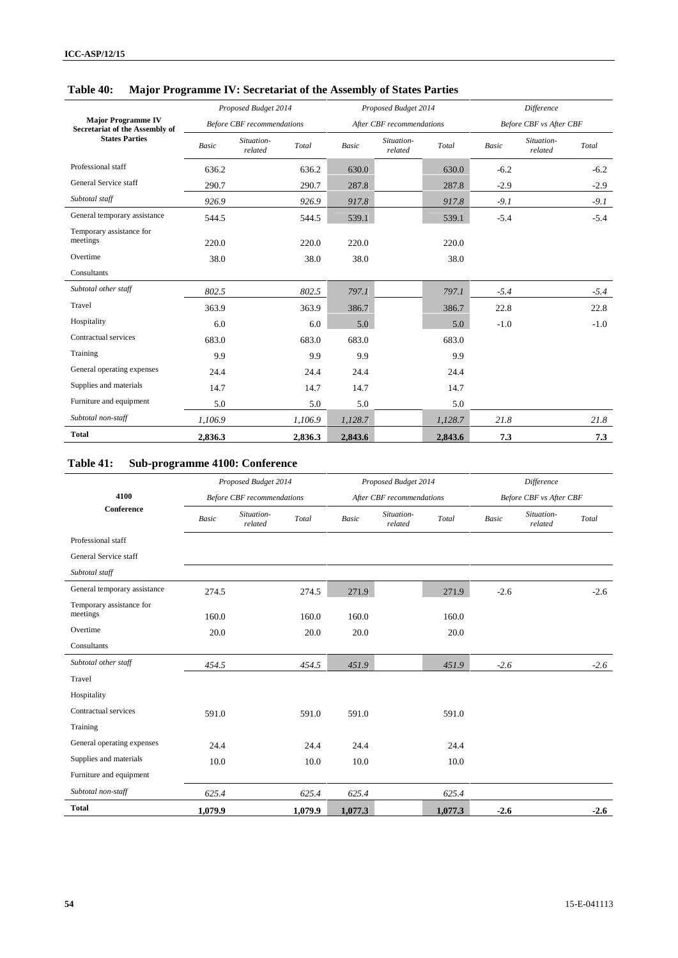|                                                             |              | Proposed Budget 2014              |         |              | Proposed Budget 2014      |         | <b>Difference</b> |                         |        |  |
|-------------------------------------------------------------|--------------|-----------------------------------|---------|--------------|---------------------------|---------|-------------------|-------------------------|--------|--|
| <b>Major Programme IV</b><br>Secretariat of the Assembly of |              | <b>Before CBF</b> recommendations |         |              | After CBF recommendations |         |                   | Before CBF vs After CBF |        |  |
| <b>States Parties</b>                                       | <b>Basic</b> | Situation-<br>related             | Total   | <b>Basic</b> | Situation-<br>related     | Total   | Basic             | Situation-<br>related   | Total  |  |
| Professional staff                                          | 636.2        |                                   | 636.2   | 630.0        |                           | 630.0   | $-6.2$            |                         | $-6.2$ |  |
| General Service staff                                       | 290.7        |                                   | 290.7   | 287.8        |                           | 287.8   | $-2.9$            |                         | $-2.9$ |  |
| Subtotal staff                                              | 926.9        |                                   | 926.9   | 917.8        |                           | 917.8   | $-9.1$            |                         | $-9.1$ |  |
| General temporary assistance                                | 544.5        |                                   | 544.5   | 539.1        |                           | 539.1   | $-5.4$            |                         | $-5.4$ |  |
| Temporary assistance for<br>meetings                        | 220.0        |                                   | 220.0   | 220.0        |                           | 220.0   |                   |                         |        |  |
| Overtime                                                    | 38.0         |                                   | 38.0    | 38.0         |                           | 38.0    |                   |                         |        |  |
| Consultants                                                 |              |                                   |         |              |                           |         |                   |                         |        |  |
| Subtotal other staff                                        | 802.5        |                                   | 802.5   | 797.1        |                           | 797.1   | $-5.4$            |                         | $-5.4$ |  |
| Travel                                                      | 363.9        |                                   | 363.9   | 386.7        |                           | 386.7   | 22.8              |                         | 22.8   |  |
| Hospitality                                                 | 6.0          |                                   | 6.0     | 5.0          |                           | 5.0     | $-1.0$            |                         | $-1.0$ |  |
| Contractual services                                        | 683.0        |                                   | 683.0   | 683.0        |                           | 683.0   |                   |                         |        |  |
| Training                                                    | 9.9          |                                   | 9.9     | 9.9          |                           | 9.9     |                   |                         |        |  |
| General operating expenses                                  | 24.4         |                                   | 24.4    | 24.4         |                           | 24.4    |                   |                         |        |  |
| Supplies and materials                                      | 14.7         |                                   | 14.7    | 14.7         |                           | 14.7    |                   |                         |        |  |
| Furniture and equipment                                     | 5.0          |                                   | 5.0     | 5.0          |                           | 5.0     |                   |                         |        |  |
| Subtotal non-staff                                          | 1,106.9      |                                   | 1,106.9 | 1,128.7      |                           | 1,128.7 | 21.8              |                         | 21.8   |  |
| <b>Total</b>                                                | 2,836.3      |                                   | 2,836.3 | 2,843.6      |                           | 2,843.6 | 7.3               |                         | 7.3    |  |

## **Table 40: Major Programme IV: Secretariat of the Assembly of States Parties**

# **Table 41: Sub-programme 4100: Conference**

|                                      |         | Proposed Budget 2014              |         |              | Proposed Budget 2014      |         |        | Difference                     |        |
|--------------------------------------|---------|-----------------------------------|---------|--------------|---------------------------|---------|--------|--------------------------------|--------|
| 4100                                 |         | <b>Before CBF</b> recommendations |         |              | After CBF recommendations |         |        | <b>Before CBF</b> vs After CBF |        |
| Conference                           | Basic   | Situation-<br>related             | Total   | <b>Basic</b> | Situation-<br>related     | Total   | Basic  | Situation-<br>related          | Total  |
| Professional staff                   |         |                                   |         |              |                           |         |        |                                |        |
| General Service staff                |         |                                   |         |              |                           |         |        |                                |        |
| Subtotal staff                       |         |                                   |         |              |                           |         |        |                                |        |
| General temporary assistance         | 274.5   |                                   | 274.5   | 271.9        |                           | 271.9   | $-2.6$ |                                | $-2.6$ |
| Temporary assistance for<br>meetings | 160.0   |                                   | 160.0   | 160.0        |                           | 160.0   |        |                                |        |
| Overtime                             | 20.0    |                                   | 20.0    | 20.0         |                           | 20.0    |        |                                |        |
| Consultants                          |         |                                   |         |              |                           |         |        |                                |        |
| Subtotal other staff                 | 454.5   |                                   | 454.5   | 451.9        |                           | 451.9   | $-2.6$ |                                | $-2.6$ |
| Travel                               |         |                                   |         |              |                           |         |        |                                |        |
| Hospitality                          |         |                                   |         |              |                           |         |        |                                |        |
| Contractual services                 | 591.0   |                                   | 591.0   | 591.0        |                           | 591.0   |        |                                |        |
| Training                             |         |                                   |         |              |                           |         |        |                                |        |
| General operating expenses           | 24.4    |                                   | 24.4    | 24.4         |                           | 24.4    |        |                                |        |
| Supplies and materials               | 10.0    |                                   | 10.0    | 10.0         |                           | 10.0    |        |                                |        |
| Furniture and equipment              |         |                                   |         |              |                           |         |        |                                |        |
| Subtotal non-staff                   | 625.4   |                                   | 625.4   | 625.4        |                           | 625.4   |        |                                |        |
| <b>Total</b>                         | 1,079.9 |                                   | 1,079.9 | 1,077.3      |                           | 1,077.3 | $-2.6$ |                                | $-2.6$ |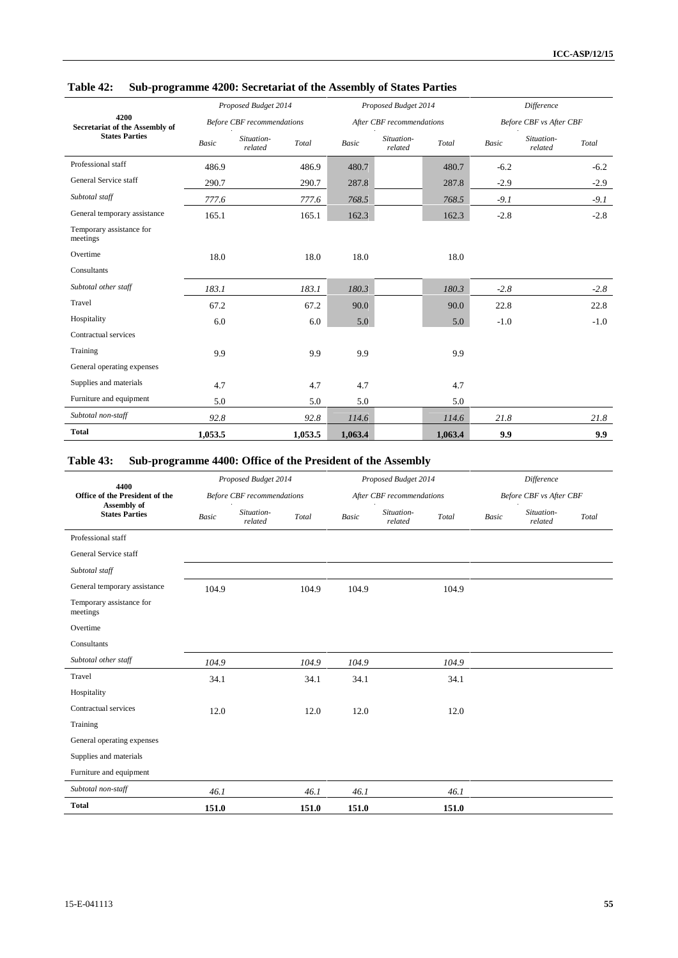|                                        |              | Proposed Budget 2014              |         |         | Proposed Budget 2014      |         |        | Difference              |        |
|----------------------------------------|--------------|-----------------------------------|---------|---------|---------------------------|---------|--------|-------------------------|--------|
| 4200<br>Secretariat of the Assembly of |              | <b>Before CBF</b> recommendations |         |         | After CBF recommendations |         |        | Before CBF vs After CBF |        |
| <b>States Parties</b>                  | <b>Basic</b> | Situation-<br>related             | Total   | Basic   | Situation-<br>related     | Total   | Basic  | Situation-<br>related   | Total  |
| Professional staff                     | 486.9        |                                   | 486.9   | 480.7   |                           | 480.7   | $-6.2$ |                         | $-6.2$ |
| General Service staff                  | 290.7        |                                   | 290.7   | 287.8   |                           | 287.8   | $-2.9$ |                         | $-2.9$ |
| Subtotal staff                         | 777.6        |                                   | 777.6   | 768.5   |                           | 768.5   | $-9.1$ |                         | $-9.1$ |
| General temporary assistance           | 165.1        |                                   | 165.1   | 162.3   |                           | 162.3   | $-2.8$ |                         | $-2.8$ |
| Temporary assistance for<br>meetings   |              |                                   |         |         |                           |         |        |                         |        |
| Overtime                               | 18.0         |                                   | 18.0    | 18.0    |                           | 18.0    |        |                         |        |
| Consultants                            |              |                                   |         |         |                           |         |        |                         |        |
| Subtotal other staff                   | 183.1        |                                   | 183.1   | 180.3   |                           | 180.3   | $-2.8$ |                         | $-2.8$ |
| Travel                                 | 67.2         |                                   | 67.2    | 90.0    |                           | 90.0    | 22.8   |                         | 22.8   |
| Hospitality                            | 6.0          |                                   | 6.0     | 5.0     |                           | 5.0     | $-1.0$ |                         | $-1.0$ |
| Contractual services                   |              |                                   |         |         |                           |         |        |                         |        |
| Training                               | 9.9          |                                   | 9.9     | 9.9     |                           | 9.9     |        |                         |        |
| General operating expenses             |              |                                   |         |         |                           |         |        |                         |        |
| Supplies and materials                 | 4.7          |                                   | 4.7     | 4.7     |                           | 4.7     |        |                         |        |
| Furniture and equipment                | 5.0          |                                   | 5.0     | 5.0     |                           | 5.0     |        |                         |        |
| Subtotal non-staff                     | 92.8         |                                   | 92.8    | 114.6   |                           | 114.6   | 21.8   |                         | 21.8   |
| <b>Total</b>                           | 1,053.5      |                                   | 1,053.5 | 1,063.4 |                           | 1,063.4 | 9.9    |                         | 9.9    |

# **Table 42: Sub-programme 4200: Secretariat of the Assembly of States Parties**

# **Table 43: Sub-programme 4400: Office of the President of the Assembly**

| 4400                                 |       | Proposed Budget 2014              |       |              | Proposed Budget 2014      |       |       | Difference              |       |
|--------------------------------------|-------|-----------------------------------|-------|--------------|---------------------------|-------|-------|-------------------------|-------|
| Office of the President of the       |       | <b>Before CBF</b> recommendations |       |              | After CBF recommendations |       |       | Before CBF vs After CBF |       |
| Assembly of<br><b>States Parties</b> | Basic | Situation-<br>related             | Total | <b>Basic</b> | Situation-<br>related     | Total | Basic | Situation-<br>related   | Total |
| Professional staff                   |       |                                   |       |              |                           |       |       |                         |       |
| General Service staff                |       |                                   |       |              |                           |       |       |                         |       |
| Subtotal staff                       |       |                                   |       |              |                           |       |       |                         |       |
| General temporary assistance         | 104.9 |                                   | 104.9 | 104.9        |                           | 104.9 |       |                         |       |
| Temporary assistance for<br>meetings |       |                                   |       |              |                           |       |       |                         |       |
| Overtime                             |       |                                   |       |              |                           |       |       |                         |       |
| Consultants                          |       |                                   |       |              |                           |       |       |                         |       |
| Subtotal other staff                 | 104.9 |                                   | 104.9 | 104.9        |                           | 104.9 |       |                         |       |
| Travel                               | 34.1  |                                   | 34.1  | 34.1         |                           | 34.1  |       |                         |       |
| Hospitality                          |       |                                   |       |              |                           |       |       |                         |       |
| Contractual services                 | 12.0  |                                   | 12.0  | 12.0         |                           | 12.0  |       |                         |       |
| Training                             |       |                                   |       |              |                           |       |       |                         |       |
| General operating expenses           |       |                                   |       |              |                           |       |       |                         |       |
| Supplies and materials               |       |                                   |       |              |                           |       |       |                         |       |
| Furniture and equipment              |       |                                   |       |              |                           |       |       |                         |       |
| Subtotal non-staff                   | 46.1  |                                   | 46.1  | 46.1         |                           | 46.1  |       |                         |       |
| <b>Total</b>                         | 151.0 |                                   | 151.0 | 151.0        |                           | 151.0 |       |                         |       |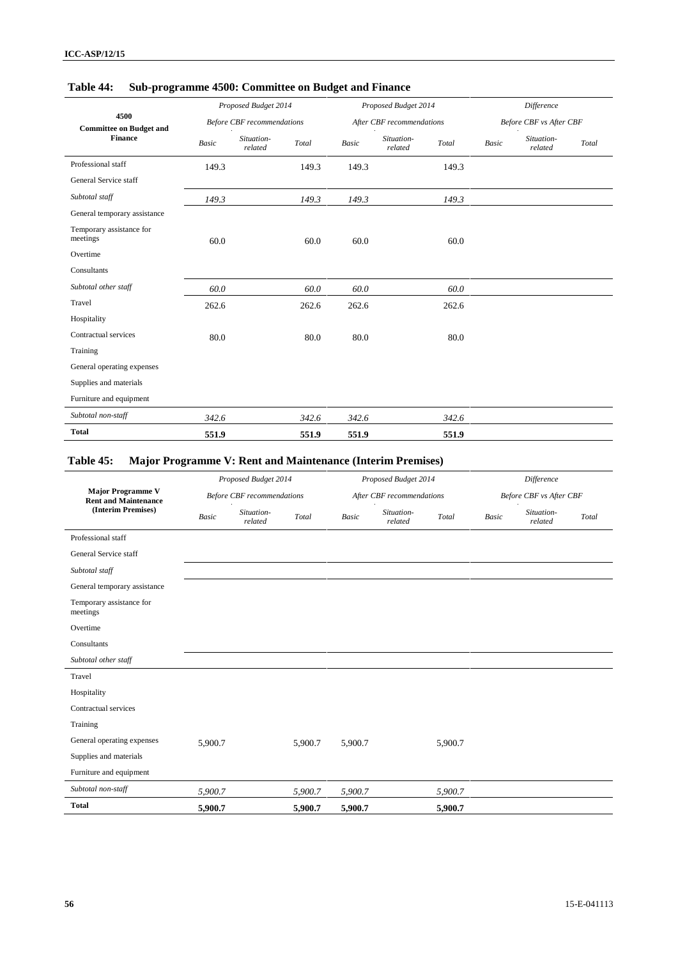|                                        |       | Proposed Budget 2014              |       |       | Proposed Budget 2014      |       |       | Difference                     |       |
|----------------------------------------|-------|-----------------------------------|-------|-------|---------------------------|-------|-------|--------------------------------|-------|
| 4500<br><b>Committee on Budget and</b> |       | <b>Before CBF</b> recommendations |       |       | After CBF recommendations |       |       | <b>Before CBF</b> vs After CBF |       |
| <b>Finance</b>                         | Basic | Situation-<br>related             | Total | Basic | Situation-<br>related     | Total | Basic | Situation-<br>related          | Total |
| Professional staff                     | 149.3 |                                   | 149.3 | 149.3 |                           | 149.3 |       |                                |       |
| General Service staff                  |       |                                   |       |       |                           |       |       |                                |       |
| Subtotal staff                         | 149.3 |                                   | 149.3 | 149.3 |                           | 149.3 |       |                                |       |
| General temporary assistance           |       |                                   |       |       |                           |       |       |                                |       |
| Temporary assistance for<br>meetings   | 60.0  |                                   | 60.0  | 60.0  |                           | 60.0  |       |                                |       |
| Overtime                               |       |                                   |       |       |                           |       |       |                                |       |
| Consultants                            |       |                                   |       |       |                           |       |       |                                |       |
| Subtotal other staff                   | 60.0  |                                   | 60.0  | 60.0  |                           | 60.0  |       |                                |       |
| Travel                                 | 262.6 |                                   | 262.6 | 262.6 |                           | 262.6 |       |                                |       |
| Hospitality                            |       |                                   |       |       |                           |       |       |                                |       |
| Contractual services                   | 80.0  |                                   | 80.0  | 80.0  |                           | 80.0  |       |                                |       |
| Training                               |       |                                   |       |       |                           |       |       |                                |       |
| General operating expenses             |       |                                   |       |       |                           |       |       |                                |       |
| Supplies and materials                 |       |                                   |       |       |                           |       |       |                                |       |
| Furniture and equipment                |       |                                   |       |       |                           |       |       |                                |       |
| Subtotal non-staff                     | 342.6 |                                   | 342.6 | 342.6 |                           | 342.6 |       |                                |       |
| <b>Total</b>                           | 551.9 |                                   | 551.9 | 551.9 |                           | 551.9 |       |                                |       |

## **Table 44: Sub-programme 4500: Committee on Budget and Finance**

# **Table 45: Major Programme V: Rent and Maintenance (Interim Premises)**

|                                                         |              | Proposed Budget 2014              |         |              | Proposed Budget 2014      |         |       | Difference              |       |
|---------------------------------------------------------|--------------|-----------------------------------|---------|--------------|---------------------------|---------|-------|-------------------------|-------|
| <b>Major Programme V</b><br><b>Rent and Maintenance</b> |              | <b>Before CBF</b> recommendations |         |              | After CBF recommendations |         |       | Before CBF vs After CBF |       |
| (Interim Premises)                                      | <b>Basic</b> | Situation-<br>related             | Total   | <b>Basic</b> | Situation-<br>related     | Total   | Basic | Situation-<br>related   | Total |
| Professional staff                                      |              |                                   |         |              |                           |         |       |                         |       |
| General Service staff                                   |              |                                   |         |              |                           |         |       |                         |       |
| Subtotal staff                                          |              |                                   |         |              |                           |         |       |                         |       |
| General temporary assistance                            |              |                                   |         |              |                           |         |       |                         |       |
| Temporary assistance for<br>meetings                    |              |                                   |         |              |                           |         |       |                         |       |
| Overtime                                                |              |                                   |         |              |                           |         |       |                         |       |
| Consultants                                             |              |                                   |         |              |                           |         |       |                         |       |
| Subtotal other staff                                    |              |                                   |         |              |                           |         |       |                         |       |
| Travel                                                  |              |                                   |         |              |                           |         |       |                         |       |
| Hospitality                                             |              |                                   |         |              |                           |         |       |                         |       |
| Contractual services                                    |              |                                   |         |              |                           |         |       |                         |       |
| Training                                                |              |                                   |         |              |                           |         |       |                         |       |
| General operating expenses                              | 5,900.7      |                                   | 5,900.7 | 5,900.7      |                           | 5,900.7 |       |                         |       |
| Supplies and materials                                  |              |                                   |         |              |                           |         |       |                         |       |
| Furniture and equipment                                 |              |                                   |         |              |                           |         |       |                         |       |
| Subtotal non-staff                                      | 5,900.7      |                                   | 5,900.7 | 5,900.7      |                           | 5,900.7 |       |                         |       |
| <b>Total</b>                                            | 5,900.7      |                                   | 5,900.7 | 5,900.7      |                           | 5,900.7 |       |                         |       |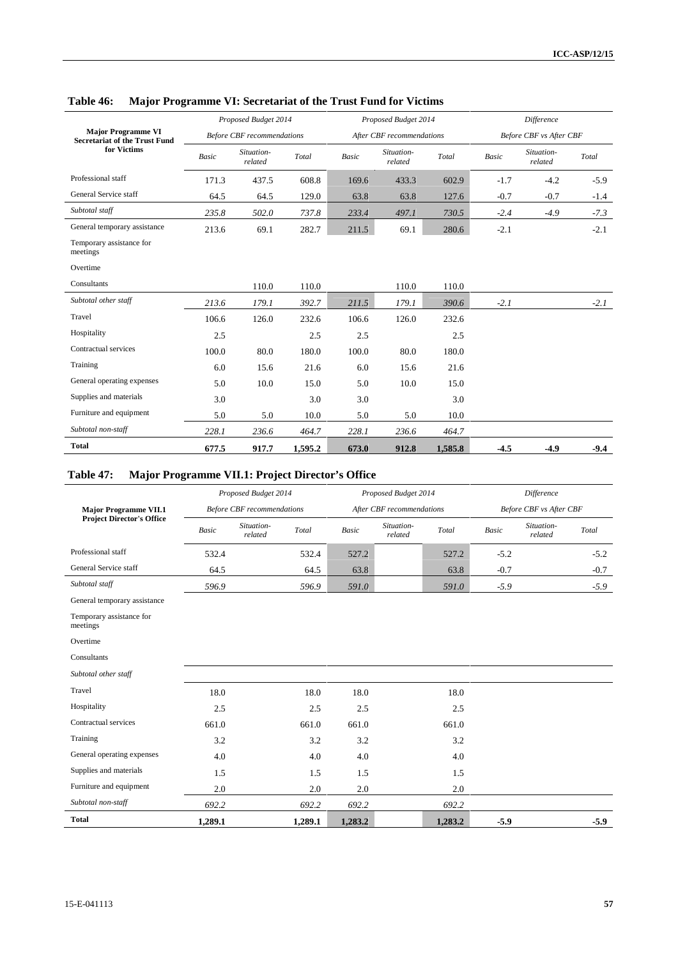|                                                                   |              | Proposed Budget 2014              |         |              | Proposed Budget 2014      |         |        | Difference                     |        |
|-------------------------------------------------------------------|--------------|-----------------------------------|---------|--------------|---------------------------|---------|--------|--------------------------------|--------|
| <b>Major Programme VI</b><br><b>Secretariat of the Trust Fund</b> |              | <b>Before CBF</b> recommendations |         |              | After CBF recommendations |         |        | <b>Before CBF</b> vs After CBF |        |
| for Victims                                                       | <b>Basic</b> | Situation-<br>related             | Total   | <b>Basic</b> | Situation-<br>related     | Total   | Basic  | Situation-<br>related          | Total  |
| Professional staff                                                | 171.3        | 437.5                             | 608.8   | 169.6        | 433.3                     | 602.9   | $-1.7$ | $-4.2$                         | $-5.9$ |
| General Service staff                                             | 64.5         | 64.5                              | 129.0   | 63.8         | 63.8                      | 127.6   | $-0.7$ | $-0.7$                         | $-1.4$ |
| Subtotal staff                                                    | 235.8        | 502.0                             | 737.8   | 233.4        | 497.1                     | 730.5   | $-2.4$ | $-4.9$                         | $-7.3$ |
| General temporary assistance                                      | 213.6        | 69.1                              | 282.7   | 211.5        | 69.1                      | 280.6   | $-2.1$ |                                | $-2.1$ |
| Temporary assistance for<br>meetings                              |              |                                   |         |              |                           |         |        |                                |        |
| Overtime                                                          |              |                                   |         |              |                           |         |        |                                |        |
| Consultants                                                       |              | 110.0                             | 110.0   |              | 110.0                     | 110.0   |        |                                |        |
| Subtotal other staff                                              | 213.6        | 179.1                             | 392.7   | 211.5        | 179.1                     | 390.6   | $-2.1$ |                                | $-2.1$ |
| Travel                                                            | 106.6        | 126.0                             | 232.6   | 106.6        | 126.0                     | 232.6   |        |                                |        |
| Hospitality                                                       | 2.5          |                                   | 2.5     | 2.5          |                           | 2.5     |        |                                |        |
| Contractual services                                              | 100.0        | 80.0                              | 180.0   | 100.0        | 80.0                      | 180.0   |        |                                |        |
| Training                                                          | 6.0          | 15.6                              | 21.6    | 6.0          | 15.6                      | 21.6    |        |                                |        |
| General operating expenses                                        | 5.0          | 10.0                              | 15.0    | 5.0          | 10.0                      | 15.0    |        |                                |        |
| Supplies and materials                                            | 3.0          |                                   | 3.0     | 3.0          |                           | 3.0     |        |                                |        |
| Furniture and equipment                                           | 5.0          | 5.0                               | 10.0    | 5.0          | 5.0                       | 10.0    |        |                                |        |
| Subtotal non-staff                                                | 228.1        | 236.6                             | 464.7   | 228.1        | 236.6                     | 464.7   |        |                                |        |
| <b>Total</b>                                                      | 677.5        | 917.7                             | 1,595.2 | 673.0        | 912.8                     | 1,585.8 | $-4.5$ | $-4.9$                         | $-9.4$ |

## **Table 46: Major Programme VI: Secretariat of the Trust Fund for Victims**

# **Table 47: Major Programme VII.1: Project Director's Office**

|                                      |              | Proposed Budget 2014              |                                             |              | Proposed Budget 2014      |         |        | <b>Difference</b>       |        |
|--------------------------------------|--------------|-----------------------------------|---------------------------------------------|--------------|---------------------------|---------|--------|-------------------------|--------|
| <b>Major Programme VII.1</b>         |              | <b>Before CBF</b> recommendations |                                             |              | After CBF recommendations |         |        | Before CBF vs After CBF |        |
| <b>Project Director's Office</b>     | <b>Basic</b> | Situation-<br>related             | $\operatorname{\mathcal{T}\!\mathit{otal}}$ | <b>Basic</b> | Situation-<br>related     | Total   | Basic  | Situation-<br>related   | Total  |
| Professional staff                   | 532.4        |                                   | 532.4                                       | 527.2        |                           | 527.2   | $-5.2$ |                         | $-5.2$ |
| General Service staff                | 64.5         |                                   | 64.5                                        | 63.8         |                           | 63.8    | $-0.7$ |                         | $-0.7$ |
| Subtotal staff                       | 596.9        |                                   | 596.9                                       | 591.0        |                           | 591.0   | $-5.9$ |                         | $-5.9$ |
| General temporary assistance         |              |                                   |                                             |              |                           |         |        |                         |        |
| Temporary assistance for<br>meetings |              |                                   |                                             |              |                           |         |        |                         |        |
| Overtime                             |              |                                   |                                             |              |                           |         |        |                         |        |
| Consultants                          |              |                                   |                                             |              |                           |         |        |                         |        |
| Subtotal other staff                 |              |                                   |                                             |              |                           |         |        |                         |        |
| Travel                               | 18.0         |                                   | 18.0                                        | 18.0         |                           | 18.0    |        |                         |        |
| Hospitality                          | 2.5          |                                   | 2.5                                         | 2.5          |                           | 2.5     |        |                         |        |
| Contractual services                 | 661.0        |                                   | 661.0                                       | 661.0        |                           | 661.0   |        |                         |        |
| Training                             | 3.2          |                                   | 3.2                                         | 3.2          |                           | 3.2     |        |                         |        |
| General operating expenses           | 4.0          |                                   | 4.0                                         | 4.0          |                           | 4.0     |        |                         |        |
| Supplies and materials               | 1.5          |                                   | 1.5                                         | 1.5          |                           | 1.5     |        |                         |        |
| Furniture and equipment              | 2.0          |                                   | 2.0                                         | 2.0          |                           | 2.0     |        |                         |        |
| Subtotal non-staff                   | 692.2        |                                   | 692.2                                       | 692.2        |                           | 692.2   |        |                         |        |
| <b>Total</b>                         | 1,289.1      |                                   | 1,289.1                                     | 1,283.2      |                           | 1,283.2 | $-5.9$ |                         | $-5.9$ |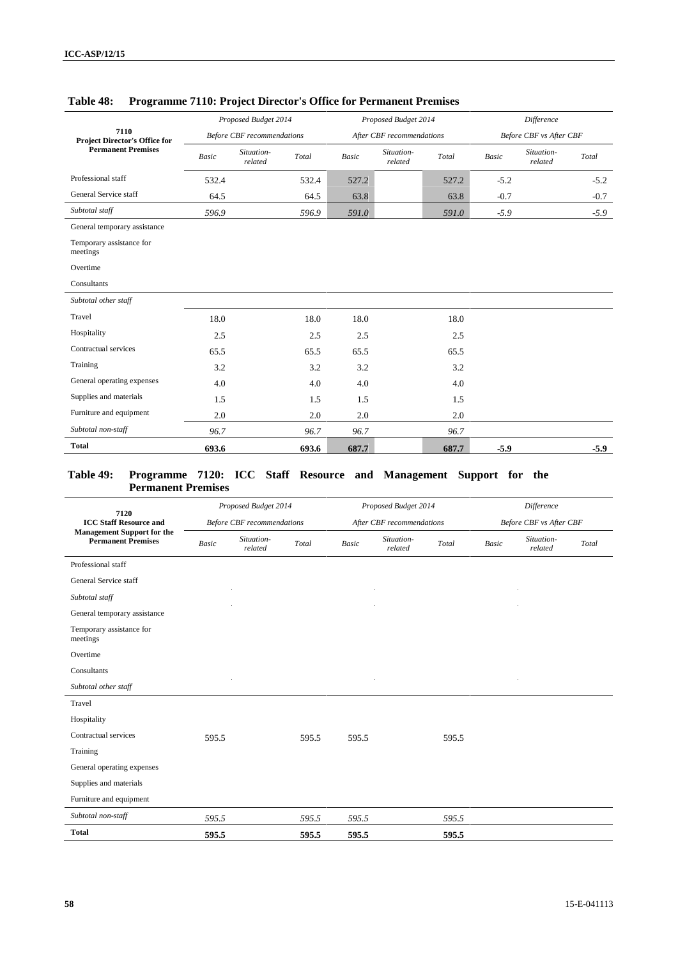|                                              |              | Proposed Budget 2014              |       |              | Proposed Budget 2014      |       |        | <b>Difference</b>              |        |
|----------------------------------------------|--------------|-----------------------------------|-------|--------------|---------------------------|-------|--------|--------------------------------|--------|
| 7110<br><b>Project Director's Office for</b> |              | <b>Before CBF</b> recommendations |       |              | After CBF recommendations |       |        | <b>Before CBF</b> vs After CBF |        |
| <b>Permanent Premises</b>                    | <b>Basic</b> | Situation-<br>related             | Total | <b>Basic</b> | Situation-<br>related     | Total | Basic  | Situation-<br>related          | Total  |
| Professional staff                           | 532.4        |                                   | 532.4 | 527.2        |                           | 527.2 | $-5.2$ |                                | $-5.2$ |
| General Service staff                        | 64.5         |                                   | 64.5  | 63.8         |                           | 63.8  | $-0.7$ |                                | $-0.7$ |
| Subtotal staff                               | 596.9        |                                   | 596.9 | 591.0        |                           | 591.0 | $-5.9$ |                                | $-5.9$ |
| General temporary assistance                 |              |                                   |       |              |                           |       |        |                                |        |
| Temporary assistance for<br>meetings         |              |                                   |       |              |                           |       |        |                                |        |
| Overtime                                     |              |                                   |       |              |                           |       |        |                                |        |
| Consultants                                  |              |                                   |       |              |                           |       |        |                                |        |
| Subtotal other staff                         |              |                                   |       |              |                           |       |        |                                |        |
| Travel                                       | 18.0         |                                   | 18.0  | 18.0         |                           | 18.0  |        |                                |        |
| Hospitality                                  | 2.5          |                                   | 2.5   | 2.5          |                           | 2.5   |        |                                |        |
| Contractual services                         | 65.5         |                                   | 65.5  | 65.5         |                           | 65.5  |        |                                |        |
| Training                                     | 3.2          |                                   | 3.2   | 3.2          |                           | 3.2   |        |                                |        |
| General operating expenses                   | 4.0          |                                   | 4.0   | 4.0          |                           | 4.0   |        |                                |        |
| Supplies and materials                       | 1.5          |                                   | 1.5   | 1.5          |                           | 1.5   |        |                                |        |
| Furniture and equipment                      | 2.0          |                                   | 2.0   | 2.0          |                           | 2.0   |        |                                |        |
| Subtotal non-staff                           | 96.7         |                                   | 96.7  | 96.7         |                           | 96.7  |        |                                |        |
| <b>Total</b>                                 | 693.6        |                                   | 693.6 | 687.7        |                           | 687.7 | $-5.9$ |                                | $-5.9$ |

## **Table 48: Programme 7110: Project Director's Office for Permanent Premises**

### **Table 49: Programme 7120: ICC Staff Resource and Management Support for the Permanent Premises**

| 7120                                                           |              | Proposed Budget 2014              |       |       | Proposed Budget 2014      |       |       | Difference              |       |
|----------------------------------------------------------------|--------------|-----------------------------------|-------|-------|---------------------------|-------|-------|-------------------------|-------|
| <b>ICC Staff Resource and</b>                                  |              | <b>Before CBF</b> recommendations |       |       | After CBF recommendations |       |       | Before CBF vs After CBF |       |
| <b>Management Support for the</b><br><b>Permanent Premises</b> | <b>Basic</b> | Situation-<br>related             | Total | Basic | Situation-<br>related     | Total | Basic | Situation-<br>related   | Total |
| Professional staff                                             |              |                                   |       |       |                           |       |       |                         |       |
| General Service staff                                          |              |                                   |       |       |                           |       |       |                         |       |
| Subtotal staff                                                 |              |                                   |       |       |                           |       |       |                         |       |
| General temporary assistance                                   |              |                                   |       |       |                           |       |       |                         |       |
| Temporary assistance for<br>meetings                           |              |                                   |       |       |                           |       |       |                         |       |
| Overtime                                                       |              |                                   |       |       |                           |       |       |                         |       |
| Consultants                                                    |              |                                   |       |       |                           |       |       |                         |       |
| Subtotal other staff                                           |              |                                   |       |       |                           |       |       |                         |       |
| Travel                                                         |              |                                   |       |       |                           |       |       |                         |       |
| Hospitality                                                    |              |                                   |       |       |                           |       |       |                         |       |
| Contractual services                                           | 595.5        |                                   | 595.5 | 595.5 |                           | 595.5 |       |                         |       |
| Training                                                       |              |                                   |       |       |                           |       |       |                         |       |
| General operating expenses                                     |              |                                   |       |       |                           |       |       |                         |       |
| Supplies and materials                                         |              |                                   |       |       |                           |       |       |                         |       |
| Furniture and equipment                                        |              |                                   |       |       |                           |       |       |                         |       |
| Subtotal non-staff                                             | 595.5        |                                   | 595.5 | 595.5 |                           | 595.5 |       |                         |       |
| <b>Total</b>                                                   | 595.5        |                                   | 595.5 | 595.5 |                           | 595.5 |       |                         |       |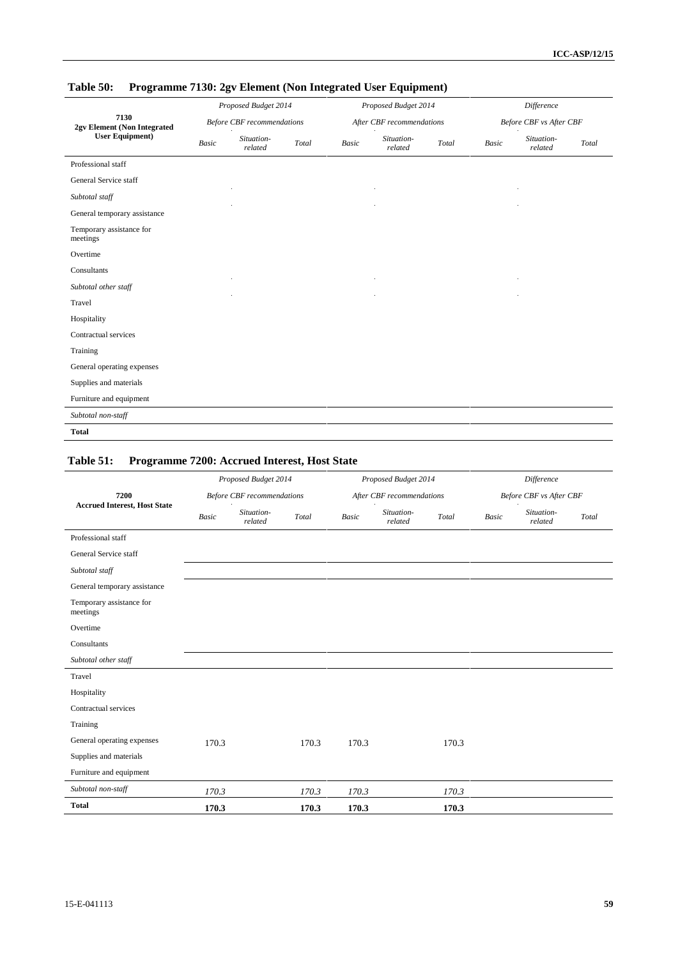| 7130<br>2gv Element (Non Integrated<br><b>User Equipment</b> ) | Proposed Budget 2014<br><b>Before CBF</b> recommendations |                       |                                             |       | Proposed Budget 2014      |       |              | Difference<br><b>Before CBF</b> vs After CBF |       |  |  |
|----------------------------------------------------------------|-----------------------------------------------------------|-----------------------|---------------------------------------------|-------|---------------------------|-------|--------------|----------------------------------------------|-------|--|--|
|                                                                |                                                           |                       |                                             |       | After CBF recommendations |       |              |                                              |       |  |  |
|                                                                | <b>Basic</b>                                              | Situation-<br>related | $\operatorname{\mathcal{T}\!\mathit{otal}}$ | Basic | Situation-<br>related     | Total | <b>Basic</b> | Situation-<br>related                        | Total |  |  |
| Professional staff                                             |                                                           |                       |                                             |       |                           |       |              |                                              |       |  |  |
| General Service staff                                          |                                                           |                       |                                             |       |                           |       |              |                                              |       |  |  |
| Subtotal staff                                                 |                                                           |                       |                                             |       |                           |       |              |                                              |       |  |  |
| General temporary assistance                                   |                                                           |                       |                                             |       |                           |       |              |                                              |       |  |  |
| Temporary assistance for<br>meetings                           |                                                           |                       |                                             |       |                           |       |              |                                              |       |  |  |
| Overtime                                                       |                                                           |                       |                                             |       |                           |       |              |                                              |       |  |  |
| Consultants                                                    |                                                           |                       |                                             |       |                           |       |              |                                              |       |  |  |
| Subtotal other staff                                           |                                                           |                       |                                             |       |                           |       |              |                                              |       |  |  |
| Travel                                                         |                                                           |                       |                                             |       |                           |       |              |                                              |       |  |  |
| Hospitality                                                    |                                                           |                       |                                             |       |                           |       |              |                                              |       |  |  |
| Contractual services                                           |                                                           |                       |                                             |       |                           |       |              |                                              |       |  |  |
| Training                                                       |                                                           |                       |                                             |       |                           |       |              |                                              |       |  |  |
| General operating expenses                                     |                                                           |                       |                                             |       |                           |       |              |                                              |       |  |  |
| Supplies and materials                                         |                                                           |                       |                                             |       |                           |       |              |                                              |       |  |  |
| Furniture and equipment                                        |                                                           |                       |                                             |       |                           |       |              |                                              |       |  |  |
| Subtotal non-staff                                             |                                                           |                       |                                             |       |                           |       |              |                                              |       |  |  |
| <b>Total</b>                                                   |                                                           |                       |                                             |       |                           |       |              |                                              |       |  |  |

# **Table 50: Programme 7130: 2gv Element (Non Integrated User Equipment)**

## **Table 51: Programme 7200: Accrued Interest, Host State**

|                                      | Proposed Budget 2014<br><b>Before CBF</b> recommendations |                       |       |              | Proposed Budget 2014      |       | Difference<br>Before CBF vs After CBF |                       |       |  |
|--------------------------------------|-----------------------------------------------------------|-----------------------|-------|--------------|---------------------------|-------|---------------------------------------|-----------------------|-------|--|
| 7200                                 |                                                           |                       |       |              | After CBF recommendations |       |                                       |                       |       |  |
| <b>Accrued Interest, Host State</b>  | <b>Basic</b>                                              | Situation-<br>related | Total | <b>Basic</b> | Situation-<br>related     | Total | Basic                                 | Situation-<br>related | Total |  |
| Professional staff                   |                                                           |                       |       |              |                           |       |                                       |                       |       |  |
| General Service staff                |                                                           |                       |       |              |                           |       |                                       |                       |       |  |
| Subtotal staff                       |                                                           |                       |       |              |                           |       |                                       |                       |       |  |
| General temporary assistance         |                                                           |                       |       |              |                           |       |                                       |                       |       |  |
| Temporary assistance for<br>meetings |                                                           |                       |       |              |                           |       |                                       |                       |       |  |
| Overtime                             |                                                           |                       |       |              |                           |       |                                       |                       |       |  |
| Consultants                          |                                                           |                       |       |              |                           |       |                                       |                       |       |  |
| Subtotal other staff                 |                                                           |                       |       |              |                           |       |                                       |                       |       |  |
| Travel                               |                                                           |                       |       |              |                           |       |                                       |                       |       |  |
| Hospitality                          |                                                           |                       |       |              |                           |       |                                       |                       |       |  |
| Contractual services                 |                                                           |                       |       |              |                           |       |                                       |                       |       |  |
| Training                             |                                                           |                       |       |              |                           |       |                                       |                       |       |  |
| General operating expenses           | 170.3                                                     |                       | 170.3 | 170.3        |                           | 170.3 |                                       |                       |       |  |
| Supplies and materials               |                                                           |                       |       |              |                           |       |                                       |                       |       |  |
| Furniture and equipment              |                                                           |                       |       |              |                           |       |                                       |                       |       |  |
| Subtotal non-staff                   | 170.3                                                     |                       | 170.3 | 170.3        |                           | 170.3 |                                       |                       |       |  |
| <b>Total</b>                         | 170.3                                                     |                       | 170.3 | 170.3        |                           | 170.3 |                                       |                       |       |  |